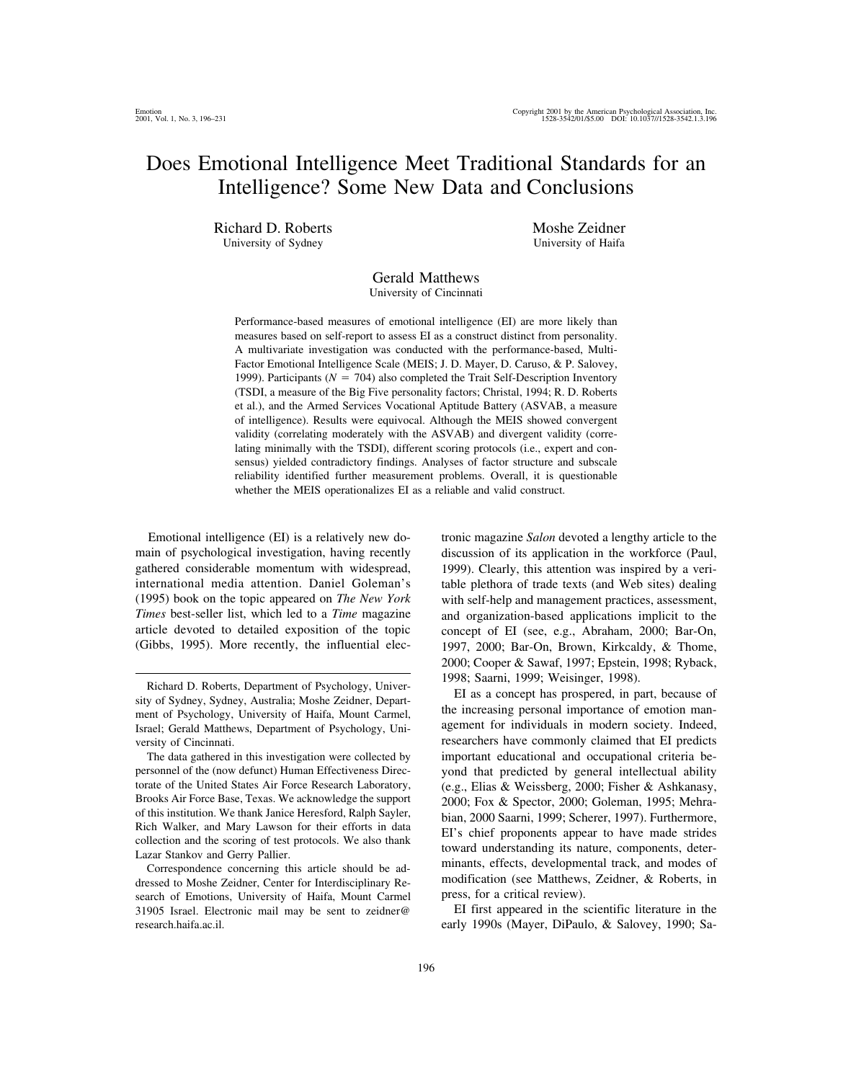# Does Emotional Intelligence Meet Traditional Standards for an Intelligence? Some New Data and Conclusions

Richard D. Roberts University of Sydney

Moshe Zeidner University of Haifa

# Gerald Matthews University of Cincinnati

Performance-based measures of emotional intelligence (EI) are more likely than measures based on self-report to assess EI as a construct distinct from personality. A multivariate investigation was conducted with the performance-based, Multi-Factor Emotional Intelligence Scale (MEIS; J. D. Mayer, D. Caruso, & P. Salovey, 1999). Participants ( $N = 704$ ) also completed the Trait Self-Description Inventory (TSDI, a measure of the Big Five personality factors; Christal, 1994; R. D. Roberts et al.), and the Armed Services Vocational Aptitude Battery (ASVAB, a measure of intelligence). Results were equivocal. Although the MEIS showed convergent validity (correlating moderately with the ASVAB) and divergent validity (correlating minimally with the TSDI), different scoring protocols (i.e., expert and consensus) yielded contradictory findings. Analyses of factor structure and subscale reliability identified further measurement problems. Overall, it is questionable whether the MEIS operationalizes EI as a reliable and valid construct.

Emotional intelligence (EI) is a relatively new domain of psychological investigation, having recently gathered considerable momentum with widespread, international media attention. Daniel Goleman's (1995) book on the topic appeared on *The New York Times* best-seller list, which led to a *Time* magazine article devoted to detailed exposition of the topic (Gibbs, 1995). More recently, the influential electronic magazine *Salon* devoted a lengthy article to the discussion of its application in the workforce (Paul, 1999). Clearly, this attention was inspired by a veritable plethora of trade texts (and Web sites) dealing with self-help and management practices, assessment, and organization-based applications implicit to the concept of EI (see, e.g., Abraham, 2000; Bar-On, 1997, 2000; Bar-On, Brown, Kirkcaldy, & Thome, 2000; Cooper & Sawaf, 1997; Epstein, 1998; Ryback, 1998; Saarni, 1999; Weisinger, 1998).

EI as a concept has prospered, in part, because of the increasing personal importance of emotion management for individuals in modern society. Indeed, researchers have commonly claimed that EI predicts important educational and occupational criteria beyond that predicted by general intellectual ability (e.g., Elias & Weissberg, 2000; Fisher & Ashkanasy, 2000; Fox & Spector, 2000; Goleman, 1995; Mehrabian, 2000 Saarni, 1999; Scherer, 1997). Furthermore, EI's chief proponents appear to have made strides toward understanding its nature, components, determinants, effects, developmental track, and modes of modification (see Matthews, Zeidner, & Roberts, in press, for a critical review).

EI first appeared in the scientific literature in the early 1990s (Mayer, DiPaulo, & Salovey, 1990; Sa-

Richard D. Roberts, Department of Psychology, University of Sydney, Sydney, Australia; Moshe Zeidner, Department of Psychology, University of Haifa, Mount Carmel, Israel; Gerald Matthews, Department of Psychology, University of Cincinnati.

The data gathered in this investigation were collected by personnel of the (now defunct) Human Effectiveness Directorate of the United States Air Force Research Laboratory, Brooks Air Force Base, Texas. We acknowledge the support of this institution. We thank Janice Heresford, Ralph Sayler, Rich Walker, and Mary Lawson for their efforts in data collection and the scoring of test protocols. We also thank Lazar Stankov and Gerry Pallier.

Correspondence concerning this article should be addressed to Moshe Zeidner, Center for Interdisciplinary Research of Emotions, University of Haifa, Mount Carmel 31905 Israel. Electronic mail may be sent to zeidner@ research.haifa.ac.il.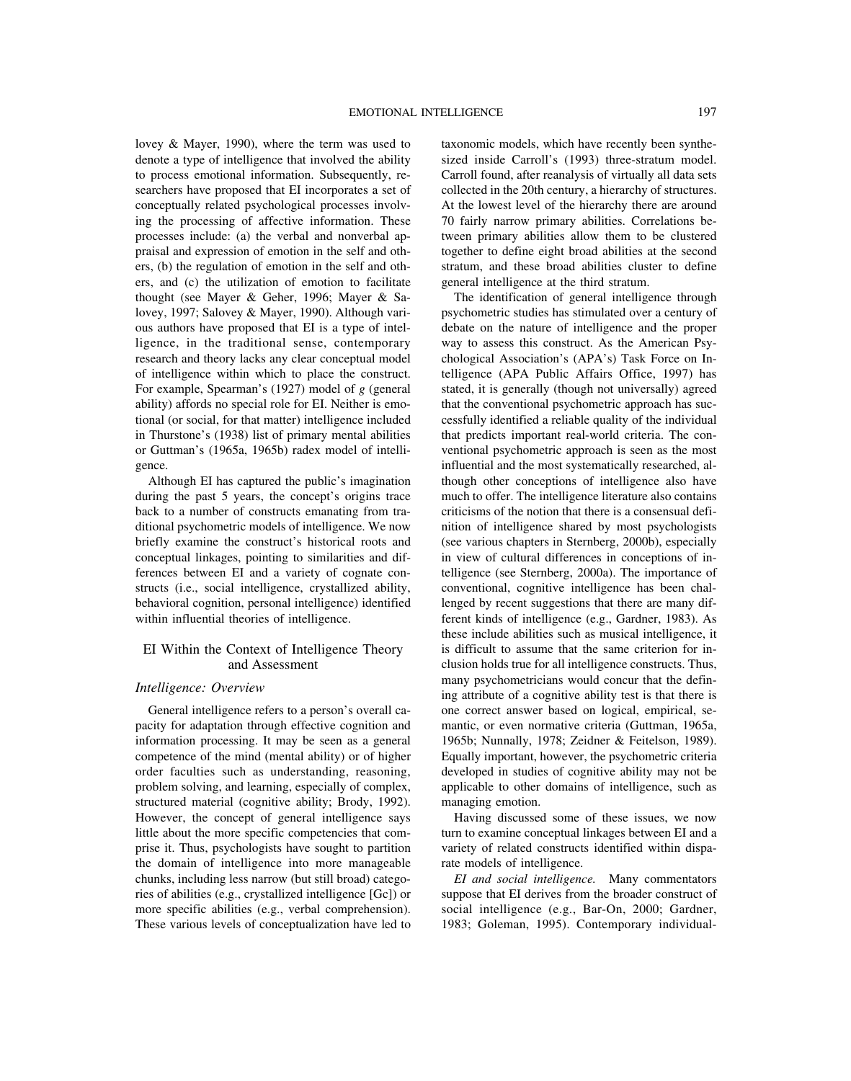lovey & Mayer, 1990), where the term was used to denote a type of intelligence that involved the ability to process emotional information. Subsequently, researchers have proposed that EI incorporates a set of conceptually related psychological processes involving the processing of affective information. These processes include: (a) the verbal and nonverbal appraisal and expression of emotion in the self and others, (b) the regulation of emotion in the self and others, and (c) the utilization of emotion to facilitate thought (see Mayer & Geher, 1996; Mayer & Salovey, 1997; Salovey & Mayer, 1990). Although various authors have proposed that EI is a type of intelligence, in the traditional sense, contemporary research and theory lacks any clear conceptual model of intelligence within which to place the construct. For example, Spearman's (1927) model of *g* (general ability) affords no special role for EI. Neither is emotional (or social, for that matter) intelligence included in Thurstone's (1938) list of primary mental abilities or Guttman's (1965a, 1965b) radex model of intelligence.

Although EI has captured the public's imagination during the past 5 years, the concept's origins trace back to a number of constructs emanating from traditional psychometric models of intelligence. We now briefly examine the construct's historical roots and conceptual linkages, pointing to similarities and differences between EI and a variety of cognate constructs (i.e., social intelligence, crystallized ability, behavioral cognition, personal intelligence) identified within influential theories of intelligence.

# EI Within the Context of Intelligence Theory and Assessment

## *Intelligence: Overview*

General intelligence refers to a person's overall capacity for adaptation through effective cognition and information processing. It may be seen as a general competence of the mind (mental ability) or of higher order faculties such as understanding, reasoning, problem solving, and learning, especially of complex, structured material (cognitive ability; Brody, 1992). However, the concept of general intelligence says little about the more specific competencies that comprise it. Thus, psychologists have sought to partition the domain of intelligence into more manageable chunks, including less narrow (but still broad) categories of abilities (e.g., crystallized intelligence [Gc]) or more specific abilities (e.g., verbal comprehension). These various levels of conceptualization have led to taxonomic models, which have recently been synthesized inside Carroll's (1993) three-stratum model. Carroll found, after reanalysis of virtually all data sets collected in the 20th century, a hierarchy of structures. At the lowest level of the hierarchy there are around 70 fairly narrow primary abilities. Correlations between primary abilities allow them to be clustered together to define eight broad abilities at the second stratum, and these broad abilities cluster to define general intelligence at the third stratum.

The identification of general intelligence through psychometric studies has stimulated over a century of debate on the nature of intelligence and the proper way to assess this construct. As the American Psychological Association's (APA's) Task Force on Intelligence (APA Public Affairs Office, 1997) has stated, it is generally (though not universally) agreed that the conventional psychometric approach has successfully identified a reliable quality of the individual that predicts important real-world criteria. The conventional psychometric approach is seen as the most influential and the most systematically researched, although other conceptions of intelligence also have much to offer. The intelligence literature also contains criticisms of the notion that there is a consensual definition of intelligence shared by most psychologists (see various chapters in Sternberg, 2000b), especially in view of cultural differences in conceptions of intelligence (see Sternberg, 2000a). The importance of conventional, cognitive intelligence has been challenged by recent suggestions that there are many different kinds of intelligence (e.g., Gardner, 1983). As these include abilities such as musical intelligence, it is difficult to assume that the same criterion for inclusion holds true for all intelligence constructs. Thus, many psychometricians would concur that the defining attribute of a cognitive ability test is that there is one correct answer based on logical, empirical, semantic, or even normative criteria (Guttman, 1965a, 1965b; Nunnally, 1978; Zeidner & Feitelson, 1989). Equally important, however, the psychometric criteria developed in studies of cognitive ability may not be applicable to other domains of intelligence, such as managing emotion.

Having discussed some of these issues, we now turn to examine conceptual linkages between EI and a variety of related constructs identified within disparate models of intelligence.

*EI and social intelligence.* Many commentators suppose that EI derives from the broader construct of social intelligence (e.g., Bar-On, 2000; Gardner, 1983; Goleman, 1995). Contemporary individual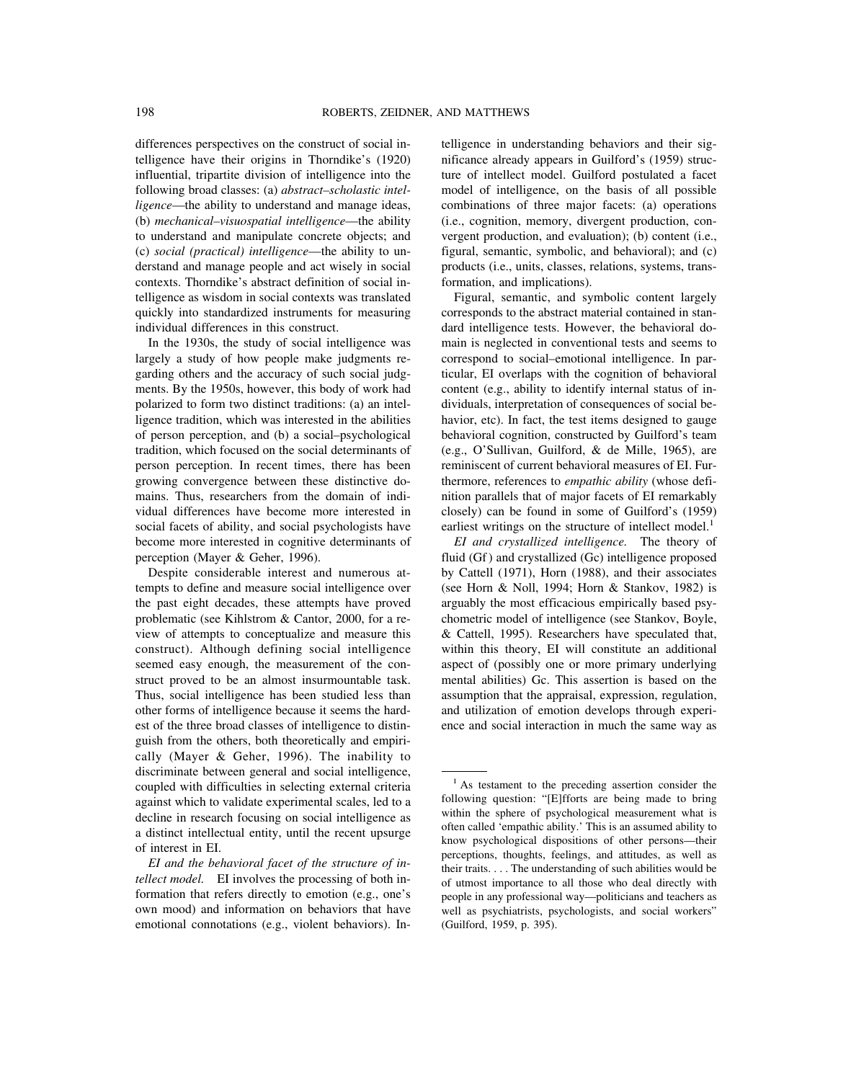differences perspectives on the construct of social intelligence have their origins in Thorndike's (1920) influential, tripartite division of intelligence into the following broad classes: (a) *abstract–scholastic intelligence*—the ability to understand and manage ideas, (b) *mechanical–visuospatial intelligence*—the ability to understand and manipulate concrete objects; and (c) *social (practical) intelligence*—the ability to understand and manage people and act wisely in social contexts. Thorndike's abstract definition of social intelligence as wisdom in social contexts was translated quickly into standardized instruments for measuring individual differences in this construct.

In the 1930s, the study of social intelligence was largely a study of how people make judgments regarding others and the accuracy of such social judgments. By the 1950s, however, this body of work had polarized to form two distinct traditions: (a) an intelligence tradition, which was interested in the abilities of person perception, and (b) a social–psychological tradition, which focused on the social determinants of person perception. In recent times, there has been growing convergence between these distinctive domains. Thus, researchers from the domain of individual differences have become more interested in social facets of ability, and social psychologists have become more interested in cognitive determinants of perception (Mayer & Geher, 1996).

Despite considerable interest and numerous attempts to define and measure social intelligence over the past eight decades, these attempts have proved problematic (see Kihlstrom & Cantor, 2000, for a review of attempts to conceptualize and measure this construct). Although defining social intelligence seemed easy enough, the measurement of the construct proved to be an almost insurmountable task. Thus, social intelligence has been studied less than other forms of intelligence because it seems the hardest of the three broad classes of intelligence to distinguish from the others, both theoretically and empirically (Mayer & Geher, 1996). The inability to discriminate between general and social intelligence, coupled with difficulties in selecting external criteria against which to validate experimental scales, led to a decline in research focusing on social intelligence as a distinct intellectual entity, until the recent upsurge of interest in EI.

telligence in understanding behaviors and their significance already appears in Guilford's (1959) structure of intellect model. Guilford postulated a facet model of intelligence, on the basis of all possible combinations of three major facets: (a) operations (i.e., cognition, memory, divergent production, convergent production, and evaluation); (b) content (i.e., figural, semantic, symbolic, and behavioral); and (c) products (i.e., units, classes, relations, systems, transformation, and implications).

Figural, semantic, and symbolic content largely corresponds to the abstract material contained in standard intelligence tests. However, the behavioral domain is neglected in conventional tests and seems to correspond to social–emotional intelligence. In particular, EI overlaps with the cognition of behavioral content (e.g., ability to identify internal status of individuals, interpretation of consequences of social behavior, etc). In fact, the test items designed to gauge behavioral cognition, constructed by Guilford's team (e.g., O'Sullivan, Guilford, & de Mille, 1965), are reminiscent of current behavioral measures of EI. Furthermore, references to *empathic ability* (whose definition parallels that of major facets of EI remarkably closely) can be found in some of Guilford's (1959) earliest writings on the structure of intellect model.<sup>1</sup>

*EI and crystallized intelligence.* The theory of fluid (Gf) and crystallized (Gc) intelligence proposed by Cattell (1971), Horn (1988), and their associates (see Horn & Noll, 1994; Horn & Stankov, 1982) is arguably the most efficacious empirically based psychometric model of intelligence (see Stankov, Boyle, & Cattell, 1995). Researchers have speculated that, within this theory, EI will constitute an additional aspect of (possibly one or more primary underlying mental abilities) Gc. This assertion is based on the assumption that the appraisal, expression, regulation, and utilization of emotion develops through experience and social interaction in much the same way as

*EI and the behavioral facet of the structure of intellect model.* EI involves the processing of both information that refers directly to emotion (e.g., one's own mood) and information on behaviors that have emotional connotations (e.g., violent behaviors). In-

 $<sup>1</sup>$  As testament to the preceding assertion consider the</sup> following question: "[E]fforts are being made to bring within the sphere of psychological measurement what is often called 'empathic ability.' This is an assumed ability to know psychological dispositions of other persons—their perceptions, thoughts, feelings, and attitudes, as well as their traits. . . . The understanding of such abilities would be of utmost importance to all those who deal directly with people in any professional way—politicians and teachers as well as psychiatrists, psychologists, and social workers" (Guilford, 1959, p. 395).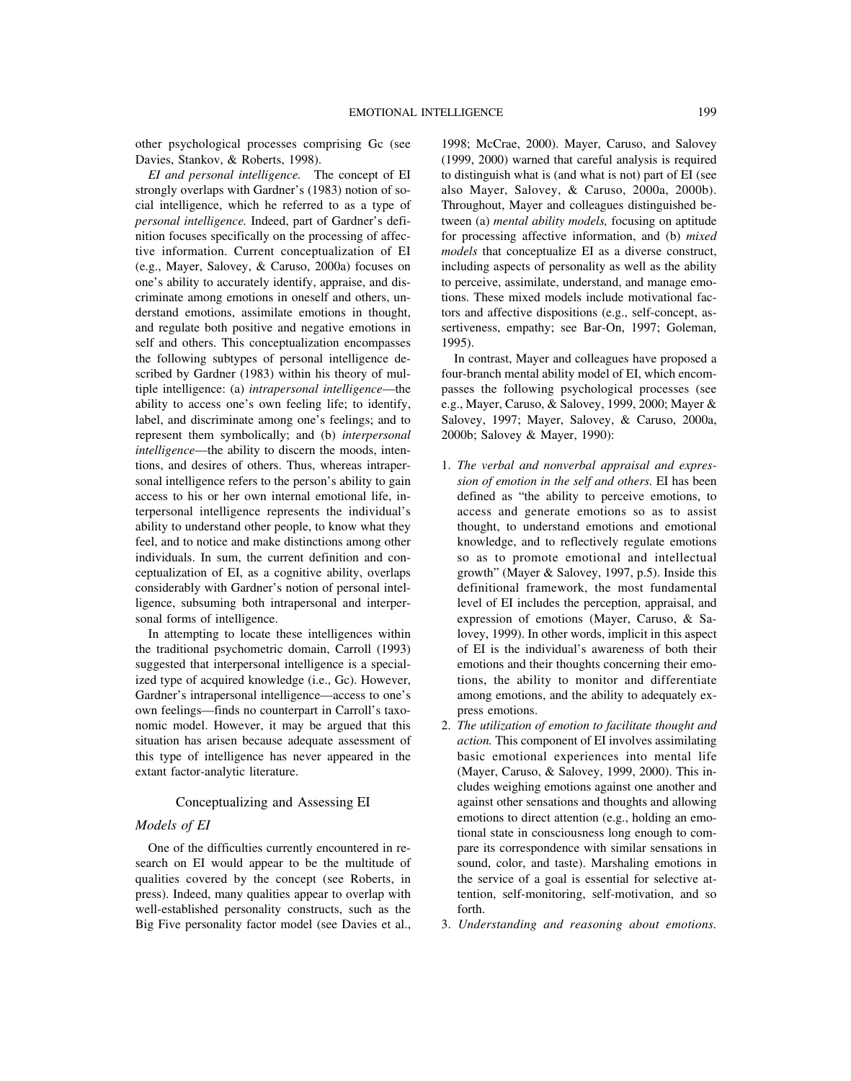other psychological processes comprising Gc (see Davies, Stankov, & Roberts, 1998).

*EI and personal intelligence.* The concept of EI strongly overlaps with Gardner's (1983) notion of social intelligence, which he referred to as a type of *personal intelligence.* Indeed, part of Gardner's definition focuses specifically on the processing of affective information. Current conceptualization of EI (e.g., Mayer, Salovey, & Caruso, 2000a) focuses on one's ability to accurately identify, appraise, and discriminate among emotions in oneself and others, understand emotions, assimilate emotions in thought, and regulate both positive and negative emotions in self and others. This conceptualization encompasses the following subtypes of personal intelligence described by Gardner (1983) within his theory of multiple intelligence: (a) *intrapersonal intelligence*—the ability to access one's own feeling life; to identify, label, and discriminate among one's feelings; and to represent them symbolically; and (b) *interpersonal intelligence*—the ability to discern the moods, intentions, and desires of others. Thus, whereas intrapersonal intelligence refers to the person's ability to gain access to his or her own internal emotional life, interpersonal intelligence represents the individual's ability to understand other people, to know what they feel, and to notice and make distinctions among other individuals. In sum, the current definition and conceptualization of EI, as a cognitive ability, overlaps considerably with Gardner's notion of personal intelligence, subsuming both intrapersonal and interpersonal forms of intelligence.

In attempting to locate these intelligences within the traditional psychometric domain, Carroll (1993) suggested that interpersonal intelligence is a specialized type of acquired knowledge (i.e., Gc). However, Gardner's intrapersonal intelligence—access to one's own feelings—finds no counterpart in Carroll's taxonomic model. However, it may be argued that this situation has arisen because adequate assessment of this type of intelligence has never appeared in the extant factor-analytic literature.

#### Conceptualizing and Assessing EI

# *Models of EI*

One of the difficulties currently encountered in research on EI would appear to be the multitude of qualities covered by the concept (see Roberts, in press). Indeed, many qualities appear to overlap with well-established personality constructs, such as the Big Five personality factor model (see Davies et al., 1998; McCrae, 2000). Mayer, Caruso, and Salovey (1999, 2000) warned that careful analysis is required to distinguish what is (and what is not) part of EI (see also Mayer, Salovey, & Caruso, 2000a, 2000b). Throughout, Mayer and colleagues distinguished between (a) *mental ability models,* focusing on aptitude for processing affective information, and (b) *mixed models* that conceptualize EI as a diverse construct, including aspects of personality as well as the ability to perceive, assimilate, understand, and manage emotions. These mixed models include motivational factors and affective dispositions (e.g., self-concept, assertiveness, empathy; see Bar-On, 1997; Goleman, 1995).

In contrast, Mayer and colleagues have proposed a four-branch mental ability model of EI, which encompasses the following psychological processes (see e.g., Mayer, Caruso, & Salovey, 1999, 2000; Mayer & Salovey, 1997; Mayer, Salovey, & Caruso, 2000a, 2000b; Salovey & Mayer, 1990):

- 1. *The verbal and nonverbal appraisal and expression of emotion in the self and others.* EI has been defined as "the ability to perceive emotions, to access and generate emotions so as to assist thought, to understand emotions and emotional knowledge, and to reflectively regulate emotions so as to promote emotional and intellectual growth" (Mayer & Salovey, 1997, p.5). Inside this definitional framework, the most fundamental level of EI includes the perception, appraisal, and expression of emotions (Mayer, Caruso, & Salovey, 1999). In other words, implicit in this aspect of EI is the individual's awareness of both their emotions and their thoughts concerning their emotions, the ability to monitor and differentiate among emotions, and the ability to adequately express emotions.
- 2. *The utilization of emotion to facilitate thought and action.* This component of EI involves assimilating basic emotional experiences into mental life (Mayer, Caruso, & Salovey, 1999, 2000). This includes weighing emotions against one another and against other sensations and thoughts and allowing emotions to direct attention (e.g., holding an emotional state in consciousness long enough to compare its correspondence with similar sensations in sound, color, and taste). Marshaling emotions in the service of a goal is essential for selective attention, self-monitoring, self-motivation, and so forth.
- 3. *Understanding and reasoning about emotions.*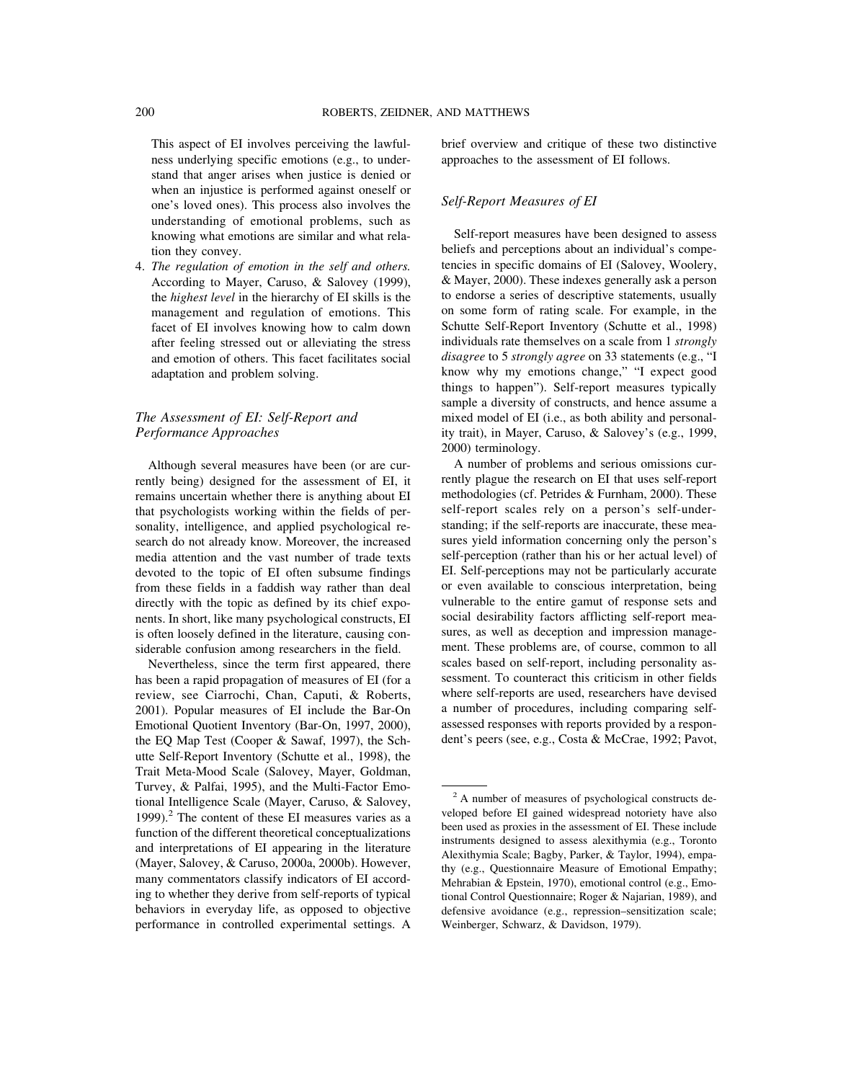This aspect of EI involves perceiving the lawfulness underlying specific emotions (e.g., to understand that anger arises when justice is denied or when an injustice is performed against oneself or one's loved ones). This process also involves the understanding of emotional problems, such as knowing what emotions are similar and what relation they convey.

4. *The regulation of emotion in the self and others.* According to Mayer, Caruso, & Salovey (1999), the *highest level* in the hierarchy of EI skills is the management and regulation of emotions. This facet of EI involves knowing how to calm down after feeling stressed out or alleviating the stress and emotion of others. This facet facilitates social adaptation and problem solving.

# *The Assessment of EI: Self-Report and Performance Approaches*

Although several measures have been (or are currently being) designed for the assessment of EI, it remains uncertain whether there is anything about EI that psychologists working within the fields of personality, intelligence, and applied psychological research do not already know. Moreover, the increased media attention and the vast number of trade texts devoted to the topic of EI often subsume findings from these fields in a faddish way rather than deal directly with the topic as defined by its chief exponents. In short, like many psychological constructs, EI is often loosely defined in the literature, causing considerable confusion among researchers in the field.

Nevertheless, since the term first appeared, there has been a rapid propagation of measures of EI (for a review, see Ciarrochi, Chan, Caputi, & Roberts, 2001). Popular measures of EI include the Bar-On Emotional Quotient Inventory (Bar-On, 1997, 2000), the EQ Map Test (Cooper & Sawaf, 1997), the Schutte Self-Report Inventory (Schutte et al., 1998), the Trait Meta-Mood Scale (Salovey, Mayer, Goldman, Turvey, & Palfai, 1995), and the Multi-Factor Emotional Intelligence Scale (Mayer, Caruso, & Salovey, 1999). $^2$  The content of these EI measures varies as a function of the different theoretical conceptualizations and interpretations of EI appearing in the literature (Mayer, Salovey, & Caruso, 2000a, 2000b). However, many commentators classify indicators of EI according to whether they derive from self-reports of typical behaviors in everyday life, as opposed to objective performance in controlled experimental settings. A

brief overview and critique of these two distinctive approaches to the assessment of EI follows.

#### *Self-Report Measures of EI*

Self-report measures have been designed to assess beliefs and perceptions about an individual's competencies in specific domains of EI (Salovey, Woolery, & Mayer, 2000). These indexes generally ask a person to endorse a series of descriptive statements, usually on some form of rating scale. For example, in the Schutte Self-Report Inventory (Schutte et al., 1998) individuals rate themselves on a scale from 1 *strongly disagree* to 5 *strongly agree* on 33 statements (e.g., "I know why my emotions change," "I expect good things to happen"). Self-report measures typically sample a diversity of constructs, and hence assume a mixed model of EI (i.e., as both ability and personality trait), in Mayer, Caruso, & Salovey's (e.g., 1999, 2000) terminology.

A number of problems and serious omissions currently plague the research on EI that uses self-report methodologies (cf. Petrides & Furnham, 2000). These self-report scales rely on a person's self-understanding; if the self-reports are inaccurate, these measures yield information concerning only the person's self-perception (rather than his or her actual level) of EI. Self-perceptions may not be particularly accurate or even available to conscious interpretation, being vulnerable to the entire gamut of response sets and social desirability factors afflicting self-report measures, as well as deception and impression management. These problems are, of course, common to all scales based on self-report, including personality assessment. To counteract this criticism in other fields where self-reports are used, researchers have devised a number of procedures, including comparing selfassessed responses with reports provided by a respondent's peers (see, e.g., Costa & McCrae, 1992; Pavot,

<sup>2</sup> A number of measures of psychological constructs developed before EI gained widespread notoriety have also been used as proxies in the assessment of EI. These include instruments designed to assess alexithymia (e.g., Toronto Alexithymia Scale; Bagby, Parker, & Taylor, 1994), empathy (e.g., Questionnaire Measure of Emotional Empathy; Mehrabian & Epstein, 1970), emotional control (e.g., Emotional Control Questionnaire; Roger & Najarian, 1989), and defensive avoidance (e.g., repression–sensitization scale; Weinberger, Schwarz, & Davidson, 1979).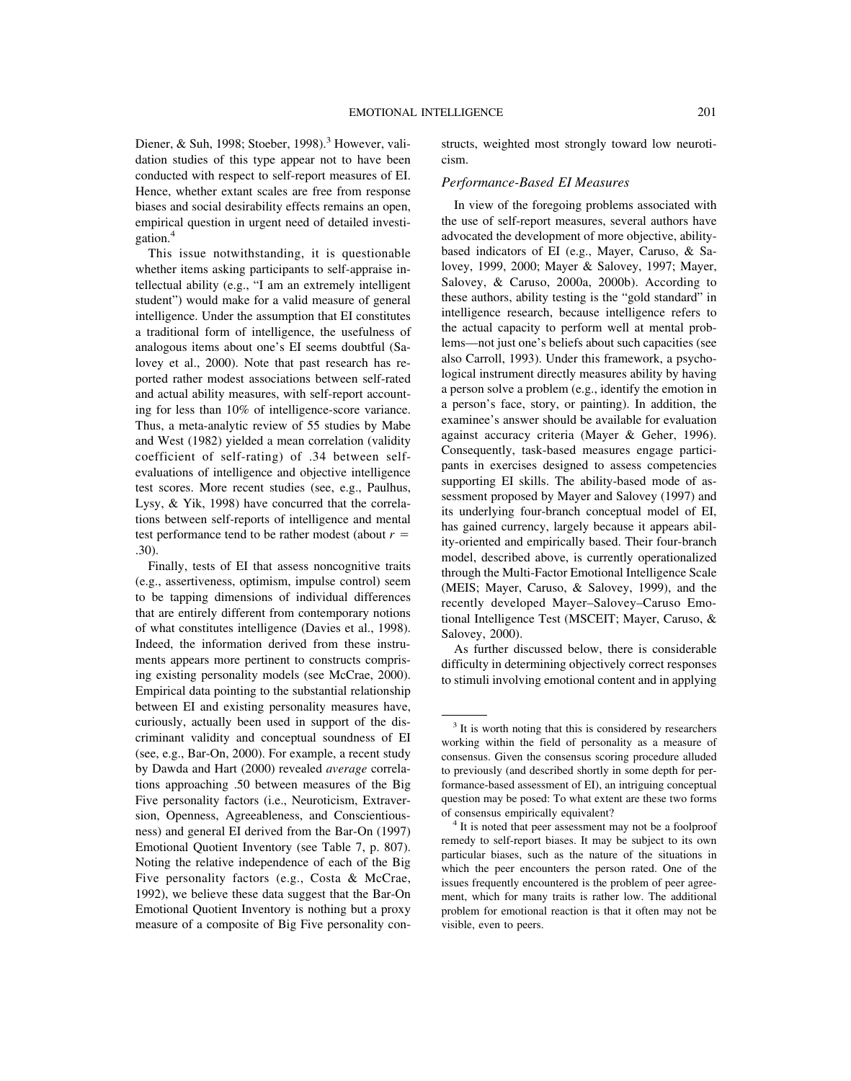Diener, & Suh, 1998; Stoeber, 1998).<sup>3</sup> However, validation studies of this type appear not to have been conducted with respect to self-report measures of EI. Hence, whether extant scales are free from response biases and social desirability effects remains an open, empirical question in urgent need of detailed investigation.<sup>4</sup>

This issue notwithstanding, it is questionable whether items asking participants to self-appraise intellectual ability (e.g., "I am an extremely intelligent student") would make for a valid measure of general intelligence. Under the assumption that EI constitutes a traditional form of intelligence, the usefulness of analogous items about one's EI seems doubtful (Salovey et al., 2000). Note that past research has reported rather modest associations between self-rated and actual ability measures, with self-report accounting for less than 10% of intelligence-score variance. Thus, a meta-analytic review of 55 studies by Mabe and West (1982) yielded a mean correlation (validity coefficient of self-rating) of .34 between selfevaluations of intelligence and objective intelligence test scores. More recent studies (see, e.g., Paulhus, Lysy, & Yik, 1998) have concurred that the correlations between self-reports of intelligence and mental test performance tend to be rather modest (about  $r =$ .30).

Finally, tests of EI that assess noncognitive traits (e.g., assertiveness, optimism, impulse control) seem to be tapping dimensions of individual differences that are entirely different from contemporary notions of what constitutes intelligence (Davies et al., 1998). Indeed, the information derived from these instruments appears more pertinent to constructs comprising existing personality models (see McCrae, 2000). Empirical data pointing to the substantial relationship between EI and existing personality measures have, curiously, actually been used in support of the discriminant validity and conceptual soundness of EI (see, e.g., Bar-On, 2000). For example, a recent study by Dawda and Hart (2000) revealed *average* correlations approaching .50 between measures of the Big Five personality factors (i.e., Neuroticism, Extraversion, Openness, Agreeableness, and Conscientiousness) and general EI derived from the Bar-On (1997) Emotional Quotient Inventory (see Table 7, p. 807). Noting the relative independence of each of the Big Five personality factors (e.g., Costa & McCrae, 1992), we believe these data suggest that the Bar-On Emotional Quotient Inventory is nothing but a proxy measure of a composite of Big Five personality constructs, weighted most strongly toward low neuroticism.

## *Performance-Based EI Measures*

In view of the foregoing problems associated with the use of self-report measures, several authors have advocated the development of more objective, abilitybased indicators of EI (e.g., Mayer, Caruso, & Salovey, 1999, 2000; Mayer & Salovey, 1997; Mayer, Salovey, & Caruso, 2000a, 2000b). According to these authors, ability testing is the "gold standard" in intelligence research, because intelligence refers to the actual capacity to perform well at mental problems—not just one's beliefs about such capacities (see also Carroll, 1993). Under this framework, a psychological instrument directly measures ability by having a person solve a problem (e.g., identify the emotion in a person's face, story, or painting). In addition, the examinee's answer should be available for evaluation against accuracy criteria (Mayer & Geher, 1996). Consequently, task-based measures engage participants in exercises designed to assess competencies supporting EI skills. The ability-based mode of assessment proposed by Mayer and Salovey (1997) and its underlying four-branch conceptual model of EI, has gained currency, largely because it appears ability-oriented and empirically based. Their four-branch model, described above, is currently operationalized through the Multi-Factor Emotional Intelligence Scale (MEIS; Mayer, Caruso, & Salovey, 1999), and the recently developed Mayer–Salovey–Caruso Emotional Intelligence Test (MSCEIT; Mayer, Caruso, & Salovey, 2000).

As further discussed below, there is considerable difficulty in determining objectively correct responses to stimuli involving emotional content and in applying

<sup>&</sup>lt;sup>3</sup> It is worth noting that this is considered by researchers working within the field of personality as a measure of consensus. Given the consensus scoring procedure alluded to previously (and described shortly in some depth for performance-based assessment of EI), an intriguing conceptual question may be posed: To what extent are these two forms of consensus empirically equivalent? <sup>4</sup> It is noted that peer assessment may not be a foolproof

remedy to self-report biases. It may be subject to its own particular biases, such as the nature of the situations in which the peer encounters the person rated. One of the issues frequently encountered is the problem of peer agreement, which for many traits is rather low. The additional problem for emotional reaction is that it often may not be visible, even to peers.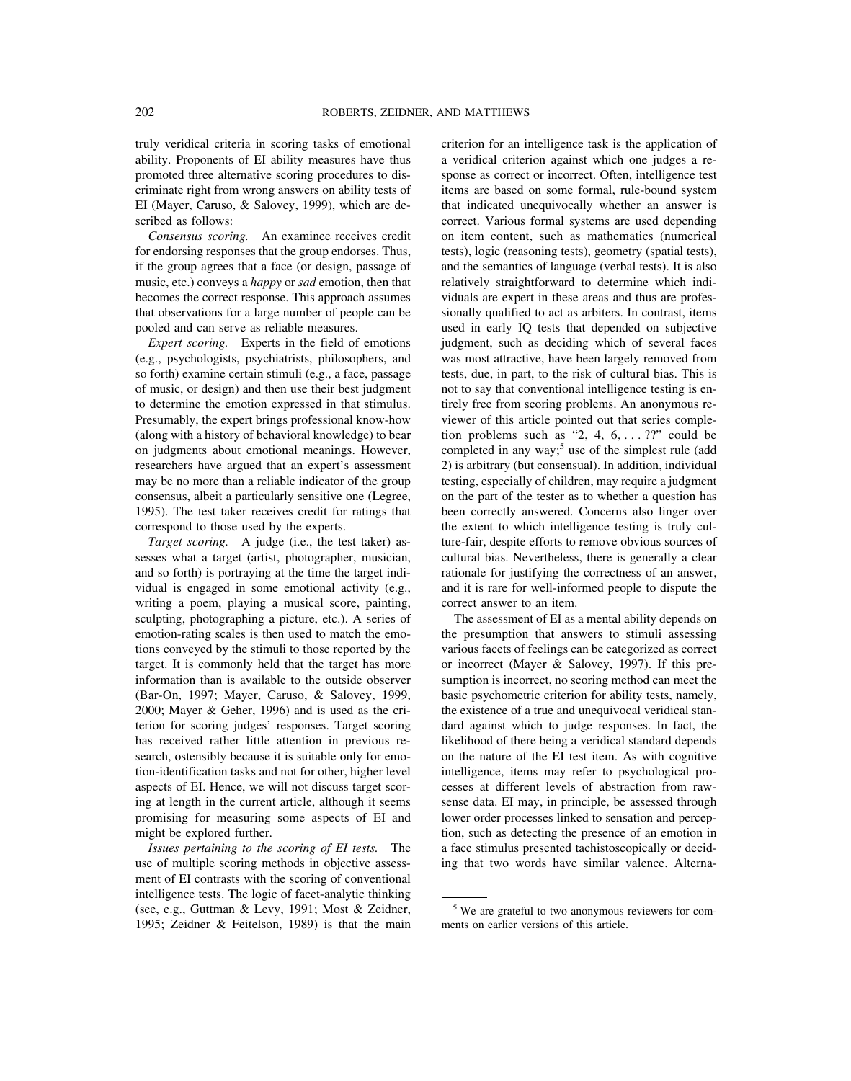truly veridical criteria in scoring tasks of emotional ability. Proponents of EI ability measures have thus promoted three alternative scoring procedures to discriminate right from wrong answers on ability tests of EI (Mayer, Caruso, & Salovey, 1999), which are described as follows:

*Consensus scoring.* An examinee receives credit for endorsing responses that the group endorses. Thus, if the group agrees that a face (or design, passage of music, etc.) conveys a *happy* or *sad* emotion, then that becomes the correct response. This approach assumes that observations for a large number of people can be pooled and can serve as reliable measures.

*Expert scoring.* Experts in the field of emotions (e.g., psychologists, psychiatrists, philosophers, and so forth) examine certain stimuli (e.g., a face, passage of music, or design) and then use their best judgment to determine the emotion expressed in that stimulus. Presumably, the expert brings professional know-how (along with a history of behavioral knowledge) to bear on judgments about emotional meanings. However, researchers have argued that an expert's assessment may be no more than a reliable indicator of the group consensus, albeit a particularly sensitive one (Legree, 1995). The test taker receives credit for ratings that correspond to those used by the experts.

*Target scoring.* A judge (i.e., the test taker) assesses what a target (artist, photographer, musician, and so forth) is portraying at the time the target individual is engaged in some emotional activity (e.g., writing a poem, playing a musical score, painting, sculpting, photographing a picture, etc.). A series of emotion-rating scales is then used to match the emotions conveyed by the stimuli to those reported by the target. It is commonly held that the target has more information than is available to the outside observer (Bar-On, 1997; Mayer, Caruso, & Salovey, 1999, 2000; Mayer & Geher, 1996) and is used as the criterion for scoring judges' responses. Target scoring has received rather little attention in previous research, ostensibly because it is suitable only for emotion-identification tasks and not for other, higher level aspects of EI. Hence, we will not discuss target scoring at length in the current article, although it seems promising for measuring some aspects of EI and might be explored further.

*Issues pertaining to the scoring of EI tests.* The use of multiple scoring methods in objective assessment of EI contrasts with the scoring of conventional intelligence tests. The logic of facet-analytic thinking (see, e.g., Guttman & Levy, 1991; Most & Zeidner, 1995; Zeidner & Feitelson, 1989) is that the main

criterion for an intelligence task is the application of a veridical criterion against which one judges a response as correct or incorrect. Often, intelligence test items are based on some formal, rule-bound system that indicated unequivocally whether an answer is correct. Various formal systems are used depending on item content, such as mathematics (numerical tests), logic (reasoning tests), geometry (spatial tests), and the semantics of language (verbal tests). It is also relatively straightforward to determine which individuals are expert in these areas and thus are professionally qualified to act as arbiters. In contrast, items used in early IQ tests that depended on subjective judgment, such as deciding which of several faces was most attractive, have been largely removed from tests, due, in part, to the risk of cultural bias. This is not to say that conventional intelligence testing is entirely free from scoring problems. An anonymous reviewer of this article pointed out that series completion problems such as "2, 4,  $6, \ldots$  ??" could be completed in any way;<sup>5</sup> use of the simplest rule (add 2) is arbitrary (but consensual). In addition, individual testing, especially of children, may require a judgment on the part of the tester as to whether a question has been correctly answered. Concerns also linger over the extent to which intelligence testing is truly culture-fair, despite efforts to remove obvious sources of cultural bias. Nevertheless, there is generally a clear rationale for justifying the correctness of an answer, and it is rare for well-informed people to dispute the correct answer to an item.

The assessment of EI as a mental ability depends on the presumption that answers to stimuli assessing various facets of feelings can be categorized as correct or incorrect (Mayer & Salovey, 1997). If this presumption is incorrect, no scoring method can meet the basic psychometric criterion for ability tests, namely, the existence of a true and unequivocal veridical standard against which to judge responses. In fact, the likelihood of there being a veridical standard depends on the nature of the EI test item. As with cognitive intelligence, items may refer to psychological processes at different levels of abstraction from rawsense data. EI may, in principle, be assessed through lower order processes linked to sensation and perception, such as detecting the presence of an emotion in a face stimulus presented tachistoscopically or deciding that two words have similar valence. Alterna-

<sup>5</sup> We are grateful to two anonymous reviewers for comments on earlier versions of this article.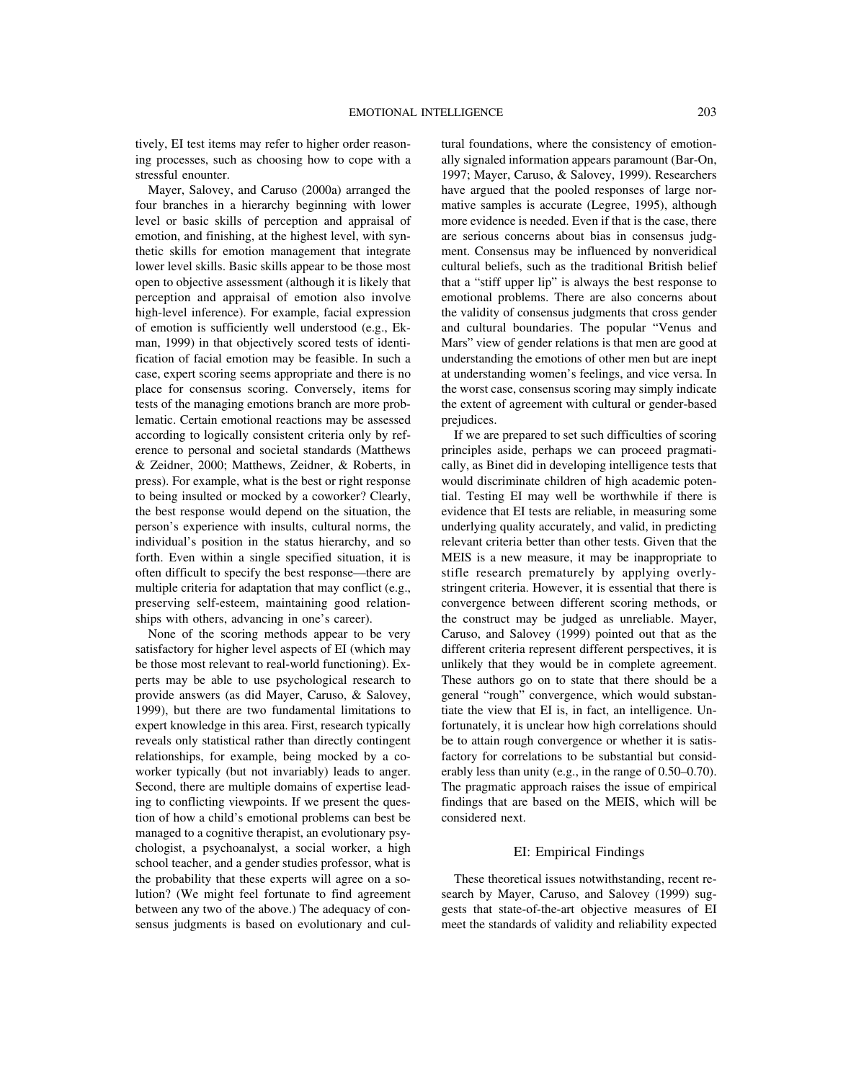tively, EI test items may refer to higher order reasoning processes, such as choosing how to cope with a stressful enounter.

Mayer, Salovey, and Caruso (2000a) arranged the four branches in a hierarchy beginning with lower level or basic skills of perception and appraisal of emotion, and finishing, at the highest level, with synthetic skills for emotion management that integrate lower level skills. Basic skills appear to be those most open to objective assessment (although it is likely that perception and appraisal of emotion also involve high-level inference). For example, facial expression of emotion is sufficiently well understood (e.g., Ekman, 1999) in that objectively scored tests of identification of facial emotion may be feasible. In such a case, expert scoring seems appropriate and there is no place for consensus scoring. Conversely, items for tests of the managing emotions branch are more problematic. Certain emotional reactions may be assessed according to logically consistent criteria only by reference to personal and societal standards (Matthews & Zeidner, 2000; Matthews, Zeidner, & Roberts, in press). For example, what is the best or right response to being insulted or mocked by a coworker? Clearly, the best response would depend on the situation, the person's experience with insults, cultural norms, the individual's position in the status hierarchy, and so forth. Even within a single specified situation, it is often difficult to specify the best response—there are multiple criteria for adaptation that may conflict (e.g., preserving self-esteem, maintaining good relationships with others, advancing in one's career).

None of the scoring methods appear to be very satisfactory for higher level aspects of EI (which may be those most relevant to real-world functioning). Experts may be able to use psychological research to provide answers (as did Mayer, Caruso, & Salovey, 1999), but there are two fundamental limitations to expert knowledge in this area. First, research typically reveals only statistical rather than directly contingent relationships, for example, being mocked by a coworker typically (but not invariably) leads to anger. Second, there are multiple domains of expertise leading to conflicting viewpoints. If we present the question of how a child's emotional problems can best be managed to a cognitive therapist, an evolutionary psychologist, a psychoanalyst, a social worker, a high school teacher, and a gender studies professor, what is the probability that these experts will agree on a solution? (We might feel fortunate to find agreement between any two of the above.) The adequacy of consensus judgments is based on evolutionary and cultural foundations, where the consistency of emotionally signaled information appears paramount (Bar-On, 1997; Mayer, Caruso, & Salovey, 1999). Researchers have argued that the pooled responses of large normative samples is accurate (Legree, 1995), although more evidence is needed. Even if that is the case, there are serious concerns about bias in consensus judgment. Consensus may be influenced by nonveridical cultural beliefs, such as the traditional British belief that a "stiff upper lip" is always the best response to emotional problems. There are also concerns about the validity of consensus judgments that cross gender and cultural boundaries. The popular "Venus and Mars" view of gender relations is that men are good at understanding the emotions of other men but are inept at understanding women's feelings, and vice versa. In the worst case, consensus scoring may simply indicate the extent of agreement with cultural or gender-based prejudices.

If we are prepared to set such difficulties of scoring principles aside, perhaps we can proceed pragmatically, as Binet did in developing intelligence tests that would discriminate children of high academic potential. Testing EI may well be worthwhile if there is evidence that EI tests are reliable, in measuring some underlying quality accurately, and valid, in predicting relevant criteria better than other tests. Given that the MEIS is a new measure, it may be inappropriate to stifle research prematurely by applying overlystringent criteria. However, it is essential that there is convergence between different scoring methods, or the construct may be judged as unreliable. Mayer, Caruso, and Salovey (1999) pointed out that as the different criteria represent different perspectives, it is unlikely that they would be in complete agreement. These authors go on to state that there should be a general "rough" convergence, which would substantiate the view that EI is, in fact, an intelligence. Unfortunately, it is unclear how high correlations should be to attain rough convergence or whether it is satisfactory for correlations to be substantial but considerably less than unity (e.g., in the range of 0.50–0.70). The pragmatic approach raises the issue of empirical findings that are based on the MEIS, which will be considered next.

#### EI: Empirical Findings

These theoretical issues notwithstanding, recent research by Mayer, Caruso, and Salovey (1999) suggests that state-of-the-art objective measures of EI meet the standards of validity and reliability expected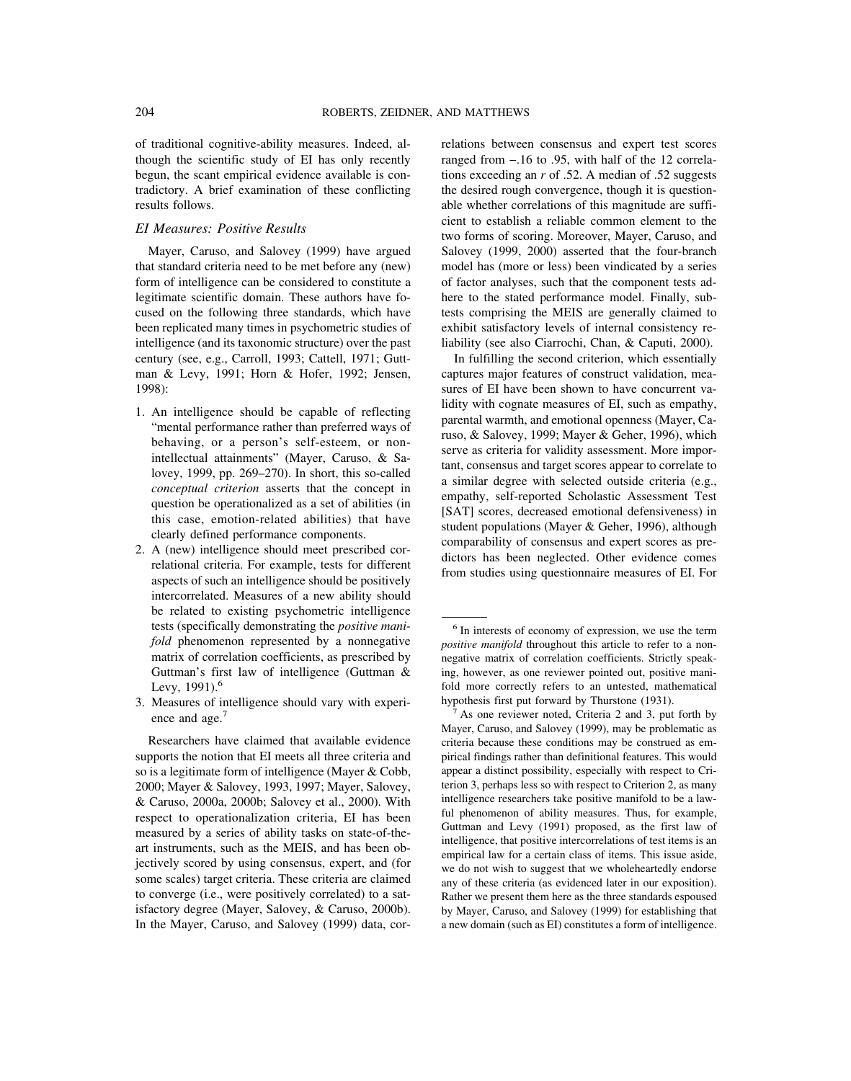of traditional cognitive-ability measures. Indeed, although the scientific study of EI has only recently begun, the scant empirical evidence available is contradictory. A brief examination of these conflicting results follows.

### *EI Measures: Positive Results*

Mayer, Caruso, and Salovey (1999) have argued that standard criteria need to be met before any (new) form of intelligence can be considered to constitute a legitimate scientific domain. These authors have focused on the following three standards, which have been replicated many times in psychometric studies of intelligence (and its taxonomic structure) over the past century (see, e.g., Carroll, 1993; Cattell, 1971; Guttman & Levy, 1991; Horn & Hofer, 1992; Jensen, 1998):

- 1. An intelligence should be capable of reflecting "mental performance rather than preferred ways of behaving, or a person's self-esteem, or nonintellectual attainments" (Mayer, Caruso, & Salovey, 1999, pp. 269–270). In short, this so-called *conceptual criterion* asserts that the concept in question be operationalized as a set of abilities (in this case, emotion-related abilities) that have clearly defined performance components.
- 2. A (new) intelligence should meet prescribed correlational criteria. For example, tests for different aspects of such an intelligence should be positively intercorrelated. Measures of a new ability should be related to existing psychometric intelligence tests (specifically demonstrating the *positive manifold* phenomenon represented by a nonnegative matrix of correlation coefficients, as prescribed by Guttman's first law of intelligence (Guttman & Levy,  $1991$ <sup>6</sup>
- 3. Measures of intelligence should vary with experience and age.<sup>7</sup>

Researchers have claimed that available evidence supports the notion that EI meets all three criteria and so is a legitimate form of intelligence (Mayer & Cobb, 2000; Mayer & Salovey, 1993, 1997; Mayer, Salovey, & Caruso, 2000a, 2000b; Salovey et al., 2000). With respect to operationalization criteria, EI has been measured by a series of ability tasks on state-of-theart instruments, such as the MEIS, and has been objectively scored by using consensus, expert, and (for some scales) target criteria. These criteria are claimed to converge (i.e., were positively correlated) to a satisfactory degree (Mayer, Salovey, & Caruso, 2000b). In the Mayer, Caruso, and Salovey (1999) data, correlations between consensus and expert test scores ranged from −.16 to .95, with half of the 12 correlations exceeding an *r* of .52. A median of .52 suggests the desired rough convergence, though it is questionable whether correlations of this magnitude are sufficient to establish a reliable common element to the two forms of scoring. Moreover, Mayer, Caruso, and Salovey (1999, 2000) asserted that the four-branch model has (more or less) been vindicated by a series of factor analyses, such that the component tests adhere to the stated performance model. Finally, subtests comprising the MEIS are generally claimed to exhibit satisfactory levels of internal consistency reliability (see also Ciarrochi, Chan, & Caputi, 2000).

In fulfilling the second criterion, which essentially captures major features of construct validation, measures of EI have been shown to have concurrent validity with cognate measures of EI, such as empathy, parental warmth, and emotional openness (Mayer, Caruso, & Salovey, 1999; Mayer & Geher, 1996), which serve as criteria for validity assessment. More important, consensus and target scores appear to correlate to a similar degree with selected outside criteria (e.g., empathy, self-reported Scholastic Assessment Test [SAT] scores, decreased emotional defensiveness) in student populations (Mayer & Geher, 1996), although comparability of consensus and expert scores as predictors has been neglected. Other evidence comes from studies using questionnaire measures of EI. For

<sup>6</sup> In interests of economy of expression, we use the term *positive manifold* throughout this article to refer to a nonnegative matrix of correlation coefficients. Strictly speaking, however, as one reviewer pointed out, positive manifold more correctly refers to an untested, mathematical hypothesis first put forward by Thurstone (1931). <sup>7</sup> As one reviewer noted, Criteria 2 and 3, put forth by

Mayer, Caruso, and Salovey (1999), may be problematic as criteria because these conditions may be construed as empirical findings rather than definitional features. This would appear a distinct possibility, especially with respect to Criterion 3, perhaps less so with respect to Criterion 2, as many intelligence researchers take positive manifold to be a lawful phenomenon of ability measures. Thus, for example, Guttman and Levy (1991) proposed, as the first law of intelligence, that positive intercorrelations of test items is an empirical law for a certain class of items. This issue aside, we do not wish to suggest that we wholeheartedly endorse any of these criteria (as evidenced later in our exposition). Rather we present them here as the three standards espoused by Mayer, Caruso, and Salovey (1999) for establishing that a new domain (such as EI) constitutes a form of intelligence.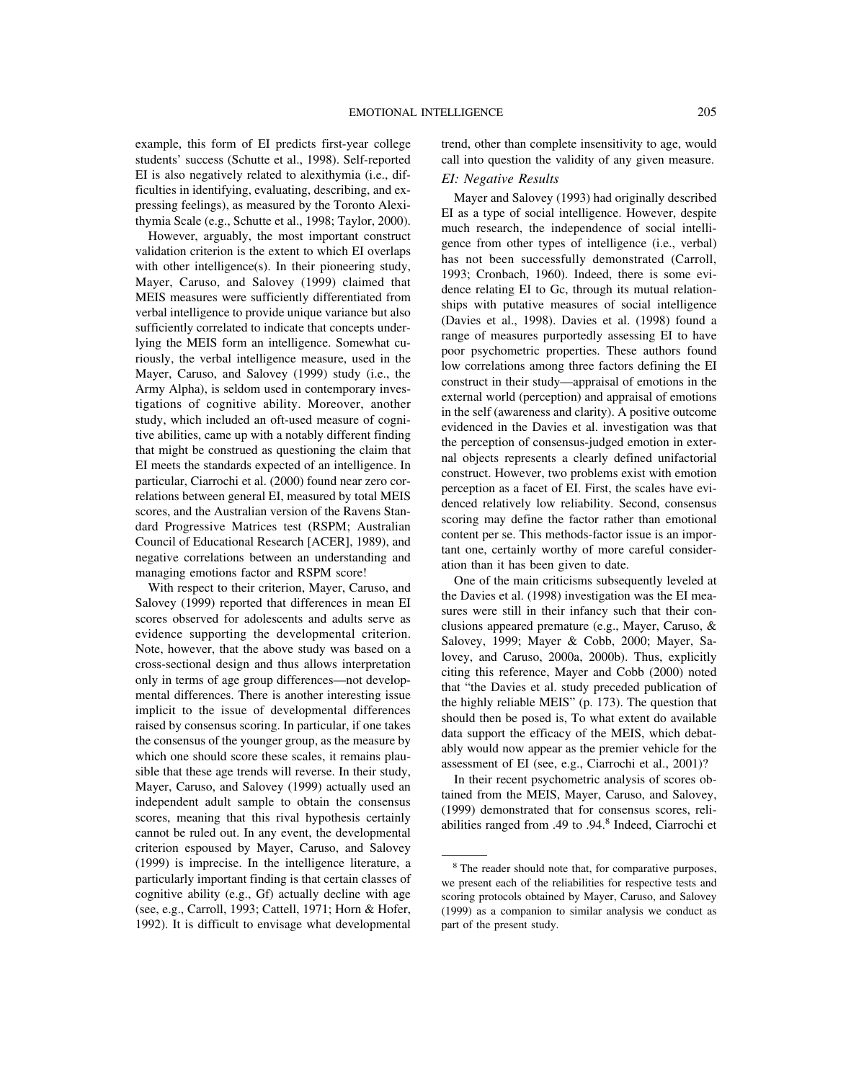example, this form of EI predicts first-year college students' success (Schutte et al., 1998). Self-reported EI is also negatively related to alexithymia (i.e., difficulties in identifying, evaluating, describing, and expressing feelings), as measured by the Toronto Alexithymia Scale (e.g., Schutte et al., 1998; Taylor, 2000).

However, arguably, the most important construct validation criterion is the extent to which EI overlaps with other intelligence(s). In their pioneering study, Mayer, Caruso, and Salovey (1999) claimed that MEIS measures were sufficiently differentiated from verbal intelligence to provide unique variance but also sufficiently correlated to indicate that concepts underlying the MEIS form an intelligence. Somewhat curiously, the verbal intelligence measure, used in the Mayer, Caruso, and Salovey (1999) study (i.e., the Army Alpha), is seldom used in contemporary investigations of cognitive ability. Moreover, another study, which included an oft-used measure of cognitive abilities, came up with a notably different finding that might be construed as questioning the claim that EI meets the standards expected of an intelligence. In particular, Ciarrochi et al. (2000) found near zero correlations between general EI, measured by total MEIS scores, and the Australian version of the Ravens Standard Progressive Matrices test (RSPM; Australian Council of Educational Research [ACER], 1989), and negative correlations between an understanding and managing emotions factor and RSPM score!

With respect to their criterion, Mayer, Caruso, and Salovey (1999) reported that differences in mean EI scores observed for adolescents and adults serve as evidence supporting the developmental criterion. Note, however, that the above study was based on a cross-sectional design and thus allows interpretation only in terms of age group differences—not developmental differences. There is another interesting issue implicit to the issue of developmental differences raised by consensus scoring. In particular, if one takes the consensus of the younger group, as the measure by which one should score these scales, it remains plausible that these age trends will reverse. In their study, Mayer, Caruso, and Salovey (1999) actually used an independent adult sample to obtain the consensus scores, meaning that this rival hypothesis certainly cannot be ruled out. In any event, the developmental criterion espoused by Mayer, Caruso, and Salovey (1999) is imprecise. In the intelligence literature, a particularly important finding is that certain classes of cognitive ability (e.g., Gf) actually decline with age (see, e.g., Carroll, 1993; Cattell, 1971; Horn & Hofer, 1992). It is difficult to envisage what developmental trend, other than complete insensitivity to age, would call into question the validity of any given measure.

## *EI: Negative Results*

Mayer and Salovey (1993) had originally described EI as a type of social intelligence. However, despite much research, the independence of social intelligence from other types of intelligence (i.e., verbal) has not been successfully demonstrated (Carroll, 1993; Cronbach, 1960). Indeed, there is some evidence relating EI to Gc, through its mutual relationships with putative measures of social intelligence (Davies et al., 1998). Davies et al. (1998) found a range of measures purportedly assessing EI to have poor psychometric properties. These authors found low correlations among three factors defining the EI construct in their study—appraisal of emotions in the external world (perception) and appraisal of emotions in the self (awareness and clarity). A positive outcome evidenced in the Davies et al. investigation was that the perception of consensus-judged emotion in external objects represents a clearly defined unifactorial construct. However, two problems exist with emotion perception as a facet of EI. First, the scales have evidenced relatively low reliability. Second, consensus scoring may define the factor rather than emotional content per se. This methods-factor issue is an important one, certainly worthy of more careful consideration than it has been given to date.

One of the main criticisms subsequently leveled at the Davies et al. (1998) investigation was the EI measures were still in their infancy such that their conclusions appeared premature (e.g., Mayer, Caruso, & Salovey, 1999; Mayer & Cobb, 2000; Mayer, Salovey, and Caruso, 2000a, 2000b). Thus, explicitly citing this reference, Mayer and Cobb (2000) noted that "the Davies et al. study preceded publication of the highly reliable MEIS" (p. 173). The question that should then be posed is, To what extent do available data support the efficacy of the MEIS, which debatably would now appear as the premier vehicle for the assessment of EI (see, e.g., Ciarrochi et al., 2001)?

In their recent psychometric analysis of scores obtained from the MEIS, Mayer, Caruso, and Salovey, (1999) demonstrated that for consensus scores, reliabilities ranged from .49 to .94.<sup>8</sup> Indeed, Ciarrochi et

<sup>8</sup> The reader should note that, for comparative purposes, we present each of the reliabilities for respective tests and scoring protocols obtained by Mayer, Caruso, and Salovey (1999) as a companion to similar analysis we conduct as part of the present study.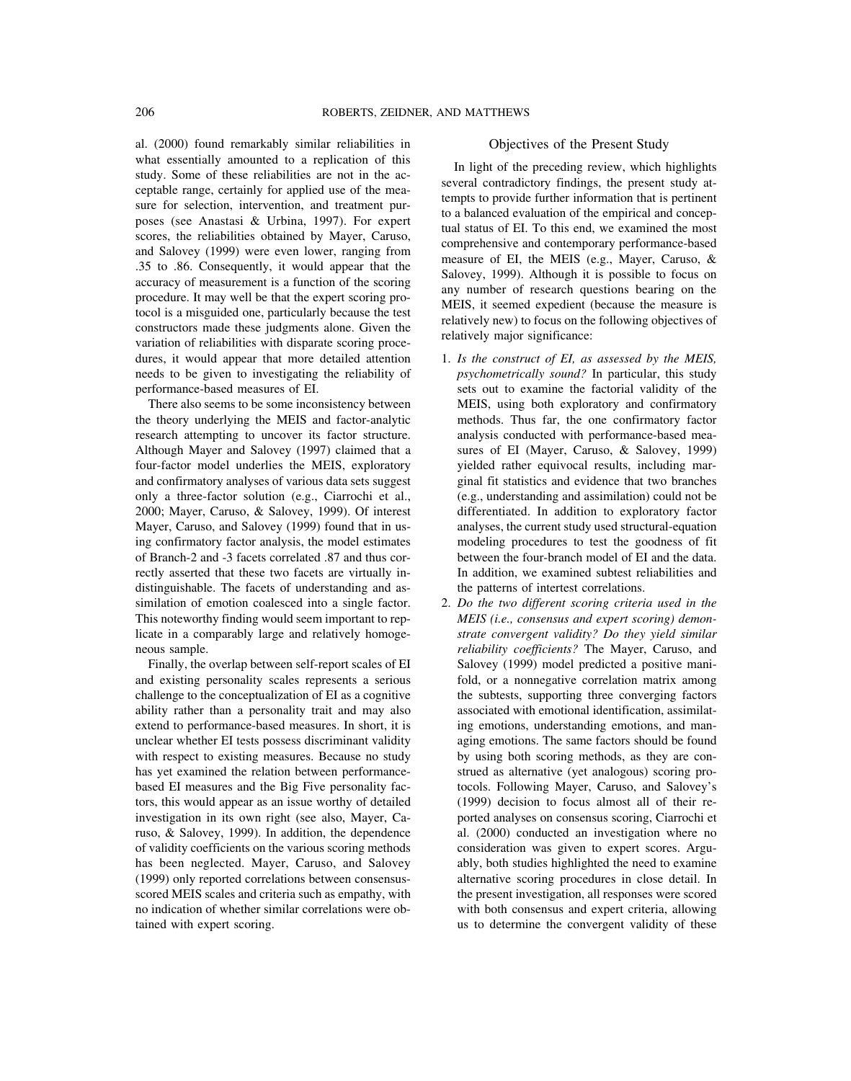al. (2000) found remarkably similar reliabilities in what essentially amounted to a replication of this study. Some of these reliabilities are not in the acceptable range, certainly for applied use of the measure for selection, intervention, and treatment purposes (see Anastasi & Urbina, 1997). For expert scores, the reliabilities obtained by Mayer, Caruso, and Salovey (1999) were even lower, ranging from .35 to .86. Consequently, it would appear that the accuracy of measurement is a function of the scoring procedure. It may well be that the expert scoring protocol is a misguided one, particularly because the test constructors made these judgments alone. Given the variation of reliabilities with disparate scoring procedures, it would appear that more detailed attention needs to be given to investigating the reliability of performance-based measures of EI.

There also seems to be some inconsistency between the theory underlying the MEIS and factor-analytic research attempting to uncover its factor structure. Although Mayer and Salovey (1997) claimed that a four-factor model underlies the MEIS, exploratory and confirmatory analyses of various data sets suggest only a three-factor solution (e.g., Ciarrochi et al., 2000; Mayer, Caruso, & Salovey, 1999). Of interest Mayer, Caruso, and Salovey (1999) found that in using confirmatory factor analysis, the model estimates of Branch-2 and -3 facets correlated .87 and thus correctly asserted that these two facets are virtually indistinguishable. The facets of understanding and assimilation of emotion coalesced into a single factor. This noteworthy finding would seem important to replicate in a comparably large and relatively homogeneous sample.

Finally, the overlap between self-report scales of EI and existing personality scales represents a serious challenge to the conceptualization of EI as a cognitive ability rather than a personality trait and may also extend to performance-based measures. In short, it is unclear whether EI tests possess discriminant validity with respect to existing measures. Because no study has yet examined the relation between performancebased EI measures and the Big Five personality factors, this would appear as an issue worthy of detailed investigation in its own right (see also, Mayer, Caruso, & Salovey, 1999). In addition, the dependence of validity coefficients on the various scoring methods has been neglected. Mayer, Caruso, and Salovey (1999) only reported correlations between consensusscored MEIS scales and criteria such as empathy, with no indication of whether similar correlations were obtained with expert scoring.

#### Objectives of the Present Study

In light of the preceding review, which highlights several contradictory findings, the present study attempts to provide further information that is pertinent to a balanced evaluation of the empirical and conceptual status of EI. To this end, we examined the most comprehensive and contemporary performance-based measure of EI, the MEIS (e.g., Mayer, Caruso, & Salovey, 1999). Although it is possible to focus on any number of research questions bearing on the MEIS, it seemed expedient (because the measure is relatively new) to focus on the following objectives of relatively major significance:

- 1. *Is the construct of EI, as assessed by the MEIS, psychometrically sound?* In particular, this study sets out to examine the factorial validity of the MEIS, using both exploratory and confirmatory methods. Thus far, the one confirmatory factor analysis conducted with performance-based measures of EI (Mayer, Caruso, & Salovey, 1999) yielded rather equivocal results, including marginal fit statistics and evidence that two branches (e.g., understanding and assimilation) could not be differentiated. In addition to exploratory factor analyses, the current study used structural-equation modeling procedures to test the goodness of fit between the four-branch model of EI and the data. In addition, we examined subtest reliabilities and the patterns of intertest correlations.
- 2. *Do the two different scoring criteria used in the MEIS (i.e., consensus and expert scoring) demonstrate convergent validity? Do they yield similar reliability coefficients?* The Mayer, Caruso, and Salovey (1999) model predicted a positive manifold, or a nonnegative correlation matrix among the subtests, supporting three converging factors associated with emotional identification, assimilating emotions, understanding emotions, and managing emotions. The same factors should be found by using both scoring methods, as they are construed as alternative (yet analogous) scoring protocols. Following Mayer, Caruso, and Salovey's (1999) decision to focus almost all of their reported analyses on consensus scoring, Ciarrochi et al. (2000) conducted an investigation where no consideration was given to expert scores. Arguably, both studies highlighted the need to examine alternative scoring procedures in close detail. In the present investigation, all responses were scored with both consensus and expert criteria, allowing us to determine the convergent validity of these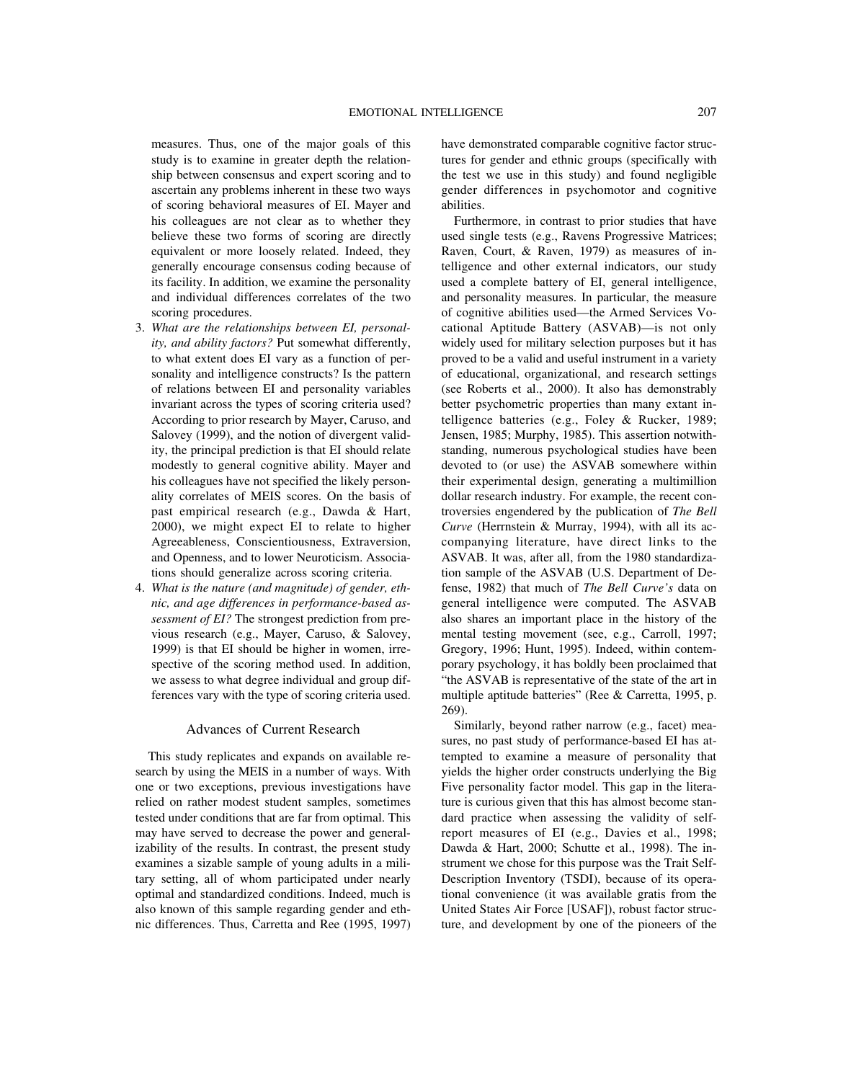measures. Thus, one of the major goals of this study is to examine in greater depth the relationship between consensus and expert scoring and to ascertain any problems inherent in these two ways of scoring behavioral measures of EI. Mayer and his colleagues are not clear as to whether they believe these two forms of scoring are directly equivalent or more loosely related. Indeed, they generally encourage consensus coding because of its facility. In addition, we examine the personality and individual differences correlates of the two scoring procedures.

- 3. *What are the relationships between EI, personality, and ability factors?* Put somewhat differently, to what extent does EI vary as a function of personality and intelligence constructs? Is the pattern of relations between EI and personality variables invariant across the types of scoring criteria used? According to prior research by Mayer, Caruso, and Salovey (1999), and the notion of divergent validity, the principal prediction is that EI should relate modestly to general cognitive ability. Mayer and his colleagues have not specified the likely personality correlates of MEIS scores. On the basis of past empirical research (e.g., Dawda & Hart, 2000), we might expect EI to relate to higher Agreeableness, Conscientiousness, Extraversion, and Openness, and to lower Neuroticism. Associations should generalize across scoring criteria.
- 4. *What is the nature (and magnitude) of gender, ethnic, and age differences in performance-based assessment of EI?* The strongest prediction from previous research (e.g., Mayer, Caruso, & Salovey, 1999) is that EI should be higher in women, irrespective of the scoring method used. In addition, we assess to what degree individual and group differences vary with the type of scoring criteria used.

#### Advances of Current Research

This study replicates and expands on available research by using the MEIS in a number of ways. With one or two exceptions, previous investigations have relied on rather modest student samples, sometimes tested under conditions that are far from optimal. This may have served to decrease the power and generalizability of the results. In contrast, the present study examines a sizable sample of young adults in a military setting, all of whom participated under nearly optimal and standardized conditions. Indeed, much is also known of this sample regarding gender and ethnic differences. Thus, Carretta and Ree (1995, 1997)

have demonstrated comparable cognitive factor structures for gender and ethnic groups (specifically with the test we use in this study) and found negligible gender differences in psychomotor and cognitive abilities.

Furthermore, in contrast to prior studies that have used single tests (e.g., Ravens Progressive Matrices; Raven, Court, & Raven, 1979) as measures of intelligence and other external indicators, our study used a complete battery of EI, general intelligence, and personality measures. In particular, the measure of cognitive abilities used—the Armed Services Vocational Aptitude Battery (ASVAB)—is not only widely used for military selection purposes but it has proved to be a valid and useful instrument in a variety of educational, organizational, and research settings (see Roberts et al., 2000). It also has demonstrably better psychometric properties than many extant intelligence batteries (e.g., Foley & Rucker, 1989; Jensen, 1985; Murphy, 1985). This assertion notwithstanding, numerous psychological studies have been devoted to (or use) the ASVAB somewhere within their experimental design, generating a multimillion dollar research industry. For example, the recent controversies engendered by the publication of *The Bell Curve* (Herrnstein & Murray, 1994), with all its accompanying literature, have direct links to the ASVAB. It was, after all, from the 1980 standardization sample of the ASVAB (U.S. Department of Defense, 1982) that much of *The Bell Curve's* data on general intelligence were computed. The ASVAB also shares an important place in the history of the mental testing movement (see, e.g., Carroll, 1997; Gregory, 1996; Hunt, 1995). Indeed, within contemporary psychology, it has boldly been proclaimed that "the ASVAB is representative of the state of the art in multiple aptitude batteries" (Ree & Carretta, 1995, p. 269).

Similarly, beyond rather narrow (e.g., facet) measures, no past study of performance-based EI has attempted to examine a measure of personality that yields the higher order constructs underlying the Big Five personality factor model. This gap in the literature is curious given that this has almost become standard practice when assessing the validity of selfreport measures of EI (e.g., Davies et al., 1998; Dawda & Hart, 2000; Schutte et al., 1998). The instrument we chose for this purpose was the Trait Self-Description Inventory (TSDI), because of its operational convenience (it was available gratis from the United States Air Force [USAF]), robust factor structure, and development by one of the pioneers of the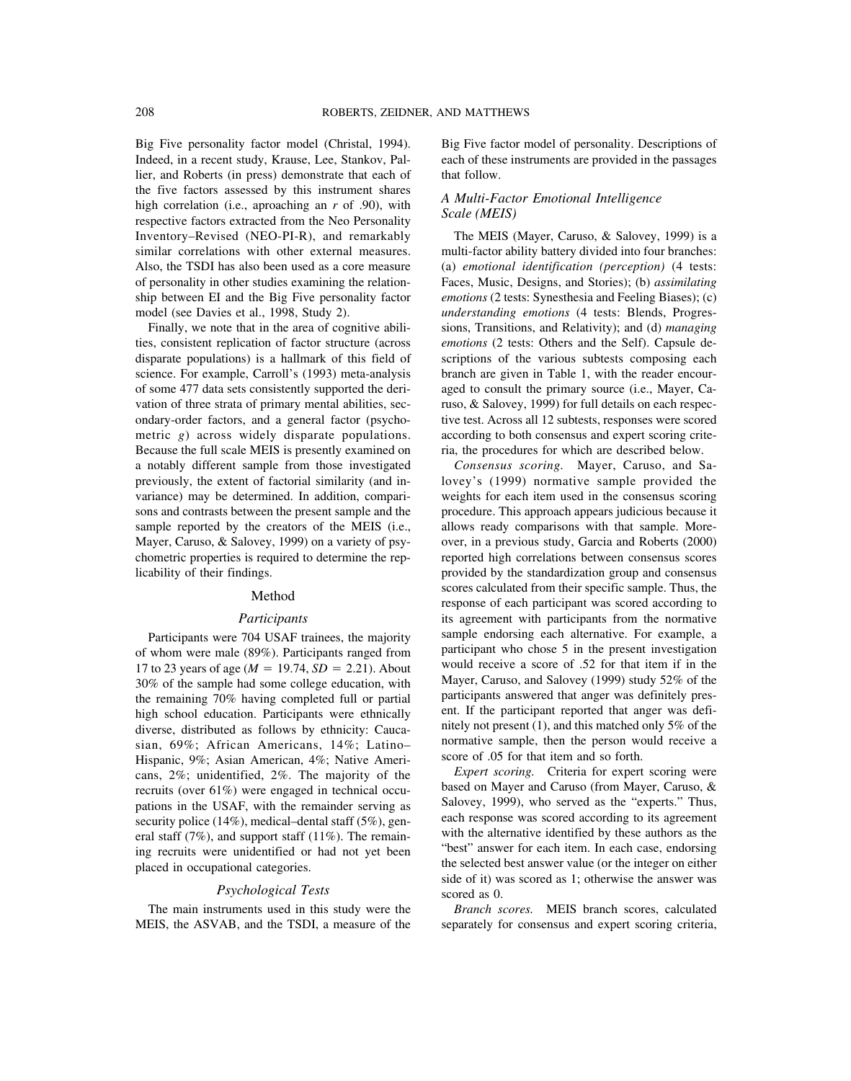Big Five personality factor model (Christal, 1994). Indeed, in a recent study, Krause, Lee, Stankov, Pallier, and Roberts (in press) demonstrate that each of the five factors assessed by this instrument shares high correlation (i.e., aproaching an *r* of .90), with respective factors extracted from the Neo Personality Inventory–Revised (NEO-PI-R), and remarkably similar correlations with other external measures. Also, the TSDI has also been used as a core measure of personality in other studies examining the relationship between EI and the Big Five personality factor model (see Davies et al., 1998, Study 2).

Finally, we note that in the area of cognitive abilities, consistent replication of factor structure (across disparate populations) is a hallmark of this field of science. For example, Carroll's (1993) meta-analysis of some 477 data sets consistently supported the derivation of three strata of primary mental abilities, secondary-order factors, and a general factor (psychometric *g*) across widely disparate populations. Because the full scale MEIS is presently examined on a notably different sample from those investigated previously, the extent of factorial similarity (and invariance) may be determined. In addition, comparisons and contrasts between the present sample and the sample reported by the creators of the MEIS (i.e., Mayer, Caruso, & Salovey, 1999) on a variety of psychometric properties is required to determine the replicability of their findings.

#### Method

#### *Participants*

Participants were 704 USAF trainees, the majority of whom were male (89%). Participants ranged from 17 to 23 years of age ( $M = 19.74$ ,  $SD = 2.21$ ). About 30% of the sample had some college education, with the remaining 70% having completed full or partial high school education. Participants were ethnically diverse, distributed as follows by ethnicity: Caucasian, 69%; African Americans, 14%; Latino– Hispanic, 9%; Asian American, 4%; Native Americans, 2%; unidentified, 2%. The majority of the recruits (over 61%) were engaged in technical occupations in the USAF, with the remainder serving as security police (14%), medical–dental staff (5%), general staff  $(7\%)$ , and support staff  $(11\%)$ . The remaining recruits were unidentified or had not yet been placed in occupational categories.

#### *Psychological Tests*

The main instruments used in this study were the MEIS, the ASVAB, and the TSDI, a measure of the Big Five factor model of personality. Descriptions of each of these instruments are provided in the passages that follow.

## *A Multi-Factor Emotional Intelligence Scale (MEIS)*

The MEIS (Mayer, Caruso, & Salovey, 1999) is a multi-factor ability battery divided into four branches: (a) *emotional identification (perception)* (4 tests: Faces, Music, Designs, and Stories); (b) *assimilating emotions* (2 tests: Synesthesia and Feeling Biases); (c) *understanding emotions* (4 tests: Blends, Progressions, Transitions, and Relativity); and (d) *managing emotions* (2 tests: Others and the Self). Capsule descriptions of the various subtests composing each branch are given in Table 1, with the reader encouraged to consult the primary source (i.e., Mayer, Caruso, & Salovey, 1999) for full details on each respective test. Across all 12 subtests, responses were scored according to both consensus and expert scoring criteria, the procedures for which are described below.

*Consensus scoring.* Mayer, Caruso, and Salovey's (1999) normative sample provided the weights for each item used in the consensus scoring procedure. This approach appears judicious because it allows ready comparisons with that sample. Moreover, in a previous study, Garcia and Roberts (2000) reported high correlations between consensus scores provided by the standardization group and consensus scores calculated from their specific sample. Thus, the response of each participant was scored according to its agreement with participants from the normative sample endorsing each alternative. For example, a participant who chose 5 in the present investigation would receive a score of .52 for that item if in the Mayer, Caruso, and Salovey (1999) study 52% of the participants answered that anger was definitely present. If the participant reported that anger was definitely not present (1), and this matched only 5% of the normative sample, then the person would receive a score of .05 for that item and so forth.

*Expert scoring.* Criteria for expert scoring were based on Mayer and Caruso (from Mayer, Caruso, & Salovey, 1999), who served as the "experts." Thus, each response was scored according to its agreement with the alternative identified by these authors as the "best" answer for each item. In each case, endorsing the selected best answer value (or the integer on either side of it) was scored as 1; otherwise the answer was scored as 0.

*Branch scores.* MEIS branch scores, calculated separately for consensus and expert scoring criteria,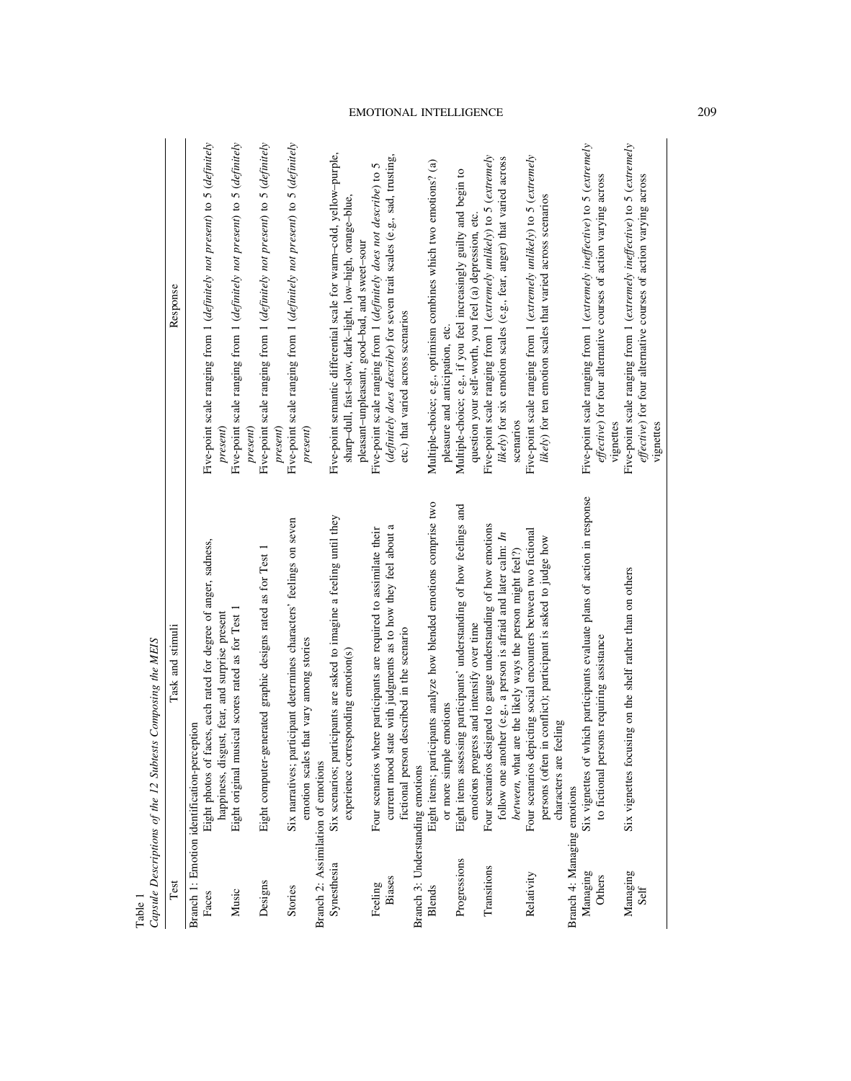| Table 1                     | Capsule Descriptions of the 12 Subtests Composing the MEIS                                                                                                                                           |                                                                                                                                                                                    |
|-----------------------------|------------------------------------------------------------------------------------------------------------------------------------------------------------------------------------------------------|------------------------------------------------------------------------------------------------------------------------------------------------------------------------------------|
| Test                        | Task and stimuli                                                                                                                                                                                     | Response                                                                                                                                                                           |
| Faces                       | Eight photos of faces, each rated for degree of anger, sadness,<br>and surprise present<br>happiness, disgust, fear,<br>Branch 1: Emotion identification-perception                                  | Five-point scale ranging from 1 (definitely not present) to 5 (definitely<br>present)                                                                                              |
| Music                       | Eight original musical scores rated as for Test 1                                                                                                                                                    | Five-point scale ranging from 1 (definitely not present) to 5 (definitely<br>present)                                                                                              |
| Designs                     | Eight computer-generated graphic designs rated as for Test 1                                                                                                                                         | Five-point scale ranging from 1 (definitely not present) to 5 (definitely<br>present)                                                                                              |
| Stories                     | Six narratives; participant determines characters' feelings on seven<br>among stories<br>emotion scales that vary                                                                                    | Five-point scale ranging from 1 (definitely not present) to 5 (definitely<br>present)                                                                                              |
|                             | Branch 2: Assimilation of emotions                                                                                                                                                                   |                                                                                                                                                                                    |
| Synesthesia                 | are asked to imagine a feeling until they<br>experience corresponding emotion(s)<br>Six scenarios; participants                                                                                      | Five-point semantic differential scale for warm-cold, yellow-purple,<br>sharp-dull, fast-slow, dark-light, low-high, orange-blue,<br>pleasant-unpleasant, good-bad, and sweet-sour |
| Feeling                     | Four scenarios where participants are required to assimilate their                                                                                                                                   | Five-point scale ranging from 1 (definitely does not describe) to 5                                                                                                                |
| Biases                      | judgments as to how they feel about a<br>fictional person described in the scenario<br>current mood state with                                                                                       | (definitely does describe) for seven trait scales (e.g., sad, trusting,<br>etc.) that varied across scenarios                                                                      |
|                             | Branch 3: Understanding emotions                                                                                                                                                                     |                                                                                                                                                                                    |
| <b>Blends</b>               | Eight items; participants analyze how blended emotions comprise two<br>or more simple emotions                                                                                                       | Multiple-choice; e.g., optimism combines which two emotions? (a)<br>pleasure and anticipation, etc.                                                                                |
| Progressions                | Eight items assessing participants' understanding of how feelings and<br>emotions progress and intensify over time                                                                                   | Multiple-choice; e.g., if you feel increasingly guilty and begin to<br>question your self-worth, you feel (a) depression, etc.                                                     |
| Transitions                 | gauge understanding of how emotions<br>a person is afraid and later calm: In<br>between, what are the likely ways the person might feel?)<br>Four scenarios designed to<br>follow one another (e.g., | Five-point scale ranging from 1 (extremely unlikely) to 5 (extremely<br>likely) for six emotion scales (e.g., fear, anger) that varied across<br>scenarios                         |
| Relativity                  | Four scenarios depicting social encounters between two fictional<br>persons (often in conflict); participant is asked to judge how<br>characters are feeling                                         | Five-point scale ranging from 1 (extremely unlikely) to 5 (extremely<br>likely) for ten emotion scales that varied across scenarios                                                |
| Branch 4: Managing emotions |                                                                                                                                                                                                      |                                                                                                                                                                                    |
| Managing<br>Others          | Six vignettes of which participants evaluate plans of action in response<br>to fictional persons requiring assistance                                                                                | Five-point scale ranging from 1 (extremely ineffective) to 5 (extremely<br>effective) for four alternative courses of action varying across<br>vignettes                           |
| Managing<br>Self            | Six vignettes focusing on the shelf rather than on others                                                                                                                                            | Five-point scale ranging from 1 (extremely ineffective) to 5 (extremely<br>effective) for four alternative courses of action varying across<br>vignettes                           |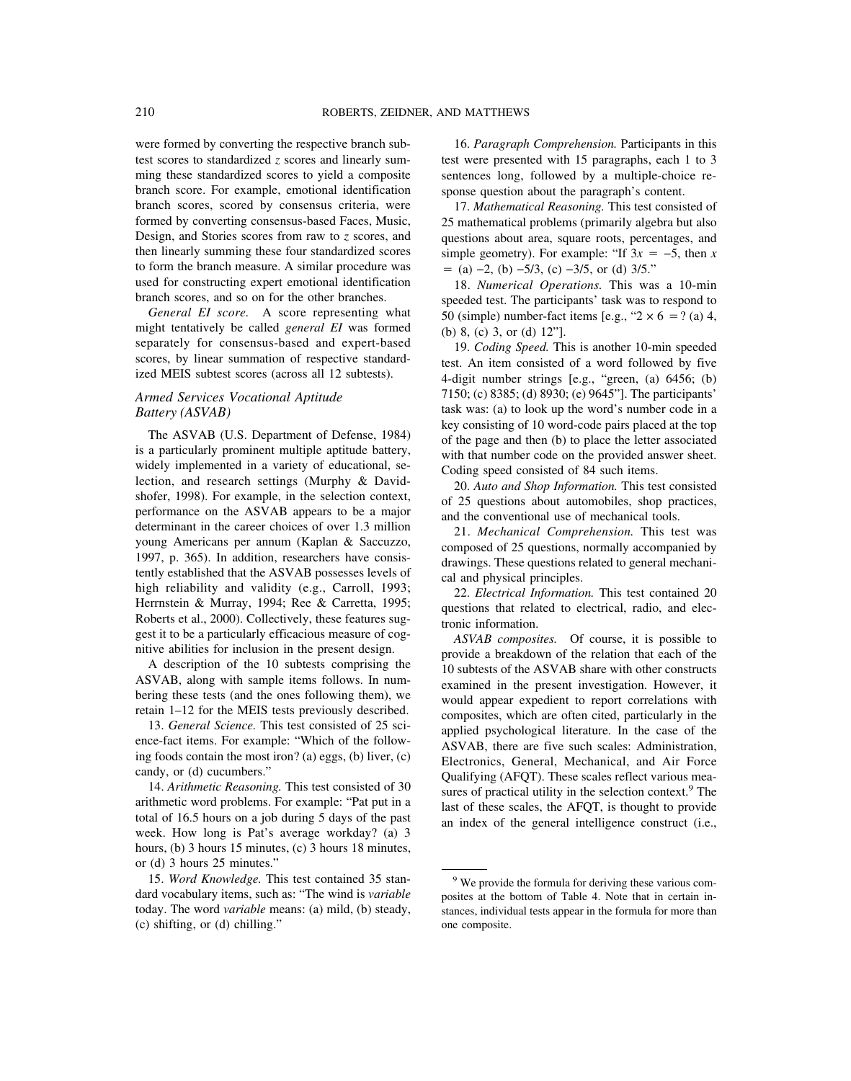were formed by converting the respective branch subtest scores to standardized *z* scores and linearly summing these standardized scores to yield a composite branch score. For example, emotional identification branch scores, scored by consensus criteria, were formed by converting consensus-based Faces, Music, Design, and Stories scores from raw to *z* scores, and then linearly summing these four standardized scores to form the branch measure. A similar procedure was used for constructing expert emotional identification branch scores, and so on for the other branches.

*General EI score.* A score representing what might tentatively be called *general EI* was formed separately for consensus-based and expert-based scores, by linear summation of respective standardized MEIS subtest scores (across all 12 subtests).

# *Armed Services Vocational Aptitude Battery (ASVAB)*

The ASVAB (U.S. Department of Defense, 1984) is a particularly prominent multiple aptitude battery, widely implemented in a variety of educational, selection, and research settings (Murphy & Davidshofer, 1998). For example, in the selection context, performance on the ASVAB appears to be a major determinant in the career choices of over 1.3 million young Americans per annum (Kaplan & Saccuzzo, 1997, p. 365). In addition, researchers have consistently established that the ASVAB possesses levels of high reliability and validity (e.g., Carroll, 1993; Herrnstein & Murray, 1994; Ree & Carretta, 1995; Roberts et al., 2000). Collectively, these features suggest it to be a particularly efficacious measure of cognitive abilities for inclusion in the present design.

A description of the 10 subtests comprising the ASVAB, along with sample items follows. In numbering these tests (and the ones following them), we retain 1–12 for the MEIS tests previously described.

13. *General Science.* This test consisted of 25 science-fact items. For example: "Which of the following foods contain the most iron? (a) eggs, (b) liver, (c) candy, or (d) cucumbers."

14. *Arithmetic Reasoning.* This test consisted of 30 arithmetic word problems. For example: "Pat put in a total of 16.5 hours on a job during 5 days of the past week. How long is Pat's average workday? (a) 3 hours, (b) 3 hours 15 minutes, (c) 3 hours 18 minutes, or (d) 3 hours 25 minutes."

15. *Word Knowledge.* This test contained 35 standard vocabulary items, such as: "The wind is *variable* today. The word *variable* means: (a) mild, (b) steady, (c) shifting, or (d) chilling."

16. *Paragraph Comprehension.* Participants in this test were presented with 15 paragraphs, each 1 to 3 sentences long, followed by a multiple-choice response question about the paragraph's content.

17. *Mathematical Reasoning.* This test consisted of 25 mathematical problems (primarily algebra but also questions about area, square roots, percentages, and simple geometry). For example: "If  $3x = -5$ , then *x*  $=$  (a)  $-2$ , (b)  $-5/3$ , (c)  $-3/5$ , or (d) 3/5."

18. *Numerical Operations.* This was a 10-min speeded test. The participants' task was to respond to 50 (simple) number-fact items [e.g., " $2 \times 6 = ?$  (a) 4, (b) 8, (c) 3, or (d) 12"].

19. *Coding Speed.* This is another 10-min speeded test. An item consisted of a word followed by five 4-digit number strings [e.g., "green, (a) 6456; (b) 7150; (c) 8385; (d) 8930; (e) 9645"]. The participants' task was: (a) to look up the word's number code in a key consisting of 10 word-code pairs placed at the top of the page and then (b) to place the letter associated with that number code on the provided answer sheet. Coding speed consisted of 84 such items.

20. *Auto and Shop Information.* This test consisted of 25 questions about automobiles, shop practices, and the conventional use of mechanical tools.

21. *Mechanical Comprehension.* This test was composed of 25 questions, normally accompanied by drawings. These questions related to general mechanical and physical principles.

22. *Electrical Information.* This test contained 20 questions that related to electrical, radio, and electronic information.

*ASVAB composites.* Of course, it is possible to provide a breakdown of the relation that each of the 10 subtests of the ASVAB share with other constructs examined in the present investigation. However, it would appear expedient to report correlations with composites, which are often cited, particularly in the applied psychological literature. In the case of the ASVAB, there are five such scales: Administration, Electronics, General, Mechanical, and Air Force Qualifying (AFQT). These scales reflect various measures of practical utility in the selection context.<sup>9</sup> The last of these scales, the AFQT, is thought to provide an index of the general intelligence construct (i.e.,

<sup>&</sup>lt;sup>9</sup> We provide the formula for deriving these various composites at the bottom of Table 4. Note that in certain instances, individual tests appear in the formula for more than one composite.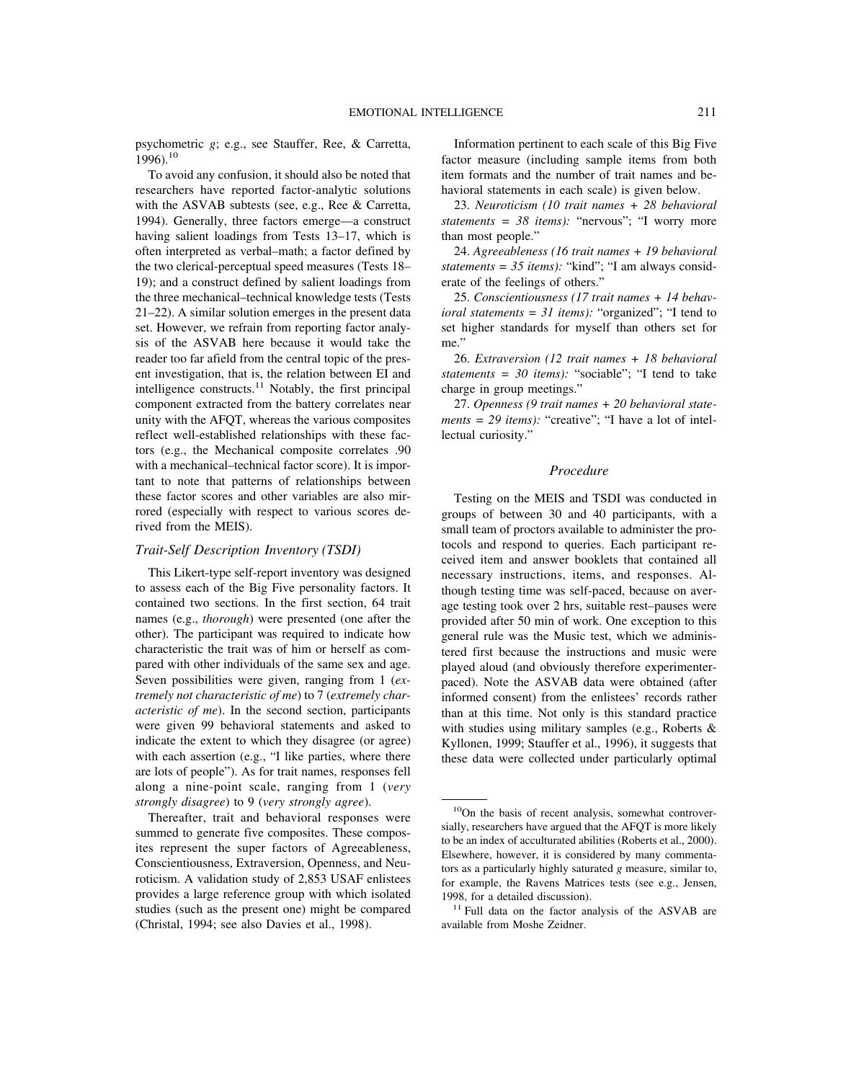psychometric *g*; e.g., see Stauffer, Ree, & Carretta,  $1996$ ).<sup>10</sup>

To avoid any confusion, it should also be noted that researchers have reported factor-analytic solutions with the ASVAB subtests (see, e.g., Ree & Carretta, 1994). Generally, three factors emerge—a construct having salient loadings from Tests 13–17, which is often interpreted as verbal–math; a factor defined by the two clerical-perceptual speed measures (Tests 18– 19); and a construct defined by salient loadings from the three mechanical–technical knowledge tests (Tests 21–22). A similar solution emerges in the present data set. However, we refrain from reporting factor analysis of the ASVAB here because it would take the reader too far afield from the central topic of the present investigation, that is, the relation between EI and intelligence constructs.<sup>11</sup> Notably, the first principal component extracted from the battery correlates near unity with the AFQT, whereas the various composites reflect well-established relationships with these factors (e.g., the Mechanical composite correlates .90 with a mechanical–technical factor score). It is important to note that patterns of relationships between these factor scores and other variables are also mirrored (especially with respect to various scores derived from the MEIS).

#### *Trait-Self Description Inventory (TSDI)*

This Likert-type self-report inventory was designed to assess each of the Big Five personality factors. It contained two sections. In the first section, 64 trait names (e.g., *thorough*) were presented (one after the other). The participant was required to indicate how characteristic the trait was of him or herself as compared with other individuals of the same sex and age. Seven possibilities were given, ranging from 1 (*extremely not characteristic of me*) to 7 (*extremely characteristic of me*). In the second section, participants were given 99 behavioral statements and asked to indicate the extent to which they disagree (or agree) with each assertion (e.g., "I like parties, where there are lots of people"). As for trait names, responses fell along a nine-point scale, ranging from 1 (*very strongly disagree*) to 9 (*very strongly agree*).

Thereafter, trait and behavioral responses were summed to generate five composites. These composites represent the super factors of Agreeableness, Conscientiousness, Extraversion, Openness, and Neuroticism. A validation study of 2,853 USAF enlistees provides a large reference group with which isolated studies (such as the present one) might be compared (Christal, 1994; see also Davies et al., 1998).

Information pertinent to each scale of this Big Five factor measure (including sample items from both item formats and the number of trait names and behavioral statements in each scale) is given below.

23. *Neuroticism (10 trait names + 28 behavioral statements = 38 items):* "nervous"; "I worry more than most people."

24. *Agreeableness (16 trait names + 19 behavioral statements = 35 items):* "kind"; "I am always considerate of the feelings of others."

25. *Conscientiousness (17 trait names + 14 behavioral statements = 31 items):* "organized"; "I tend to set higher standards for myself than others set for me."

26. *Extraversion (12 trait names + 18 behavioral statements = 30 items):* "sociable"; "I tend to take charge in group meetings."

27. *Openness (9 trait names + 20 behavioral statements = 29 items):* "creative"; "I have a lot of intellectual curiosity."

## *Procedure*

Testing on the MEIS and TSDI was conducted in groups of between 30 and 40 participants, with a small team of proctors available to administer the protocols and respond to queries. Each participant received item and answer booklets that contained all necessary instructions, items, and responses. Although testing time was self-paced, because on average testing took over 2 hrs, suitable rest–pauses were provided after 50 min of work. One exception to this general rule was the Music test, which we administered first because the instructions and music were played aloud (and obviously therefore experimenterpaced). Note the ASVAB data were obtained (after informed consent) from the enlistees' records rather than at this time. Not only is this standard practice with studies using military samples (e.g., Roberts & Kyllonen, 1999; Stauffer et al., 1996), it suggests that these data were collected under particularly optimal

<sup>10</sup>On the basis of recent analysis, somewhat controversially, researchers have argued that the AFQT is more likely to be an index of acculturated abilities (Roberts et al., 2000). Elsewhere, however, it is considered by many commentators as a particularly highly saturated *g* measure, similar to, for example, the Ravens Matrices tests (see e.g., Jensen, 1998, for a detailed discussion).  $11$  Full data on the factor analysis of the ASVAB are

available from Moshe Zeidner.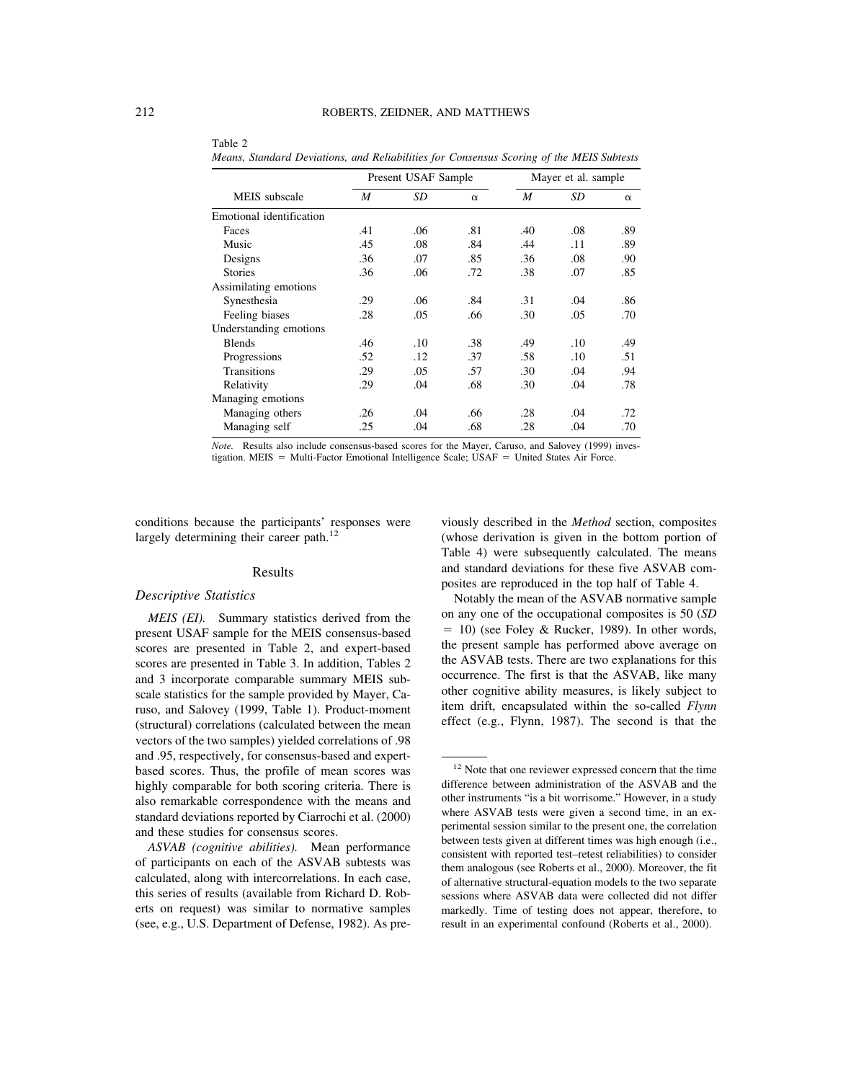|                          |     | Present USAF Sample |          | Mayer et al. sample |     |          |
|--------------------------|-----|---------------------|----------|---------------------|-----|----------|
| MEIS subscale            | M   | SD                  | $\alpha$ | M                   | SD  | $\alpha$ |
| Emotional identification |     |                     |          |                     |     |          |
| Faces                    | .41 | .06                 | .81      | .40                 | .08 | .89      |
| Music                    | .45 | .08                 | .84      | .44                 | .11 | .89      |
| Designs                  | .36 | .07                 | .85      | .36                 | .08 | .90      |
| <b>Stories</b>           | .36 | .06                 | .72      | .38                 | .07 | .85      |
| Assimilating emotions    |     |                     |          |                     |     |          |
| Synesthesia              | .29 | .06                 | .84      | .31                 | .04 | .86      |
| Feeling biases           | .28 | .05                 | .66      | .30                 | .05 | .70      |
| Understanding emotions   |     |                     |          |                     |     |          |
| <b>Blends</b>            | .46 | .10                 | .38      | .49                 | .10 | .49      |
| Progressions             | .52 | .12                 | .37      | .58                 | .10 | .51      |
| Transitions              | .29 | .05                 | .57      | .30                 | .04 | .94      |
| Relativity               | .29 | .04                 | .68      | .30                 | .04 | .78      |
| Managing emotions        |     |                     |          |                     |     |          |
| Managing others          | .26 | .04                 | .66      | .28                 | .04 | .72      |
| Managing self            | .25 | .04                 | .68      | .28                 | .04 | .70      |

*Means, Standard Deviations, and Reliabilities for Consensus Scoring of the MEIS Subtests*

*Note.* Results also include consensus-based scores for the Mayer, Caruso, and Salovey (1999) investigation. MEIS = Multi-Factor Emotional Intelligence Scale; USAF = United States Air Force.

conditions because the participants' responses were largely determining their career path.<sup>12</sup>

#### Results

## *Descriptive Statistics*

*MEIS (EI).* Summary statistics derived from the present USAF sample for the MEIS consensus-based scores are presented in Table 2, and expert-based scores are presented in Table 3. In addition, Tables 2 and 3 incorporate comparable summary MEIS subscale statistics for the sample provided by Mayer, Caruso, and Salovey (1999, Table 1). Product-moment (structural) correlations (calculated between the mean vectors of the two samples) yielded correlations of .98 and .95, respectively, for consensus-based and expertbased scores. Thus, the profile of mean scores was highly comparable for both scoring criteria. There is also remarkable correspondence with the means and standard deviations reported by Ciarrochi et al. (2000) and these studies for consensus scores.

*ASVAB (cognitive abilities).* Mean performance of participants on each of the ASVAB subtests was calculated, along with intercorrelations. In each case, this series of results (available from Richard D. Roberts on request) was similar to normative samples (see, e.g., U.S. Department of Defense, 1982). As previously described in the *Method* section, composites (whose derivation is given in the bottom portion of Table 4) were subsequently calculated. The means and standard deviations for these five ASVAB composites are reproduced in the top half of Table 4.

Notably the mean of the ASVAB normative sample on any one of the occupational composites is 50 (*SD*  $= 10$ ) (see Foley & Rucker, 1989). In other words, the present sample has performed above average on the ASVAB tests. There are two explanations for this occurrence. The first is that the ASVAB, like many other cognitive ability measures, is likely subject to item drift, encapsulated within the so-called *Flynn* effect (e.g., Flynn, 1987). The second is that the

Table 2

<sup>&</sup>lt;sup>12</sup> Note that one reviewer expressed concern that the time difference between administration of the ASVAB and the other instruments "is a bit worrisome." However, in a study where ASVAB tests were given a second time, in an experimental session similar to the present one, the correlation between tests given at different times was high enough (i.e., consistent with reported test–retest reliabilities) to consider them analogous (see Roberts et al., 2000). Moreover, the fit of alternative structural-equation models to the two separate sessions where ASVAB data were collected did not differ markedly. Time of testing does not appear, therefore, to result in an experimental confound (Roberts et al., 2000).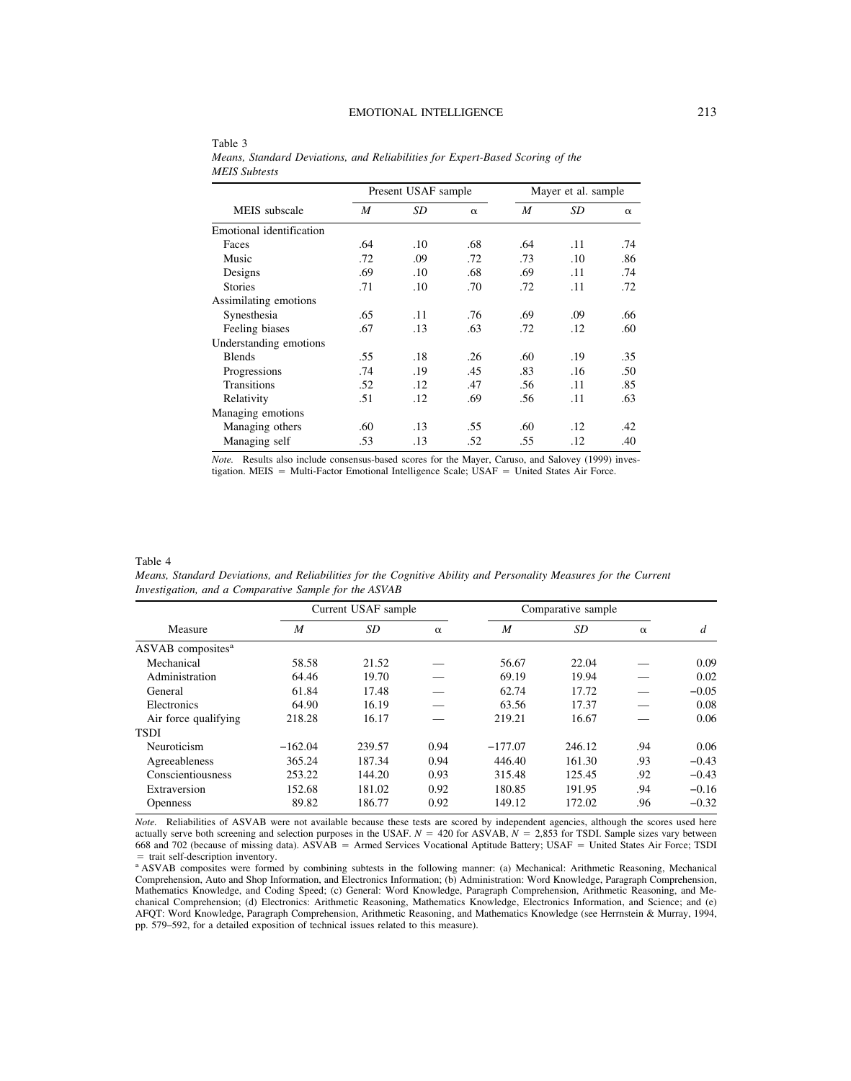|                          |     | Present USAF sample |          |     | Mayer et al. sample |          |  |
|--------------------------|-----|---------------------|----------|-----|---------------------|----------|--|
| MEIS subscale            | M   | SD                  | $\alpha$ | M   | SD                  | $\alpha$ |  |
| Emotional identification |     |                     |          |     |                     |          |  |
| Faces                    | .64 | .10                 | .68      | .64 | .11                 | .74      |  |
| Music                    | .72 | .09                 | .72      | .73 | .10                 | .86      |  |
| Designs                  | .69 | .10                 | .68      | .69 | .11                 | .74      |  |
| <b>Stories</b>           | .71 | .10                 | .70      | .72 | .11                 | .72      |  |
| Assimilating emotions    |     |                     |          |     |                     |          |  |
| Synesthesia              | .65 | .11                 | .76      | .69 | .09                 | .66      |  |
| Feeling biases           | .67 | .13                 | .63      | .72 | .12                 | .60      |  |
| Understanding emotions   |     |                     |          |     |                     |          |  |
| <b>Blends</b>            | .55 | .18                 | .26      | .60 | .19                 | .35      |  |
| Progressions             | .74 | .19                 | .45      | .83 | .16                 | .50      |  |
| <b>Transitions</b>       | .52 | .12                 | .47      | .56 | .11                 | .85      |  |
| Relativity               | .51 | .12                 | .69      | .56 | .11                 | .63      |  |
| Managing emotions        |     |                     |          |     |                     |          |  |
| Managing others          | .60 | .13                 | .55      | .60 | .12                 | .42      |  |
| Managing self            | .53 | .13                 | .52      | .55 | .12                 | .40      |  |

| Table 3                                                                       |
|-------------------------------------------------------------------------------|
| Means, Standard Deviations, and Reliabilities for Expert-Based Scoring of the |
| <b>MEIS Subtests</b>                                                          |

*Note.* Results also include consensus-based scores for the Mayer, Caruso, and Salovey (1999) investigation. MEIS = Multi-Factor Emotional Intelligence Scale; USAF = United States Air Force.

#### Table 4

*Means, Standard Deviations, and Reliabilities for the Cognitive Ability and Personality Measures for the Current Investigation, and a Comparative Sample for the ASVAB*

|                               |           | Current USAF sample |          | Comparative sample |        |          |         |
|-------------------------------|-----------|---------------------|----------|--------------------|--------|----------|---------|
| Measure                       | M         | SD                  | $\alpha$ | M                  | SD     | $\alpha$ | d       |
| ASVAB composites <sup>a</sup> |           |                     |          |                    |        |          |         |
| Mechanical                    | 58.58     | 21.52               |          | 56.67              | 22.04  |          | 0.09    |
| Administration                | 64.46     | 19.70               |          | 69.19              | 19.94  |          | 0.02    |
| General                       | 61.84     | 17.48               |          | 62.74              | 17.72  |          | $-0.05$ |
| Electronics                   | 64.90     | 16.19               |          | 63.56              | 17.37  |          | 0.08    |
| Air force qualifying          | 218.28    | 16.17               |          | 219.21             | 16.67  |          | 0.06    |
| <b>TSDI</b>                   |           |                     |          |                    |        |          |         |
| Neuroticism                   | $-162.04$ | 239.57              | 0.94     | $-177.07$          | 246.12 | .94      | 0.06    |
| Agreeableness                 | 365.24    | 187.34              | 0.94     | 446.40             | 161.30 | .93      | $-0.43$ |
| Conscientiousness             | 253.22    | 144.20              | 0.93     | 315.48             | 125.45 | .92      | $-0.43$ |
| Extraversion                  | 152.68    | 181.02              | 0.92     | 180.85             | 191.95 | .94      | $-0.16$ |
| <b>Openness</b>               | 89.82     | 186.77              | 0.92     | 149.12             | 172.02 | .96      | $-0.32$ |

*Note.* Reliabilities of ASVAB were not available because these tests are scored by independent agencies, although the scores used here actually serve both screening and selection purposes in the USAF.  $N = 420$  for ASVAB,  $\dot{N} = 2,85\dot{3}$  for TSDI. Sample sizes vary between 668 and 702 (because of missing data).  $ASVAB =$  Armed Services Vocational Aptitude Battery; USAF = United States Air Force; TSDI  $\epsilon$  = trait self-description inventory.<br><sup>a</sup> ASVAB composites were formed by combining subtests in the following manner: (a) Mechanical: Arithmetic Reasoning, Mechanical

Comprehension, Auto and Shop Information, and Electronics Information; (b) Administration: Word Knowledge, Paragraph Comprehension, Mathematics Knowledge, and Coding Speed; (c) General: Word Knowledge, Paragraph Comprehension, Arithmetic Reasoning, and Mechanical Comprehension; (d) Electronics: Arithmetic Reasoning, Mathematics Knowledge, Electronics Information, and Science; and (e) AFQT: Word Knowledge, Paragraph Comprehension, Arithmetic Reasoning, and Mathematics Knowledge (see Herrnstein & Murray, 1994, pp. 579–592, for a detailed exposition of technical issues related to this measure).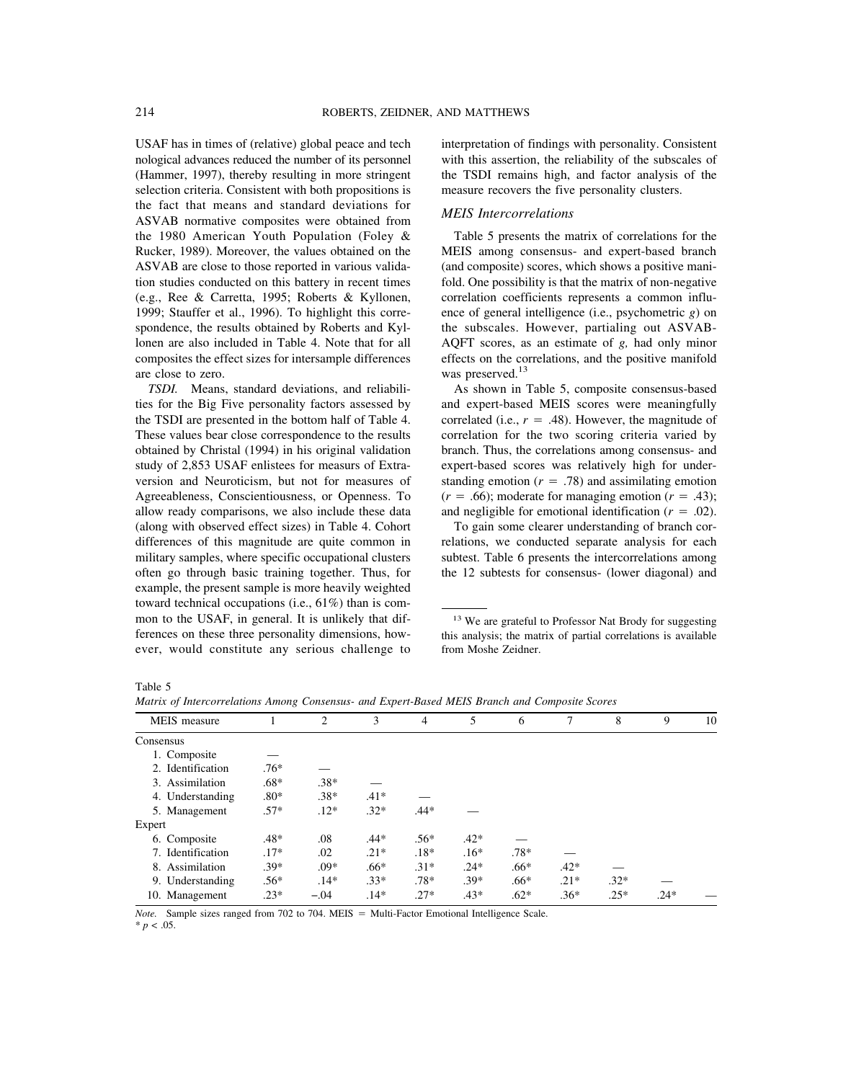USAF has in times of (relative) global peace and tech nological advances reduced the number of its personnel (Hammer, 1997), thereby resulting in more stringent selection criteria. Consistent with both propositions is the fact that means and standard deviations for ASVAB normative composites were obtained from the 1980 American Youth Population (Foley & Rucker, 1989). Moreover, the values obtained on the ASVAB are close to those reported in various validation studies conducted on this battery in recent times (e.g., Ree & Carretta, 1995; Roberts & Kyllonen, 1999; Stauffer et al., 1996). To highlight this correspondence, the results obtained by Roberts and Kyllonen are also included in Table 4. Note that for all composites the effect sizes for intersample differences are close to zero.

*TSDI.* Means, standard deviations, and reliabilities for the Big Five personality factors assessed by the TSDI are presented in the bottom half of Table 4. These values bear close correspondence to the results obtained by Christal (1994) in his original validation study of 2,853 USAF enlistees for measurs of Extraversion and Neuroticism, but not for measures of Agreeableness, Conscientiousness, or Openness. To allow ready comparisons, we also include these data (along with observed effect sizes) in Table 4. Cohort differences of this magnitude are quite common in military samples, where specific occupational clusters often go through basic training together. Thus, for example, the present sample is more heavily weighted toward technical occupations (i.e., 61%) than is common to the USAF, in general. It is unlikely that differences on these three personality dimensions, however, would constitute any serious challenge to

interpretation of findings with personality. Consistent with this assertion, the reliability of the subscales of the TSDI remains high, and factor analysis of the measure recovers the five personality clusters.

#### *MEIS Intercorrelations*

Table 5 presents the matrix of correlations for the MEIS among consensus- and expert-based branch (and composite) scores, which shows a positive manifold. One possibility is that the matrix of non-negative correlation coefficients represents a common influence of general intelligence (i.e., psychometric *g*) on the subscales. However, partialing out ASVAB-AQFT scores, as an estimate of *g,* had only minor effects on the correlations, and the positive manifold was preserved.<sup>13</sup>

As shown in Table 5, composite consensus-based and expert-based MEIS scores were meaningfully correlated (i.e.,  $r = .48$ ). However, the magnitude of correlation for the two scoring criteria varied by branch. Thus, the correlations among consensus- and expert-based scores was relatively high for understanding emotion  $(r = .78)$  and assimilating emotion  $(r = .66)$ ; moderate for managing emotion  $(r = .43)$ ; and negligible for emotional identification  $(r = .02)$ .

To gain some clearer understanding of branch correlations, we conducted separate analysis for each subtest. Table 6 presents the intercorrelations among the 12 subtests for consensus- (lower diagonal) and

Table 5

*Matrix of Intercorrelations Among Consensus- and Expert-Based MEIS Branch and Composite Scores*

| <b>MEIS</b> measure |        | 2      | 3      | 4      | 5      | 6      | 7      | 8      | 9      | 10 |
|---------------------|--------|--------|--------|--------|--------|--------|--------|--------|--------|----|
| Consensus           |        |        |        |        |        |        |        |        |        |    |
| 1. Composite        |        |        |        |        |        |        |        |        |        |    |
| 2. Identification   | $.76*$ |        |        |        |        |        |        |        |        |    |
| 3. Assimilation     | $.68*$ | $.38*$ |        |        |        |        |        |        |        |    |
| 4. Understanding    | $.80*$ | $.38*$ | $.41*$ |        |        |        |        |        |        |    |
| 5. Management       | $.57*$ | $.12*$ | $.32*$ | $.44*$ |        |        |        |        |        |    |
| Expert              |        |        |        |        |        |        |        |        |        |    |
| 6. Composite        | $.48*$ | .08    | $.44*$ | .56*   | $.42*$ |        |        |        |        |    |
| 7. Identification   | $.17*$ | .02    | $.21*$ | $.18*$ | $.16*$ | $.78*$ |        |        |        |    |
| 8. Assimilation     | $.39*$ | $.09*$ | $.66*$ | $.31*$ | $.24*$ | $.66*$ | $.42*$ |        |        |    |
| 9. Understanding    | $.56*$ | $.14*$ | $.33*$ | $.78*$ | $.39*$ | $.66*$ | $.21*$ | $.32*$ |        |    |
| 10. Management      | $.23*$ | $-.04$ | $.14*$ | $.27*$ | $.43*$ | $.62*$ | $.36*$ | $.25*$ | $.24*$ |    |

*Note.* Sample sizes ranged from 702 to 704. MEIS = Multi-Factor Emotional Intelligence Scale.

<sup>&</sup>lt;sup>13</sup> We are grateful to Professor Nat Brody for suggesting this analysis; the matrix of partial correlations is available from Moshe Zeidner.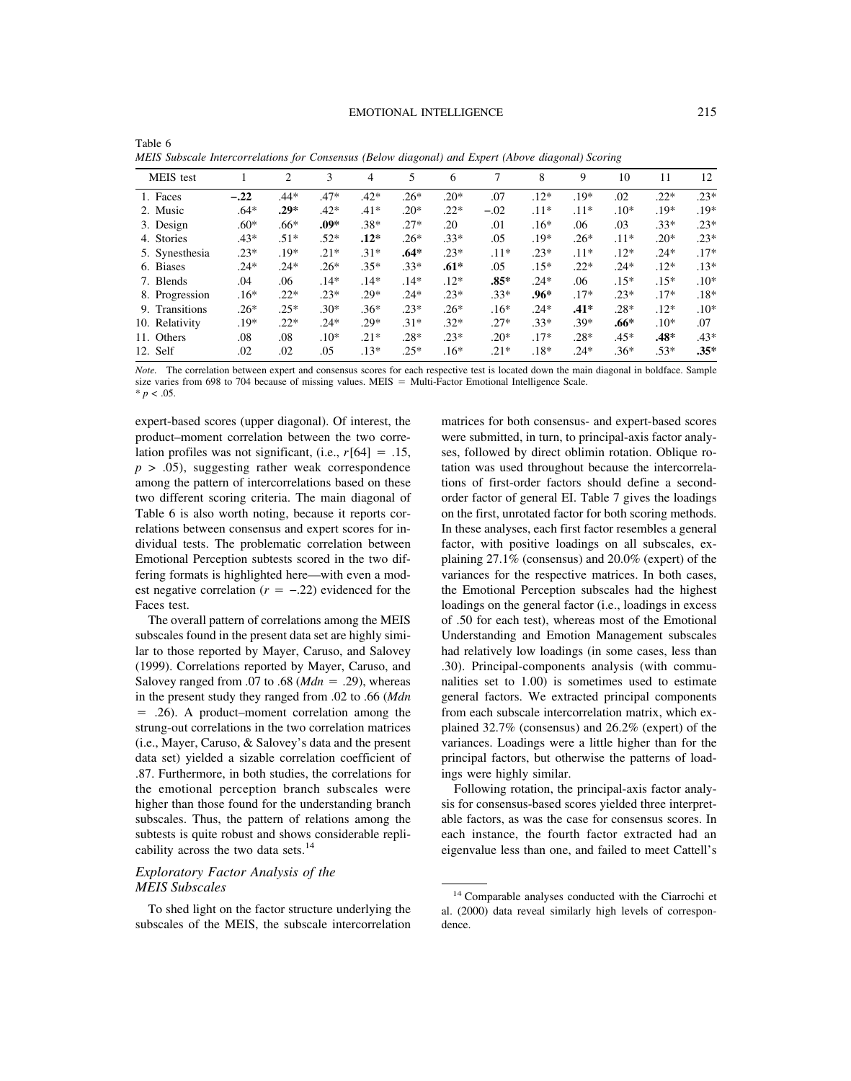EMOTIONAL INTELLIGENCE

|  | ٠            |
|--|--------------|
|  | I<br>۰.<br>× |
|  |              |

|                  |        |        |        |        | $\cdots$ |        |        |        |        |        |        |        |
|------------------|--------|--------|--------|--------|----------|--------|--------|--------|--------|--------|--------|--------|
| <b>MEIS</b> test |        | 2      | 3      | 4      | 5        | 6      | 7      | 8      | 9      | 10     | 11     | 12     |
| 1. Faces         | $-.22$ | .44*   | $.47*$ | $.42*$ | $.26*$   | $.20*$ | .07    | $.12*$ | $.19*$ | .02    | $.22*$ | $.23*$ |
| 2. Music         | $.64*$ | .29*   | $.42*$ | $.41*$ | $.20*$   | $.22*$ | $-.02$ | $.11*$ | $.11*$ | $.10*$ | $.19*$ | $.19*$ |
| 3. Design        | $.60*$ | .66*   | .09*   | $.38*$ | $.27*$   | .20    | .01    | $.16*$ | .06    | .03    | $.33*$ | $.23*$ |
| 4. Stories       | $.43*$ | $.51*$ | $.52*$ | $.12*$ | $.26*$   | $.33*$ | .05    | $.19*$ | $.26*$ | $.11*$ | $.20*$ | $.23*$ |
| 5. Synesthesia   | $.23*$ | $.19*$ | $.21*$ | $.31*$ | $.64*$   | $.23*$ | $.11*$ | $.23*$ | $.11*$ | $.12*$ | $.24*$ | $.17*$ |
| 6. Biases        | $.24*$ | $.24*$ | $.26*$ | $.35*$ | $.33*$   | $.61*$ | .05    | $.15*$ | $.22*$ | $.24*$ | $.12*$ | $.13*$ |
| 7. Blends        | .04    | .06    | $.14*$ | $.14*$ | $.14*$   | $.12*$ | $.85*$ | $.24*$ | .06    | $.15*$ | $.15*$ | $.10*$ |
| 8. Progression   | $.16*$ | $.22*$ | $.23*$ | $.29*$ | $.24*$   | $.23*$ | $.33*$ | .96*   | $.17*$ | $.23*$ | $.17*$ | $.18*$ |
| 9. Transitions   | $.26*$ | $.25*$ | $.30*$ | $.36*$ | $.23*$   | $.26*$ | $.16*$ | $.24*$ | $.41*$ | $.28*$ | $.12*$ | $.10*$ |
| 10. Relativity   | .19*   | $.22*$ | $.24*$ | $.29*$ | $.31*$   | $.32*$ | $.27*$ | $.33*$ | $.39*$ | $.66*$ | $.10*$ | .07    |
| 11. Others       | .08    | .08    | $.10*$ | $.21*$ | $.28*$   | $.23*$ | $.20*$ | $.17*$ | $.28*$ | $.45*$ | $.48*$ | $.43*$ |
| 12. Self         | .02    | .02    | .05    | $.13*$ | $.25*$   | $.16*$ | $.21*$ | $.18*$ | $.24*$ | .36*   | $.53*$ | $.35*$ |

*MEIS Subscale Intercorrelations for Consensus (Below diagonal) and Expert (Above diagonal) Scoring*

*Note.* The correlation between expert and consensus scores for each respective test is located down the main diagonal in boldface. Sample size varies from  $698$  to  $704$  because of missing values. MEIS = Multi-Factor Emotional Intelligence Scale.  $* p < .05.$ 

expert-based scores (upper diagonal). Of interest, the product–moment correlation between the two correlation profiles was not significant, (i.e.,  $r[64] = .15$ ,  $p > .05$ ), suggesting rather weak correspondence among the pattern of intercorrelations based on these two different scoring criteria. The main diagonal of Table 6 is also worth noting, because it reports correlations between consensus and expert scores for individual tests. The problematic correlation between Emotional Perception subtests scored in the two differing formats is highlighted here—with even a modest negative correlation  $(r = -.22)$  evidenced for the Faces test.

Table 6

The overall pattern of correlations among the MEIS subscales found in the present data set are highly similar to those reported by Mayer, Caruso, and Salovey (1999). Correlations reported by Mayer, Caruso, and Salovey ranged from .07 to .68 ( $Mdn = .29$ ), whereas in the present study they ranged from .02 to .66 (*Mdn* ! .26). A product–moment correlation among the strung-out correlations in the two correlation matrices (i.e., Mayer, Caruso, & Salovey's data and the present data set) yielded a sizable correlation coefficient of .87. Furthermore, in both studies, the correlations for the emotional perception branch subscales were higher than those found for the understanding branch subscales. Thus, the pattern of relations among the subtests is quite robust and shows considerable replicability across the two data sets. $14$ 

# *Exploratory Factor Analysis of the MEIS Subscales*

To shed light on the factor structure underlying the subscales of the MEIS, the subscale intercorrelation matrices for both consensus- and expert-based scores were submitted, in turn, to principal-axis factor analyses, followed by direct oblimin rotation. Oblique rotation was used throughout because the intercorrelations of first-order factors should define a secondorder factor of general EI. Table 7 gives the loadings on the first, unrotated factor for both scoring methods. In these analyses, each first factor resembles a general factor, with positive loadings on all subscales, explaining 27.1% (consensus) and 20.0% (expert) of the variances for the respective matrices. In both cases, the Emotional Perception subscales had the highest loadings on the general factor (i.e., loadings in excess of .50 for each test), whereas most of the Emotional Understanding and Emotion Management subscales had relatively low loadings (in some cases, less than .30). Principal-components analysis (with communalities set to 1.00) is sometimes used to estimate general factors. We extracted principal components from each subscale intercorrelation matrix, which explained 32.7% (consensus) and 26.2% (expert) of the variances. Loadings were a little higher than for the principal factors, but otherwise the patterns of loadings were highly similar.

Following rotation, the principal-axis factor analysis for consensus-based scores yielded three interpretable factors, as was the case for consensus scores. In each instance, the fourth factor extracted had an eigenvalue less than one, and failed to meet Cattell's

<sup>14</sup> Comparable analyses conducted with the Ciarrochi et al. (2000) data reveal similarly high levels of correspondence.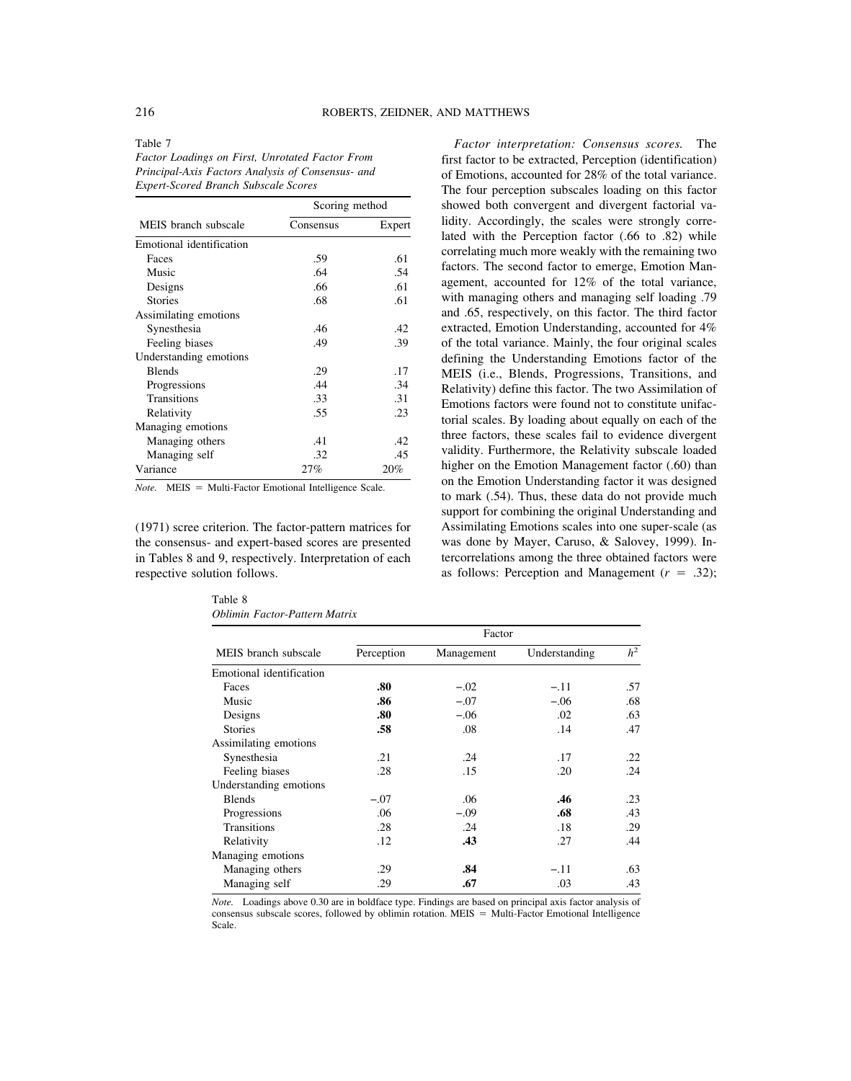Table 7

| Factor Loadings on First, Unrotated Factor From   |
|---------------------------------------------------|
| Principal-Axis Factors Analysis of Consensus- and |
| Expert-Scored Branch Subscale Scores              |

|                          | Scoring method |        |  |  |  |
|--------------------------|----------------|--------|--|--|--|
| MEIS branch subscale     | Consensus      | Expert |  |  |  |
| Emotional identification |                |        |  |  |  |
| Faces                    | .59            | .61    |  |  |  |
| Music                    | .64            | .54    |  |  |  |
| Designs                  | .66            | .61    |  |  |  |
| <b>Stories</b>           | .68            | .61    |  |  |  |
| Assimilating emotions    |                |        |  |  |  |
| Synesthesia              | .46            | .42    |  |  |  |
| Feeling biases           | .49            | .39    |  |  |  |
| Understanding emotions   |                |        |  |  |  |
| <b>Blends</b>            | .29            | .17    |  |  |  |
| Progressions             | .44            | .34    |  |  |  |
| Transitions              | .33            | .31    |  |  |  |
| Relativity               | .55            | .23    |  |  |  |
| Managing emotions        |                |        |  |  |  |
| Managing others          | .41            | .42    |  |  |  |
| Managing self            | .32            | .45    |  |  |  |
| Variance                 | 27%            | 20%    |  |  |  |

 $Note.$  MEIS  $=$  Multi-Factor Emotional Intelligence Scale.

(1971) scree criterion. The factor-pattern matrices for the consensus- and expert-based scores are presented in Tables 8 and 9, respectively. Interpretation of each respective solution follows.

Table 8 *Oblimin Factor-Pattern Matrix*

*Factor interpretation: Consensus scores.* The first factor to be extracted, Perception (identification) of Emotions, accounted for 28% of the total variance. The four perception subscales loading on this factor showed both convergent and divergent factorial validity. Accordingly, the scales were strongly correlated with the Perception factor (.66 to .82) while correlating much more weakly with the remaining two factors. The second factor to emerge, Emotion Management, accounted for 12% of the total variance, with managing others and managing self loading .79 and .65, respectively, on this factor. The third factor extracted, Emotion Understanding, accounted for 4% of the total variance. Mainly, the four original scales defining the Understanding Emotions factor of the MEIS (i.e., Blends, Progressions, Transitions, and Relativity) define this factor. The two Assimilation of Emotions factors were found not to constitute unifactorial scales. By loading about equally on each of the three factors, these scales fail to evidence divergent validity. Furthermore, the Relativity subscale loaded higher on the Emotion Management factor (.60) than on the Emotion Understanding factor it was designed to mark (.54). Thus, these data do not provide much support for combining the original Understanding and Assimilating Emotions scales into one super-scale (as was done by Mayer, Caruso, & Salovey, 1999). Intercorrelations among the three obtained factors were as follows: Perception and Management  $(r = .32)$ ;

|                          | Factor     |            |               |                |  |  |  |  |
|--------------------------|------------|------------|---------------|----------------|--|--|--|--|
| MEIS branch subscale     | Perception | Management | Understanding | h <sup>2</sup> |  |  |  |  |
| Emotional identification |            |            |               |                |  |  |  |  |
| Faces                    | .80        | $-.02$     | $-.11$        | .57            |  |  |  |  |
| Music                    | .86        | $-.07$     | $-.06$        | .68            |  |  |  |  |
| Designs                  | .80        | $-.06$     | .02           | .63            |  |  |  |  |
| <b>Stories</b>           | .58        | .08        | .14           | .47            |  |  |  |  |
| Assimilating emotions    |            |            |               |                |  |  |  |  |
| Synesthesia              | .21        | .24        | .17           | .22            |  |  |  |  |
| Feeling biases           | .28        | .15        | .20           | .24            |  |  |  |  |
| Understanding emotions   |            |            |               |                |  |  |  |  |
| <b>Blends</b>            | $-.07$     | .06        | .46           | .23            |  |  |  |  |
| Progressions             | .06        | $-.09$     | .68           | .43            |  |  |  |  |
| Transitions              | .28        | .24        | .18           | .29            |  |  |  |  |
| Relativity               | .12        | .43        | .27           | .44            |  |  |  |  |
| Managing emotions        |            |            |               |                |  |  |  |  |
| Managing others          | .29        | .84        | $-.11$        | .63            |  |  |  |  |
| Managing self            | .29        | .67        | .03           | .43            |  |  |  |  |

*Note.* Loadings above 0.30 are in boldface type. Findings are based on principal axis factor analysis of  $consensus$  subscale scores, followed by oblimin rotation. MEIS  $=$  Multi-Factor Emotional Intelligence Scale.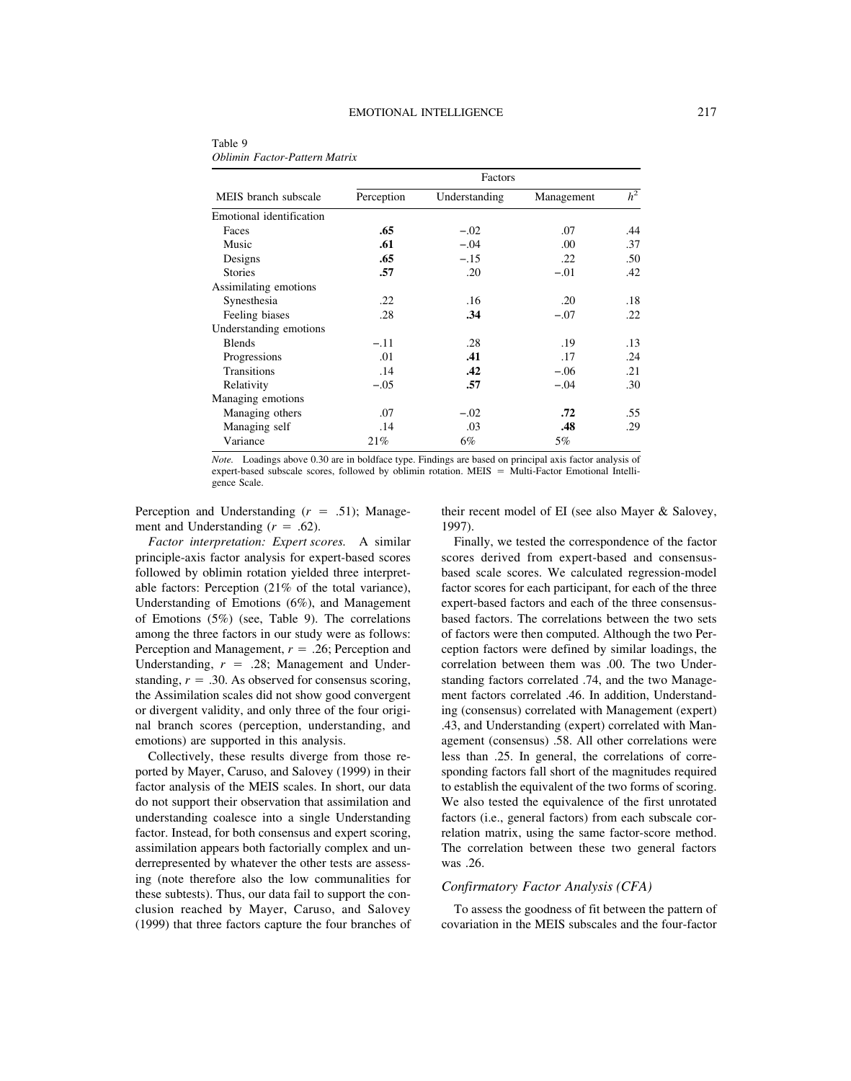|                          | Factors    |               |            |                |  |  |  |  |
|--------------------------|------------|---------------|------------|----------------|--|--|--|--|
| MEIS branch subscale     | Perception | Understanding | Management | h <sup>2</sup> |  |  |  |  |
| Emotional identification |            |               |            |                |  |  |  |  |
| Faces                    | .65        | $-.02$        | .07        | .44            |  |  |  |  |
| Music                    | .61        | $-.04$        | .00        | .37            |  |  |  |  |
| Designs                  | .65        | $-.15$        | .22        | .50            |  |  |  |  |
| <b>Stories</b>           | .57        | .20           | $-.01$     | .42            |  |  |  |  |
| Assimilating emotions    |            |               |            |                |  |  |  |  |
| Synesthesia              | .22        | .16           | .20        | .18            |  |  |  |  |
| Feeling biases           | .28        | .34           | $-.07$     | .22            |  |  |  |  |
| Understanding emotions   |            |               |            |                |  |  |  |  |
| <b>Blends</b>            | $-.11$     | .28           | .19        | .13            |  |  |  |  |
| Progressions             | .01        | .41           | .17        | .24            |  |  |  |  |
| Transitions              | .14        | .42           | $-.06$     | .21            |  |  |  |  |
| Relativity               | $-.05$     | .57           | $-.04$     | .30            |  |  |  |  |
| Managing emotions        |            |               |            |                |  |  |  |  |
| Managing others          | .07        | $-.02$        | .72        | .55            |  |  |  |  |
| Managing self            | .14        | .03           | .48        | .29            |  |  |  |  |
| Variance                 | 21%        | $6\%$         | 5%         |                |  |  |  |  |

Table 9 *Oblimin Factor-Pattern Matrix*

*Note.* Loadings above 0.30 are in boldface type. Findings are based on principal axis factor analysis of expert-based subscale scores, followed by oblimin rotation. MEIS  $=$  Multi-Factor Emotional Intelligence Scale.

Perception and Understanding  $(r = .51)$ ; Management and Understanding  $(r = .62)$ .

*Factor interpretation: Expert scores.* A similar principle-axis factor analysis for expert-based scores followed by oblimin rotation yielded three interpretable factors: Perception (21% of the total variance), Understanding of Emotions (6%), and Management of Emotions (5%) (see, Table 9). The correlations among the three factors in our study were as follows: Perception and Management,  $r = .26$ ; Perception and Understanding,  $r = .28$ ; Management and Understanding,  $r = .30$ . As observed for consensus scoring, the Assimilation scales did not show good convergent or divergent validity, and only three of the four original branch scores (perception, understanding, and emotions) are supported in this analysis.

Collectively, these results diverge from those reported by Mayer, Caruso, and Salovey (1999) in their factor analysis of the MEIS scales. In short, our data do not support their observation that assimilation and understanding coalesce into a single Understanding factor. Instead, for both consensus and expert scoring, assimilation appears both factorially complex and underrepresented by whatever the other tests are assessing (note therefore also the low communalities for these subtests). Thus, our data fail to support the conclusion reached by Mayer, Caruso, and Salovey (1999) that three factors capture the four branches of their recent model of EI (see also Mayer & Salovey, 1997).

Finally, we tested the correspondence of the factor scores derived from expert-based and consensusbased scale scores. We calculated regression-model factor scores for each participant, for each of the three expert-based factors and each of the three consensusbased factors. The correlations between the two sets of factors were then computed. Although the two Perception factors were defined by similar loadings, the correlation between them was .00. The two Understanding factors correlated .74, and the two Management factors correlated .46. In addition, Understanding (consensus) correlated with Management (expert) .43, and Understanding (expert) correlated with Management (consensus) .58. All other correlations were less than .25. In general, the correlations of corresponding factors fall short of the magnitudes required to establish the equivalent of the two forms of scoring. We also tested the equivalence of the first unrotated factors (i.e., general factors) from each subscale correlation matrix, using the same factor-score method. The correlation between these two general factors was .26.

## *Confirmatory Factor Analysis (CFA)*

To assess the goodness of fit between the pattern of covariation in the MEIS subscales and the four-factor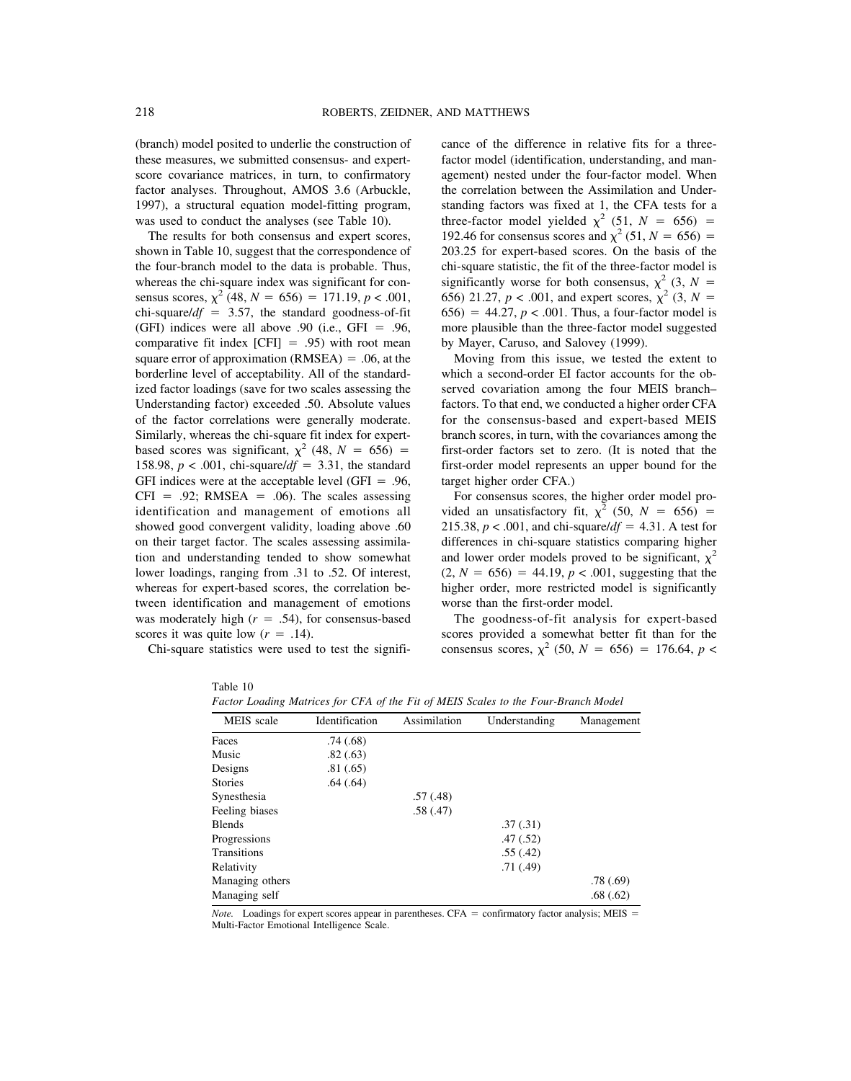(branch) model posited to underlie the construction of these measures, we submitted consensus- and expertscore covariance matrices, in turn, to confirmatory factor analyses. Throughout, AMOS 3.6 (Arbuckle, 1997), a structural equation model-fitting program, was used to conduct the analyses (see Table 10).

The results for both consensus and expert scores, shown in Table 10, suggest that the correspondence of the four-branch model to the data is probable. Thus, whereas the chi-square index was significant for consensus scores,  $\chi^2$  (48, *N* = 656) = 171.19, *p* < .001,  $chi$ -square/ $df$  = 3.57, the standard goodness-of-fit (GFI) indices were all above .90 (i.e., GFI  $= .96$ , comparative fit index  $[CFI] = .95$ ) with root mean square error of approximation  $(RMSEA) = .06$ , at the borderline level of acceptability. All of the standardized factor loadings (save for two scales assessing the Understanding factor) exceeded .50. Absolute values of the factor correlations were generally moderate. Similarly, whereas the chi-square fit index for expertbased scores was significant,  $\chi^2$  (48, *N* = 656) = 158.98,  $p < .001$ , chi-square/*df* = 3.31, the standard GFI indices were at the acceptable level (GFI  $= .96$ ,  $CFI = .92$ ; RMSEA = .06). The scales assessing identification and management of emotions all showed good convergent validity, loading above .60 on their target factor. The scales assessing assimilation and understanding tended to show somewhat lower loadings, ranging from .31 to .52. Of interest, whereas for expert-based scores, the correlation between identification and management of emotions was moderately high  $(r = .54)$ , for consensus-based scores it was quite low  $(r = .14)$ .

Chi-square statistics were used to test the signifi-

Table 10

cance of the difference in relative fits for a threefactor model (identification, understanding, and management) nested under the four-factor model. When the correlation between the Assimilation and Understanding factors was fixed at 1, the CFA tests for a three-factor model yielded  $\chi^2$  (51, *N* = 656) = 192.46 for consensus scores and  $\chi^2$  (51, *N* = 656) = 203.25 for expert-based scores. On the basis of the chi-square statistic, the fit of the three-factor model is significantly worse for both consensus,  $\chi^2$  (3, *N* = 656) 21.27,  $p < .001$ , and expert scores,  $\chi^2$  (3,  $N =$  $(656) = 44.27, p < .001$ . Thus, a four-factor model is more plausible than the three-factor model suggested by Mayer, Caruso, and Salovey (1999).

Moving from this issue, we tested the extent to which a second-order EI factor accounts for the observed covariation among the four MEIS branch– factors. To that end, we conducted a higher order CFA for the consensus-based and expert-based MEIS branch scores, in turn, with the covariances among the first-order factors set to zero. (It is noted that the first-order model represents an upper bound for the target higher order CFA.)

For consensus scores, the higher order model provided an unsatisfactory fit,  $\chi^2$  (50, *N* = 656) = 215.38,  $p < .001$ , and chi-square/*df* = 4.31. A test for differences in chi-square statistics comparing higher and lower order models proved to be significant,  $\chi^2$  $(2, N = 656) = 44.19, p < .001$ , suggesting that the higher order, more restricted model is significantly worse than the first-order model.

The goodness-of-fit analysis for expert-based scores provided a somewhat better fit than for the consensus scores,  $\chi^2$  (50, *N* = 656) = 176.64, *p* <

| MEIS scale      | Identification | Assimilation | Understanding | Management |
|-----------------|----------------|--------------|---------------|------------|
| Faces           | .74(0.68)      |              |               |            |
| Music           | .82(0.63)      |              |               |            |
| Designs         | .81(.65)       |              |               |            |
| <b>Stories</b>  | .64(.64)       |              |               |            |
| Synesthesia     |                | .57(0.48)    |               |            |
| Feeling biases  |                | .58(.47)     |               |            |
| <b>Blends</b>   |                |              | .37(.31)      |            |
| Progressions    |                |              | .47(.52)      |            |
| Transitions     |                |              | .55(.42)      |            |
| Relativity      |                |              | .71(0.49)     |            |
| Managing others |                |              |               | .78(.69)   |
| Managing self   |                |              |               | .68(.62)   |

*Factor Loading Matrices for CFA of the Fit of MEIS Scales to the Four-Branch Model*

*Note.* Loadings for expert scores appear in parentheses. CFA = confirmatory factor analysis; MEIS = Multi-Factor Emotional Intelligence Scale.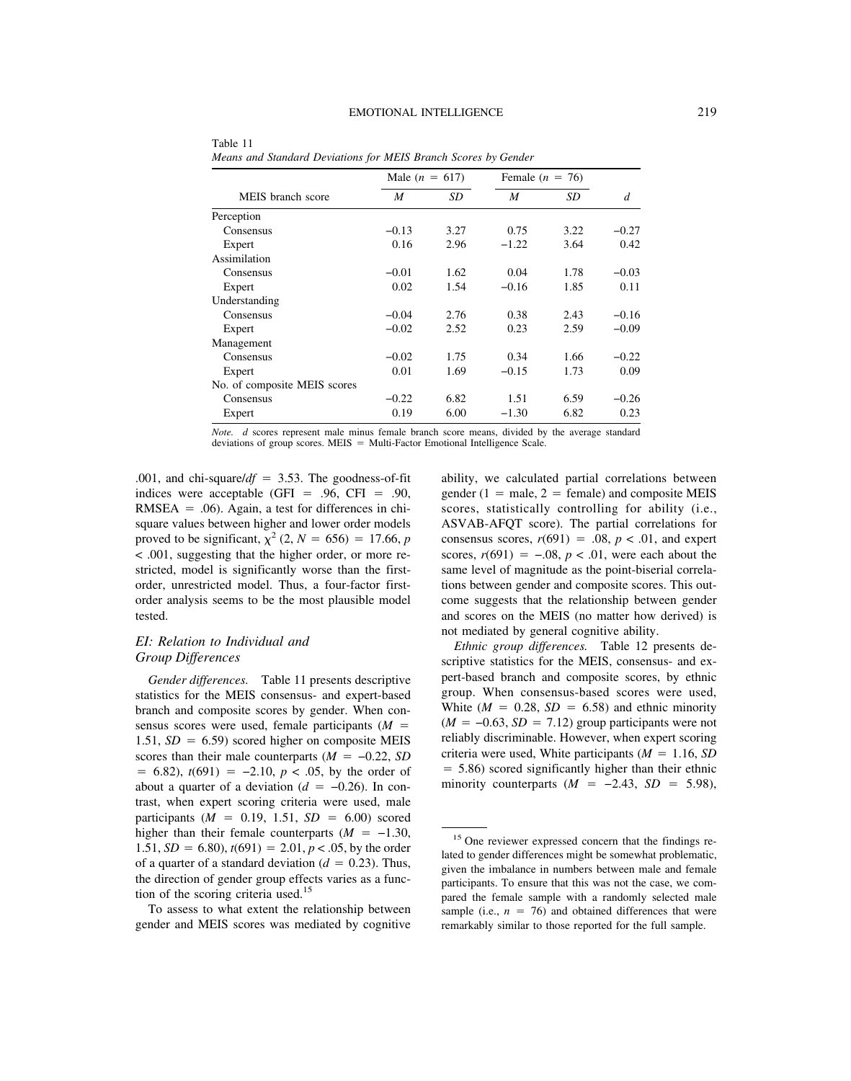|                              | Male $(n = 617)$ |      |         | Female $(n = 76)$ |         |  |
|------------------------------|------------------|------|---------|-------------------|---------|--|
| MEIS branch score            | M                | SD   | M       | SD                | d       |  |
| Perception                   |                  |      |         |                   |         |  |
| Consensus                    | $-0.13$          | 3.27 | 0.75    | 3.22              | $-0.27$ |  |
| Expert                       | 0.16             | 2.96 | $-1.22$ | 3.64              | 0.42    |  |
| Assimilation                 |                  |      |         |                   |         |  |
| Consensus                    | $-0.01$          | 1.62 | 0.04    | 1.78              | $-0.03$ |  |
| Expert                       | 0.02             | 1.54 | $-0.16$ | 1.85              | 0.11    |  |
| Understanding                |                  |      |         |                   |         |  |
| Consensus                    | $-0.04$          | 2.76 | 0.38    | 2.43              | $-0.16$ |  |
| Expert                       | $-0.02$          | 2.52 | 0.23    | 2.59              | $-0.09$ |  |
| Management                   |                  |      |         |                   |         |  |
| Consensus                    | $-0.02$          | 1.75 | 0.34    | 1.66              | $-0.22$ |  |
| Expert                       | 0.01             | 1.69 | $-0.15$ | 1.73              | 0.09    |  |
| No. of composite MEIS scores |                  |      |         |                   |         |  |
| Consensus                    | $-0.22$          | 6.82 | 1.51    | 6.59              | $-0.26$ |  |
| Expert                       | 0.19             | 6.00 | $-1.30$ | 6.82              | 0.23    |  |

| Table 11                                                       |  |  |  |  |
|----------------------------------------------------------------|--|--|--|--|
| Means and Standard Deviations for MEIS Branch Scores by Gender |  |  |  |  |

*Note. d* scores represent male minus female branch score means, divided by the average standard deviations of group scores.  $MEIS = Multi-Factor \scriptsize{\text{Emotional Intelligence Scale}}$ .

.001, and chi-square/ $df = 3.53$ . The goodness-of-fit indices were acceptable (GFI  $= .96$ , CFI  $= .90$ ,  $RMSEA = .06$ . Again, a test for differences in chisquare values between higher and lower order models proved to be significant,  $\chi^2$  (2, *N* = 656) = 17.66, *p* < .001, suggesting that the higher order, or more restricted, model is significantly worse than the firstorder, unrestricted model. Thus, a four-factor firstorder analysis seems to be the most plausible model tested.

# *EI: Relation to Individual and Group Differences*

*Gender differences.* Table 11 presents descriptive statistics for the MEIS consensus- and expert-based branch and composite scores by gender. When consensus scores were used, female participants  $(M =$ 1.51,  $SD = 6.59$ ) scored higher on composite MEIS scores than their male counterparts  $(M = -0.22, SD)$  $= 6.82$ ),  $t(691) = -2.10$ ,  $p < .05$ , by the order of about a quarter of a deviation  $(d = -0.26)$ . In contrast, when expert scoring criteria were used, male participants  $(M = 0.19, 1.51, SD = 6.00)$  scored higher than their female counterparts  $(M = -1.30,$ 1.51,  $SD = 6.80$ ,  $t(691) = 2.01$ ,  $p < .05$ , by the order of a quarter of a standard deviation ( $d = 0.23$ ). Thus, the direction of gender group effects varies as a function of the scoring criteria used.15

To assess to what extent the relationship between gender and MEIS scores was mediated by cognitive

ability, we calculated partial correlations between gender (1  $=$  male, 2  $=$  female) and composite MEIS scores, statistically controlling for ability (i.e., ASVAB-AFQT score). The partial correlations for consensus scores,  $r(691) = .08$ ,  $p < .01$ , and expert scores,  $r(691) = -.08, p < .01$ , were each about the same level of magnitude as the point-biserial correlations between gender and composite scores. This outcome suggests that the relationship between gender and scores on the MEIS (no matter how derived) is not mediated by general cognitive ability.

*Ethnic group differences.* Table 12 presents descriptive statistics for the MEIS, consensus- and expert-based branch and composite scores, by ethnic group. When consensus-based scores were used, White ( $M = 0.28$ ,  $SD = 6.58$ ) and ethnic minority  $(M = -0.63, SD = 7.12)$  group participants were not reliably discriminable. However, when expert scoring criteria were used, White participants  $(M = 1.16, SD)$  $= 5.86$ ) scored significantly higher than their ethnic minority counterparts  $(M = -2.43, SD = 5.98)$ ,

<sup>&</sup>lt;sup>15</sup> One reviewer expressed concern that the findings related to gender differences might be somewhat problematic, given the imbalance in numbers between male and female participants. To ensure that this was not the case, we compared the female sample with a randomly selected male sample (i.e.,  $n = 76$ ) and obtained differences that were remarkably similar to those reported for the full sample.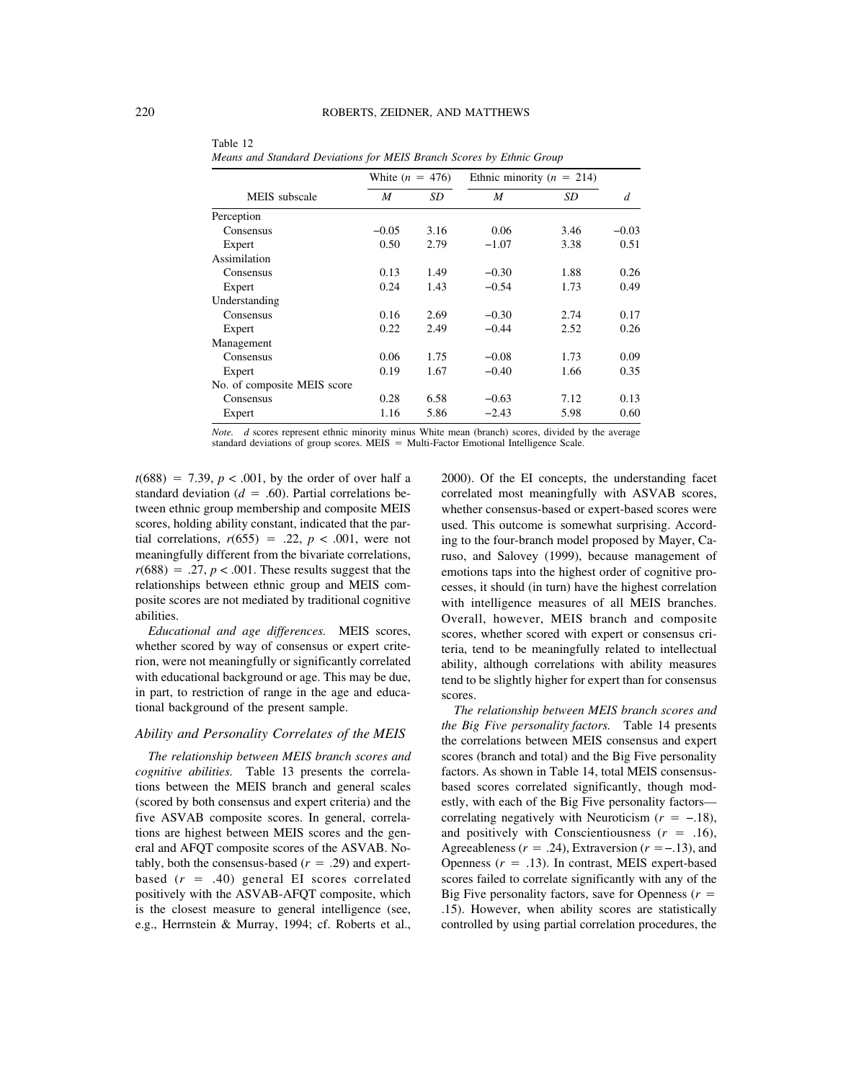|                             | White $(n = 476)$ |      | Ethnic minority ( $n = 214$ ) |      |         |
|-----------------------------|-------------------|------|-------------------------------|------|---------|
| MEIS subscale               | M                 | SD   | M                             | SD   | d       |
| Perception                  |                   |      |                               |      |         |
| Consensus                   | $-0.05$           | 3.16 | 0.06                          | 3.46 | $-0.03$ |
| Expert                      | 0.50              | 2.79 | $-1.07$                       | 3.38 | 0.51    |
| Assimilation                |                   |      |                               |      |         |
| Consensus                   | 0.13              | 1.49 | $-0.30$                       | 1.88 | 0.26    |
| Expert                      | 0.24              | 1.43 | $-0.54$                       | 1.73 | 0.49    |
| Understanding               |                   |      |                               |      |         |
| Consensus                   | 0.16              | 2.69 | $-0.30$                       | 2.74 | 0.17    |
| Expert                      | 0.22              | 2.49 | $-0.44$                       | 2.52 | 0.26    |
| Management                  |                   |      |                               |      |         |
| Consensus                   | 0.06              | 1.75 | $-0.08$                       | 1.73 | 0.09    |
| Expert                      | 0.19              | 1.67 | $-0.40$                       | 1.66 | 0.35    |
| No. of composite MEIS score |                   |      |                               |      |         |
| Consensus                   | 0.28              | 6.58 | $-0.63$                       | 7.12 | 0.13    |
| Expert                      | 1.16              | 5.86 | $-2.43$                       | 5.98 | 0.60    |

| Table 12                                                             |  |  |  |  |
|----------------------------------------------------------------------|--|--|--|--|
| Means and Standard Deviations for MEIS Branch Scores by Ethnic Group |  |  |  |  |

*Note. d* scores represent ethnic minority minus White mean (branch) scores, divided by the average standard deviations of group scores.  $MEIS = Multi-Factor$  Emotional Intelligence Scale.

 $t(688) = 7.39, p < .001$ , by the order of over half a standard deviation ( $d = .60$ ). Partial correlations between ethnic group membership and composite MEIS scores, holding ability constant, indicated that the partial correlations,  $r(655) = .22$ ,  $p < .001$ , were not meaningfully different from the bivariate correlations,  $r(688) = .27$ ,  $p < .001$ . These results suggest that the relationships between ethnic group and MEIS composite scores are not mediated by traditional cognitive abilities.

*Educational and age differences.* MEIS scores, whether scored by way of consensus or expert criterion, were not meaningfully or significantly correlated with educational background or age. This may be due, in part, to restriction of range in the age and educational background of the present sample.

## *Ability and Personality Correlates of the MEIS*

*The relationship between MEIS branch scores and cognitive abilities.* Table 13 presents the correlations between the MEIS branch and general scales (scored by both consensus and expert criteria) and the five ASVAB composite scores. In general, correlations are highest between MEIS scores and the general and AFQT composite scores of the ASVAB. Notably, both the consensus-based  $(r = .29)$  and expertbased  $(r = .40)$  general EI scores correlated positively with the ASVAB-AFQT composite, which is the closest measure to general intelligence (see, e.g., Herrnstein & Murray, 1994; cf. Roberts et al.,

2000). Of the EI concepts, the understanding facet correlated most meaningfully with ASVAB scores, whether consensus-based or expert-based scores were used. This outcome is somewhat surprising. According to the four-branch model proposed by Mayer, Caruso, and Salovey (1999), because management of emotions taps into the highest order of cognitive processes, it should (in turn) have the highest correlation with intelligence measures of all MEIS branches. Overall, however, MEIS branch and composite scores, whether scored with expert or consensus criteria, tend to be meaningfully related to intellectual ability, although correlations with ability measures tend to be slightly higher for expert than for consensus scores.

*The relationship between MEIS branch scores and the Big Five personality factors.* Table 14 presents the correlations between MEIS consensus and expert scores (branch and total) and the Big Five personality factors. As shown in Table 14, total MEIS consensusbased scores correlated significantly, though modestly, with each of the Big Five personality factors correlating negatively with Neuroticism  $(r = -18)$ , and positively with Conscientiousness  $(r = .16)$ , Agreeableness ( $r = .24$ ), Extraversion ( $r = -.13$ ), and Openness  $(r = .13)$ . In contrast, MEIS expert-based scores failed to correlate significantly with any of the Big Five personality factors, save for Openness  $(r =$ .15). However, when ability scores are statistically controlled by using partial correlation procedures, the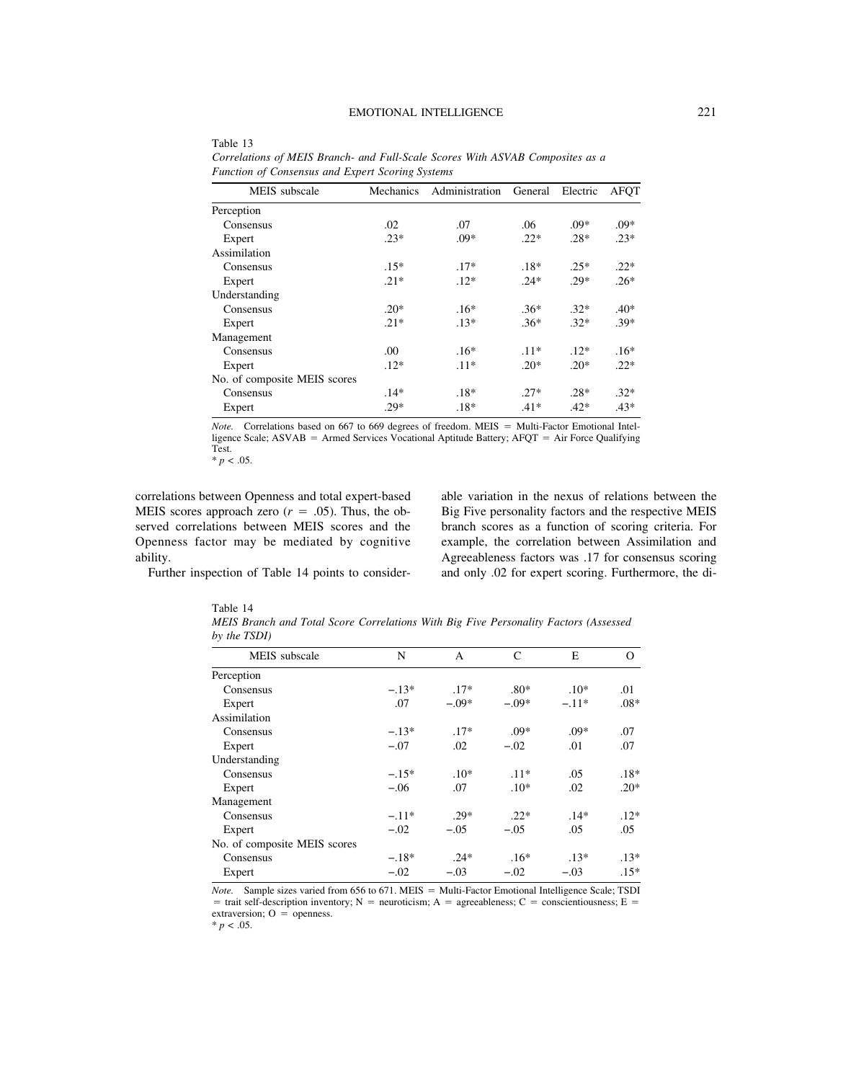| r unction of Consensus and Expert Scoring Systems |           |                |         |          |             |  |  |  |
|---------------------------------------------------|-----------|----------------|---------|----------|-------------|--|--|--|
| MEIS subscale                                     | Mechanics | Administration | General | Electric | <b>AFOT</b> |  |  |  |
| Perception                                        |           |                |         |          |             |  |  |  |
| Consensus                                         | .02       | .07            | .06     | $.09*$   | $.09*$      |  |  |  |
| Expert                                            | $.23*$    | $.09*$         | $.22*$  | $.28*$   | $.23*$      |  |  |  |
| Assimilation                                      |           |                |         |          |             |  |  |  |
| Consensus                                         | $.15*$    | $.17*$         | $.18*$  | $.25*$   | $.22*$      |  |  |  |
| Expert                                            | $.21*$    | $.12*$         | $.24*$  | $.29*$   | $.26*$      |  |  |  |
| Understanding                                     |           |                |         |          |             |  |  |  |
| Consensus                                         | $.20*$    | $.16*$         | $.36*$  | $.32*$   | $.40*$      |  |  |  |
| Expert                                            | $.21*$    | $.13*$         | $.36*$  | $.32*$   | $.39*$      |  |  |  |
| Management                                        |           |                |         |          |             |  |  |  |
| Consensus                                         | .00       | $.16*$         | $.11*$  | $.12*$   | $.16*$      |  |  |  |
| Expert                                            | $.12*$    | $.11*$         | $.20*$  | $.20*$   | $.22*$      |  |  |  |
| No. of composite MEIS scores                      |           |                |         |          |             |  |  |  |
| Consensus                                         | $.14*$    | $.18*$         | $.27*$  | $.28*$   | $.32*$      |  |  |  |
| Expert                                            | $.29*$    | $.18*$         | $.41*$  | $.42*$   | $.43*$      |  |  |  |

*Correlations of MEIS Branch- and Full-Scale Scores With ASVAB Composites as a Function of Consensus and Expert Scoring Systems*

*Note.* Correlations based on 667 to 669 degrees of freedom. MEIS = Multi-Factor Emotional Intelligence Scale;  $ASVAB =$  Armed Services Vocational Aptitude Battery;  $AFQT =$  Air Force Qualifying Test.

 $* p < .05$ .

Table 13

correlations between Openness and total expert-based MEIS scores approach zero  $(r = .05)$ . Thus, the observed correlations between MEIS scores and the Openness factor may be mediated by cognitive ability.

Further inspection of Table 14 points to consider-

able variation in the nexus of relations between the Big Five personality factors and the respective MEIS branch scores as a function of scoring criteria. For example, the correlation between Assimilation and Agreeableness factors was .17 for consensus scoring and only .02 for expert scoring. Furthermore, the di-

Table 14 *MEIS Branch and Total Score Correlations With Big Five Personality Factors (Assessed by the TSDI)*

| MEIS subscale                | N       | A       | C       | E       | $\Omega$ |
|------------------------------|---------|---------|---------|---------|----------|
| Perception                   |         |         |         |         |          |
| Consensus                    | $-.13*$ | $.17*$  | $.80*$  | $.10*$  | .01      |
| Expert                       | .07     | $-.09*$ | $-.09*$ | $-.11*$ | $.08*$   |
| Assimilation                 |         |         |         |         |          |
| Consensus                    | $-.13*$ | $.17*$  | $.09*$  | $.09*$  | .07      |
| Expert                       | $-.07$  | .02     | $-.02$  | .01     | .07      |
| Understanding                |         |         |         |         |          |
| Consensus                    | $-.15*$ | $.10*$  | $.11*$  | .05     | $.18*$   |
| Expert                       | $-.06$  | .07     | $.10*$  | .02     | $.20*$   |
| Management                   |         |         |         |         |          |
| Consensus                    | $-.11*$ | $.29*$  | $.22*$  | $.14*$  | $.12*$   |
| Expert                       | $-.02$  | $-.05$  | $-.05$  | .05     | .05      |
| No. of composite MEIS scores |         |         |         |         |          |
| Consensus                    | $-.18*$ | $.24*$  | $.16*$  | $.13*$  | $.13*$   |
| Expert                       | $-.02$  | $-.03$  | $-.02$  | $-.03$  | $.15*$   |
|                              |         |         |         |         |          |

*Note.* Sample sizes varied from 656 to 671. MEIS = Multi-Factor Emotional Intelligence Scale; TSDI  $=$  trait self-description inventory; N = neuroticism; A = agreeableness; C = conscientiousness; E = extraversion;  $O =$  openness.

 $* p < .05.$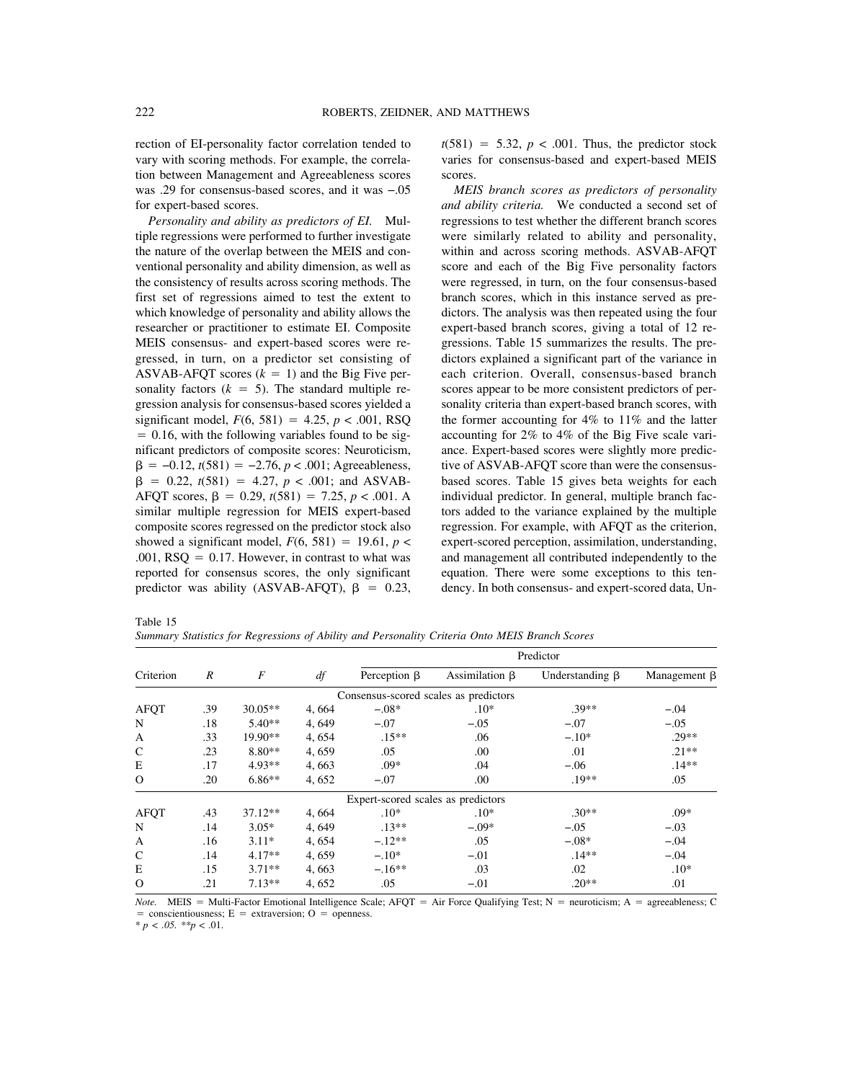rection of EI-personality factor correlation tended to vary with scoring methods. For example, the correlation between Management and Agreeableness scores was .29 for consensus-based scores, and it was −.05 for expert-based scores.

*Personality and ability as predictors of EI.* Multiple regressions were performed to further investigate the nature of the overlap between the MEIS and conventional personality and ability dimension, as well as the consistency of results across scoring methods. The first set of regressions aimed to test the extent to which knowledge of personality and ability allows the researcher or practitioner to estimate EI. Composite MEIS consensus- and expert-based scores were regressed, in turn, on a predictor set consisting of ASVAB-AFQT scores  $(k = 1)$  and the Big Five personality factors  $(k = 5)$ . The standard multiple regression analysis for consensus-based scores yielded a significant model,  $F(6, 581) = 4.25$ ,  $p < .001$ , RSQ  $= 0.16$ , with the following variables found to be significant predictors of composite scores: Neuroticism,  $\beta = -0.12$ ,  $t(581) = -2.76$ ,  $p < .001$ ; Agreeableness,  $\beta$  = 0.22,  $t(581)$  = 4.27,  $p < .001$ ; and ASVAB-AFQT scores,  $\beta = 0.29$ ,  $t(581) = 7.25$ ,  $p < .001$ . A similar multiple regression for MEIS expert-based composite scores regressed on the predictor stock also showed a significant model,  $F(6, 581) = 19.61$ ,  $p <$ .001,  $\text{RSQ} = 0.17$ . However, in contrast to what was reported for consensus scores, the only significant predictor was ability (ASVAB-AFQT),  $\beta = 0.23$ ,  $t(581) = 5.32, p < .001$ . Thus, the predictor stock varies for consensus-based and expert-based MEIS scores.

*MEIS branch scores as predictors of personality and ability criteria.* We conducted a second set of regressions to test whether the different branch scores were similarly related to ability and personality, within and across scoring methods. ASVAB-AFQT score and each of the Big Five personality factors were regressed, in turn, on the four consensus-based branch scores, which in this instance served as predictors. The analysis was then repeated using the four expert-based branch scores, giving a total of 12 regressions. Table 15 summarizes the results. The predictors explained a significant part of the variance in each criterion. Overall, consensus-based branch scores appear to be more consistent predictors of personality criteria than expert-based branch scores, with the former accounting for 4% to 11% and the latter accounting for 2% to 4% of the Big Five scale variance. Expert-based scores were slightly more predictive of ASVAB-AFQT score than were the consensusbased scores. Table 15 gives beta weights for each individual predictor. In general, multiple branch factors added to the variance explained by the multiple regression. For example, with AFQT as the criterion, expert-scored perception, assimilation, understanding, and management all contributed independently to the equation. There were some exceptions to this tendency. In both consensus- and expert-scored data, Un-

| Table 15 |                                                                                                |  |  |  |
|----------|------------------------------------------------------------------------------------------------|--|--|--|
|          | Summary Statistics for Regressions of Ability and Personality Criteria Onto MEIS Branch Scores |  |  |  |

|              |                  |                  |       | Predictor                             |                |                 |                    |  |
|--------------|------------------|------------------|-------|---------------------------------------|----------------|-----------------|--------------------|--|
| Criterion    | $\boldsymbol{R}$ | $\boldsymbol{F}$ | df    | Perception $\beta$                    | Assimilation B | Understanding B | Management $\beta$ |  |
|              |                  |                  |       | Consensus-scored scales as predictors |                |                 |                    |  |
| <b>AFQT</b>  | .39              | $30.05**$        | 4,664 | $-.08*$                               | $.10*$         | $.39**$         | $-.04$             |  |
| N            | .18              | $5.40**$         | 4,649 | $-.07$                                | $-.05$         | $-.07$          | $-.05$             |  |
| A            | .33              | 19.90**          | 4,654 | $.15**$                               | .06            | $-.10*$         | $.29**$            |  |
| C            | .23              | $8.80**$         | 4,659 | .05                                   | .00            | .01             | $.21**$            |  |
| E            | .17              | $4.93**$         | 4,663 | $.09*$                                | .04            | $-.06$          | $.14**$            |  |
| $\Omega$     | .20              | $6.86**$         | 4,652 | $-.07$                                | .00            | $.19**$         | .05                |  |
|              |                  |                  |       | Expert-scored scales as predictors    |                |                 |                    |  |
| <b>AFQT</b>  | .43              | $37.12**$        | 4,664 | $.10*$                                | $.10*$         | $.30**$         | $.09*$             |  |
| N            | .14              | $3.05*$          | 4,649 | $.13**$                               | $-.09*$        | $-.05$          | $-.03$             |  |
| $\mathsf{A}$ | .16              | $3.11*$          | 4,654 | $-.12**$                              | .05            | $-.08*$         | $-.04$             |  |
| C            | .14              | $4.17**$         | 4,659 | $-.10*$                               | $-.01$         | $.14**$         | $-.04$             |  |
| E            | .15              | $3.71**$         | 4,663 | $-.16**$                              | .03            | .02             | $.10*$             |  |
| $\Omega$     | .21              | $7.13**$         | 4,652 | .05                                   | $-.01$         | $.20**$         | .01                |  |

*Note.* MEIS = Multi-Factor Emotional Intelligence Scale; AFQT = Air Force Qualifying Test;  $N =$  neuroticism; A = agreeableness; C  $=$  conscientiousness; E  $=$  extraversion; O  $=$  openness.

 $* p < .05. \cdot * p < .01.$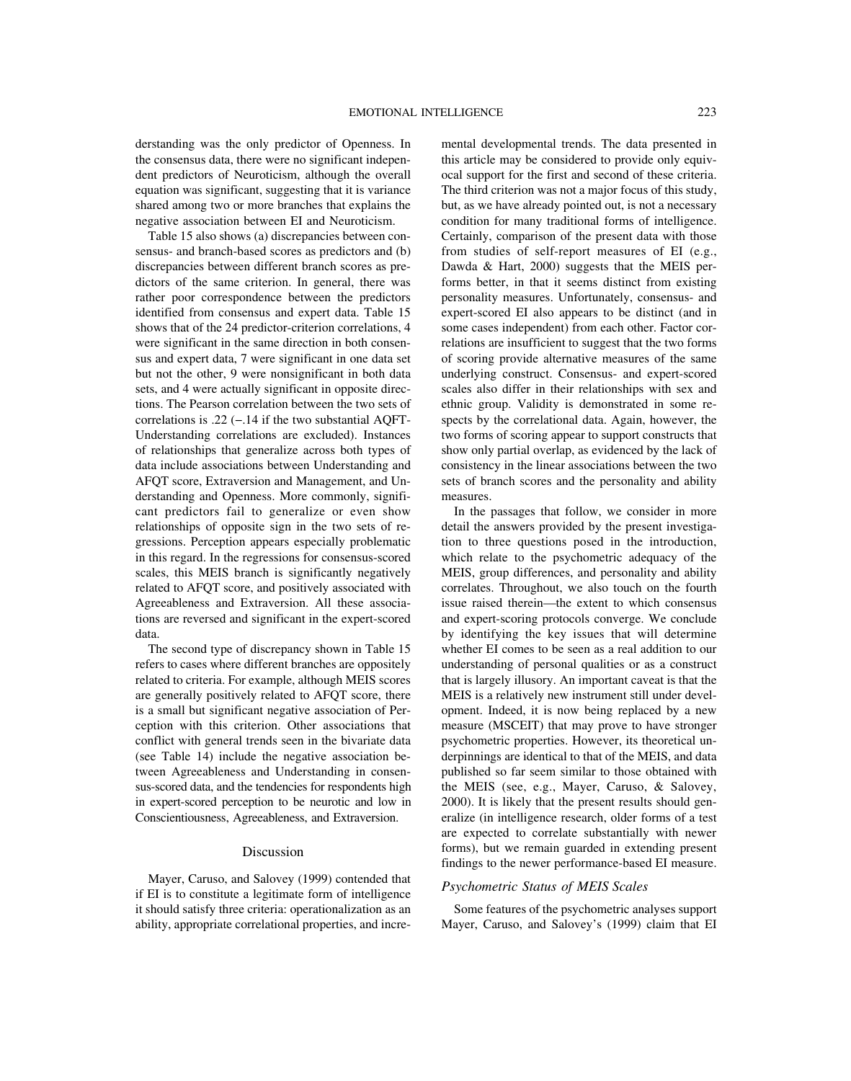derstanding was the only predictor of Openness. In the consensus data, there were no significant independent predictors of Neuroticism, although the overall equation was significant, suggesting that it is variance shared among two or more branches that explains the negative association between EI and Neuroticism.

Table 15 also shows (a) discrepancies between consensus- and branch-based scores as predictors and (b) discrepancies between different branch scores as predictors of the same criterion. In general, there was rather poor correspondence between the predictors identified from consensus and expert data. Table 15 shows that of the 24 predictor-criterion correlations, 4 were significant in the same direction in both consensus and expert data, 7 were significant in one data set but not the other, 9 were nonsignificant in both data sets, and 4 were actually significant in opposite directions. The Pearson correlation between the two sets of correlations is .22 (−.14 if the two substantial AQFT-Understanding correlations are excluded). Instances of relationships that generalize across both types of data include associations between Understanding and AFQT score, Extraversion and Management, and Understanding and Openness. More commonly, significant predictors fail to generalize or even show relationships of opposite sign in the two sets of regressions. Perception appears especially problematic in this regard. In the regressions for consensus-scored scales, this MEIS branch is significantly negatively related to AFQT score, and positively associated with Agreeableness and Extraversion. All these associations are reversed and significant in the expert-scored data.

The second type of discrepancy shown in Table 15 refers to cases where different branches are oppositely related to criteria. For example, although MEIS scores are generally positively related to AFQT score, there is a small but significant negative association of Perception with this criterion. Other associations that conflict with general trends seen in the bivariate data (see Table 14) include the negative association between Agreeableness and Understanding in consensus-scored data, and the tendencies for respondents high in expert-scored perception to be neurotic and low in Conscientiousness, Agreeableness, and Extraversion.

## Discussion

Mayer, Caruso, and Salovey (1999) contended that if EI is to constitute a legitimate form of intelligence it should satisfy three criteria: operationalization as an ability, appropriate correlational properties, and incremental developmental trends. The data presented in this article may be considered to provide only equivocal support for the first and second of these criteria. The third criterion was not a major focus of this study, but, as we have already pointed out, is not a necessary condition for many traditional forms of intelligence. Certainly, comparison of the present data with those from studies of self-report measures of EI (e.g., Dawda & Hart, 2000) suggests that the MEIS performs better, in that it seems distinct from existing personality measures. Unfortunately, consensus- and expert-scored EI also appears to be distinct (and in some cases independent) from each other. Factor correlations are insufficient to suggest that the two forms of scoring provide alternative measures of the same underlying construct. Consensus- and expert-scored scales also differ in their relationships with sex and ethnic group. Validity is demonstrated in some respects by the correlational data. Again, however, the two forms of scoring appear to support constructs that show only partial overlap, as evidenced by the lack of consistency in the linear associations between the two sets of branch scores and the personality and ability measures.

In the passages that follow, we consider in more detail the answers provided by the present investigation to three questions posed in the introduction, which relate to the psychometric adequacy of the MEIS, group differences, and personality and ability correlates. Throughout, we also touch on the fourth issue raised therein—the extent to which consensus and expert-scoring protocols converge. We conclude by identifying the key issues that will determine whether EI comes to be seen as a real addition to our understanding of personal qualities or as a construct that is largely illusory. An important caveat is that the MEIS is a relatively new instrument still under development. Indeed, it is now being replaced by a new measure (MSCEIT) that may prove to have stronger psychometric properties. However, its theoretical underpinnings are identical to that of the MEIS, and data published so far seem similar to those obtained with the MEIS (see, e.g., Mayer, Caruso, & Salovey, 2000). It is likely that the present results should generalize (in intelligence research, older forms of a test are expected to correlate substantially with newer forms), but we remain guarded in extending present findings to the newer performance-based EI measure.

#### *Psychometric Status of MEIS Scales*

Some features of the psychometric analyses support Mayer, Caruso, and Salovey's (1999) claim that EI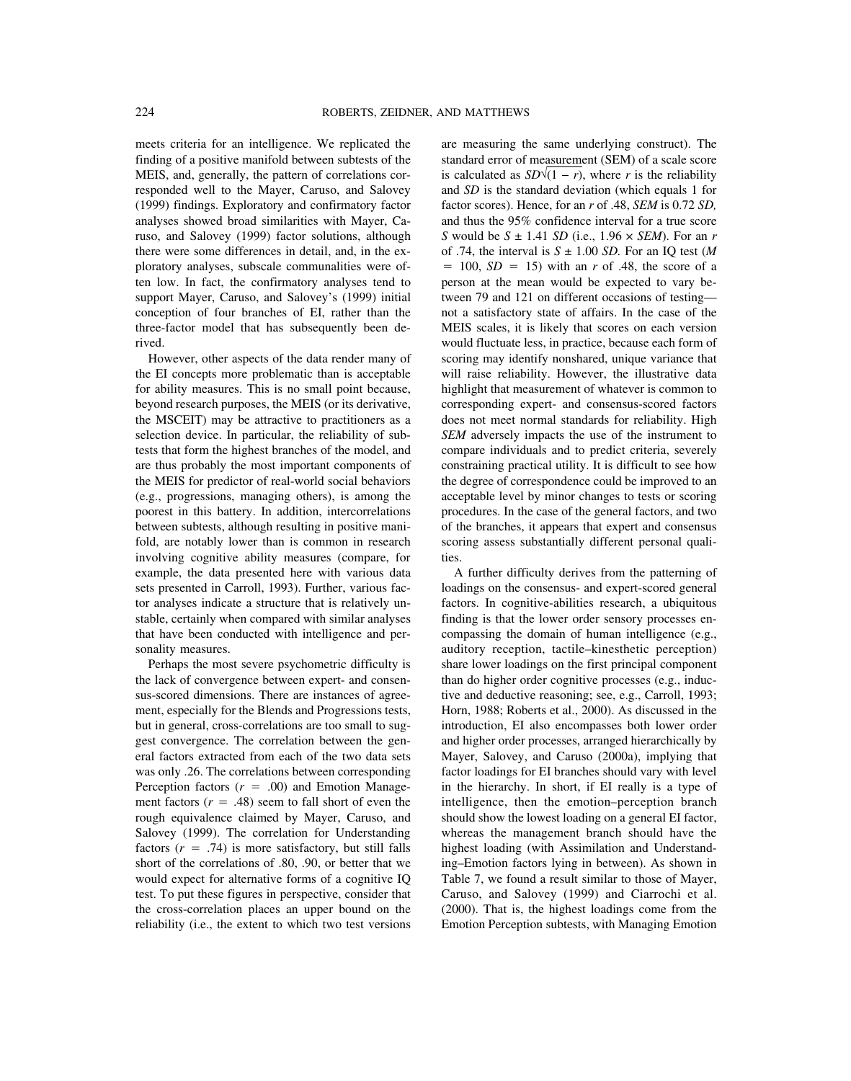meets criteria for an intelligence. We replicated the finding of a positive manifold between subtests of the MEIS, and, generally, the pattern of correlations corresponded well to the Mayer, Caruso, and Salovey (1999) findings. Exploratory and confirmatory factor analyses showed broad similarities with Mayer, Caruso, and Salovey (1999) factor solutions, although there were some differences in detail, and, in the exploratory analyses, subscale communalities were often low. In fact, the confirmatory analyses tend to support Mayer, Caruso, and Salovey's (1999) initial conception of four branches of EI, rather than the three-factor model that has subsequently been derived.

However, other aspects of the data render many of the EI concepts more problematic than is acceptable for ability measures. This is no small point because, beyond research purposes, the MEIS (or its derivative, the MSCEIT) may be attractive to practitioners as a selection device. In particular, the reliability of subtests that form the highest branches of the model, and are thus probably the most important components of the MEIS for predictor of real-world social behaviors (e.g., progressions, managing others), is among the poorest in this battery. In addition, intercorrelations between subtests, although resulting in positive manifold, are notably lower than is common in research involving cognitive ability measures (compare, for example, the data presented here with various data sets presented in Carroll, 1993). Further, various factor analyses indicate a structure that is relatively unstable, certainly when compared with similar analyses that have been conducted with intelligence and personality measures.

Perhaps the most severe psychometric difficulty is the lack of convergence between expert- and consensus-scored dimensions. There are instances of agreement, especially for the Blends and Progressions tests, but in general, cross-correlations are too small to suggest convergence. The correlation between the general factors extracted from each of the two data sets was only .26. The correlations between corresponding Perception factors  $(r = .00)$  and Emotion Management factors  $(r = .48)$  seem to fall short of even the rough equivalence claimed by Mayer, Caruso, and Salovey (1999). The correlation for Understanding factors  $(r = .74)$  is more satisfactory, but still falls short of the correlations of .80, .90, or better that we would expect for alternative forms of a cognitive IQ test. To put these figures in perspective, consider that the cross-correlation places an upper bound on the reliability (i.e., the extent to which two test versions are measuring the same underlying construct). The standard error of measurement (SEM) of a scale score is calculated as  $SD\sqrt{(1 - r)}$ , where *r* is the reliability and *SD* is the standard deviation (which equals 1 for factor scores). Hence, for an *r* of .48, *SEM* is 0.72 *SD,* and thus the 95% confidence interval for a true score *S* would be *S* ± 1.41 *SD* (i.e., 1.96 × *SEM*). For an *r* of .74, the interval is  $S \pm 1.00$  *SD*. For an IQ test (*M*  $= 100$ ,  $SD = 15$ ) with an *r* of .48, the score of a person at the mean would be expected to vary between 79 and 121 on different occasions of testing not a satisfactory state of affairs. In the case of the MEIS scales, it is likely that scores on each version would fluctuate less, in practice, because each form of scoring may identify nonshared, unique variance that will raise reliability. However, the illustrative data highlight that measurement of whatever is common to corresponding expert- and consensus-scored factors does not meet normal standards for reliability. High *SEM* adversely impacts the use of the instrument to compare individuals and to predict criteria, severely constraining practical utility. It is difficult to see how the degree of correspondence could be improved to an acceptable level by minor changes to tests or scoring procedures. In the case of the general factors, and two of the branches, it appears that expert and consensus scoring assess substantially different personal qualities.

A further difficulty derives from the patterning of loadings on the consensus- and expert-scored general factors. In cognitive-abilities research, a ubiquitous finding is that the lower order sensory processes encompassing the domain of human intelligence (e.g., auditory reception, tactile–kinesthetic perception) share lower loadings on the first principal component than do higher order cognitive processes (e.g., inductive and deductive reasoning; see, e.g., Carroll, 1993; Horn, 1988; Roberts et al., 2000). As discussed in the introduction, EI also encompasses both lower order and higher order processes, arranged hierarchically by Mayer, Salovey, and Caruso (2000a), implying that factor loadings for EI branches should vary with level in the hierarchy. In short, if EI really is a type of intelligence, then the emotion–perception branch should show the lowest loading on a general EI factor, whereas the management branch should have the highest loading (with Assimilation and Understanding–Emotion factors lying in between). As shown in Table 7, we found a result similar to those of Mayer, Caruso, and Salovey (1999) and Ciarrochi et al. (2000). That is, the highest loadings come from the Emotion Perception subtests, with Managing Emotion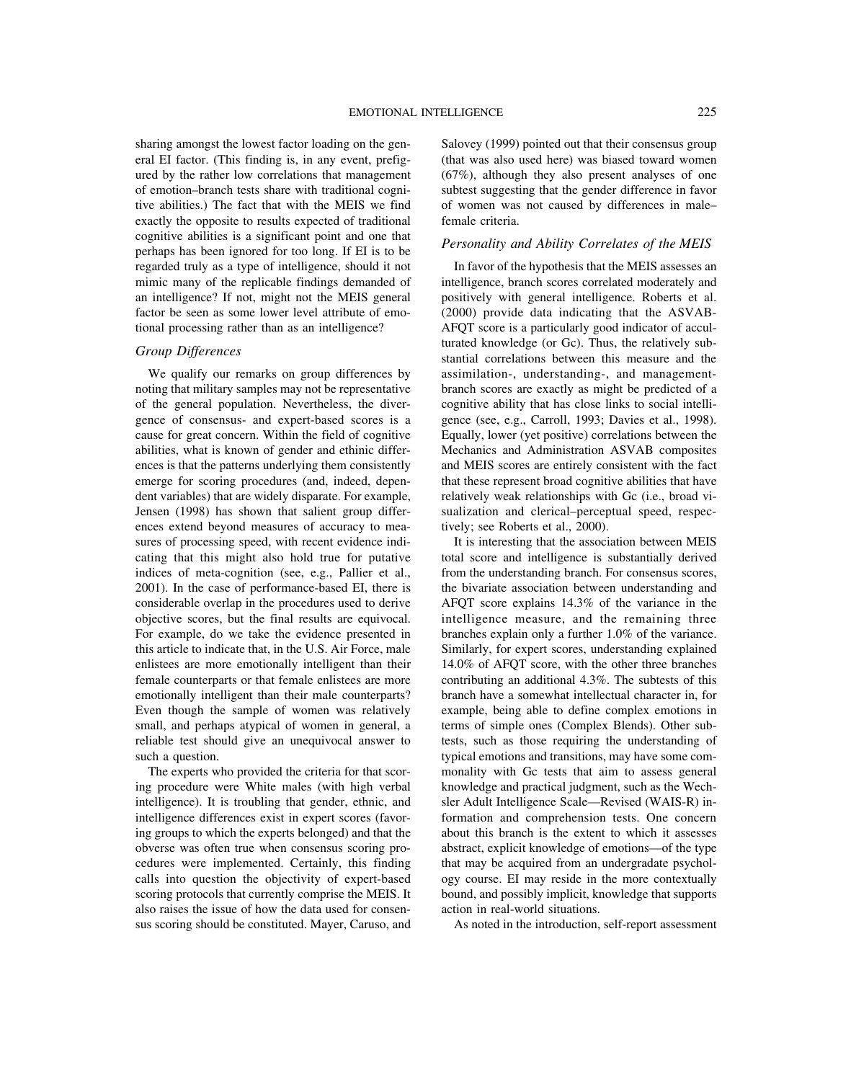sharing amongst the lowest factor loading on the general EI factor. (This finding is, in any event, prefigured by the rather low correlations that management of emotion–branch tests share with traditional cognitive abilities.) The fact that with the MEIS we find exactly the opposite to results expected of traditional cognitive abilities is a significant point and one that perhaps has been ignored for too long. If EI is to be regarded truly as a type of intelligence, should it not mimic many of the replicable findings demanded of an intelligence? If not, might not the MEIS general factor be seen as some lower level attribute of emotional processing rather than as an intelligence?

# *Group Differences*

We qualify our remarks on group differences by noting that military samples may not be representative of the general population. Nevertheless, the divergence of consensus- and expert-based scores is a cause for great concern. Within the field of cognitive abilities, what is known of gender and ethinic differences is that the patterns underlying them consistently emerge for scoring procedures (and, indeed, dependent variables) that are widely disparate. For example, Jensen (1998) has shown that salient group differences extend beyond measures of accuracy to measures of processing speed, with recent evidence indicating that this might also hold true for putative indices of meta-cognition (see, e.g., Pallier et al., 2001). In the case of performance-based EI, there is considerable overlap in the procedures used to derive objective scores, but the final results are equivocal. For example, do we take the evidence presented in this article to indicate that, in the U.S. Air Force, male enlistees are more emotionally intelligent than their female counterparts or that female enlistees are more emotionally intelligent than their male counterparts? Even though the sample of women was relatively small, and perhaps atypical of women in general, a reliable test should give an unequivocal answer to such a question.

The experts who provided the criteria for that scoring procedure were White males (with high verbal intelligence). It is troubling that gender, ethnic, and intelligence differences exist in expert scores (favoring groups to which the experts belonged) and that the obverse was often true when consensus scoring procedures were implemented. Certainly, this finding calls into question the objectivity of expert-based scoring protocols that currently comprise the MEIS. It also raises the issue of how the data used for consensus scoring should be constituted. Mayer, Caruso, and

Salovey (1999) pointed out that their consensus group (that was also used here) was biased toward women (67%), although they also present analyses of one subtest suggesting that the gender difference in favor of women was not caused by differences in male– female criteria.

# *Personality and Ability Correlates of the MEIS*

In favor of the hypothesis that the MEIS assesses an intelligence, branch scores correlated moderately and positively with general intelligence. Roberts et al. (2000) provide data indicating that the ASVAB-AFQT score is a particularly good indicator of acculturated knowledge (or Gc). Thus, the relatively substantial correlations between this measure and the assimilation-, understanding-, and managementbranch scores are exactly as might be predicted of a cognitive ability that has close links to social intelligence (see, e.g., Carroll, 1993; Davies et al., 1998). Equally, lower (yet positive) correlations between the Mechanics and Administration ASVAB composites and MEIS scores are entirely consistent with the fact that these represent broad cognitive abilities that have relatively weak relationships with Gc (i.e., broad visualization and clerical–perceptual speed, respectively; see Roberts et al., 2000).

It is interesting that the association between MEIS total score and intelligence is substantially derived from the understanding branch. For consensus scores, the bivariate association between understanding and AFQT score explains 14.3% of the variance in the intelligence measure, and the remaining three branches explain only a further 1.0% of the variance. Similarly, for expert scores, understanding explained 14.0% of AFQT score, with the other three branches contributing an additional 4.3%. The subtests of this branch have a somewhat intellectual character in, for example, being able to define complex emotions in terms of simple ones (Complex Blends). Other subtests, such as those requiring the understanding of typical emotions and transitions, may have some commonality with Gc tests that aim to assess general knowledge and practical judgment, such as the Wechsler Adult Intelligence Scale—Revised (WAIS-R) information and comprehension tests. One concern about this branch is the extent to which it assesses abstract, explicit knowledge of emotions—of the type that may be acquired from an undergradate psychology course. EI may reside in the more contextually bound, and possibly implicit, knowledge that supports action in real-world situations.

As noted in the introduction, self-report assessment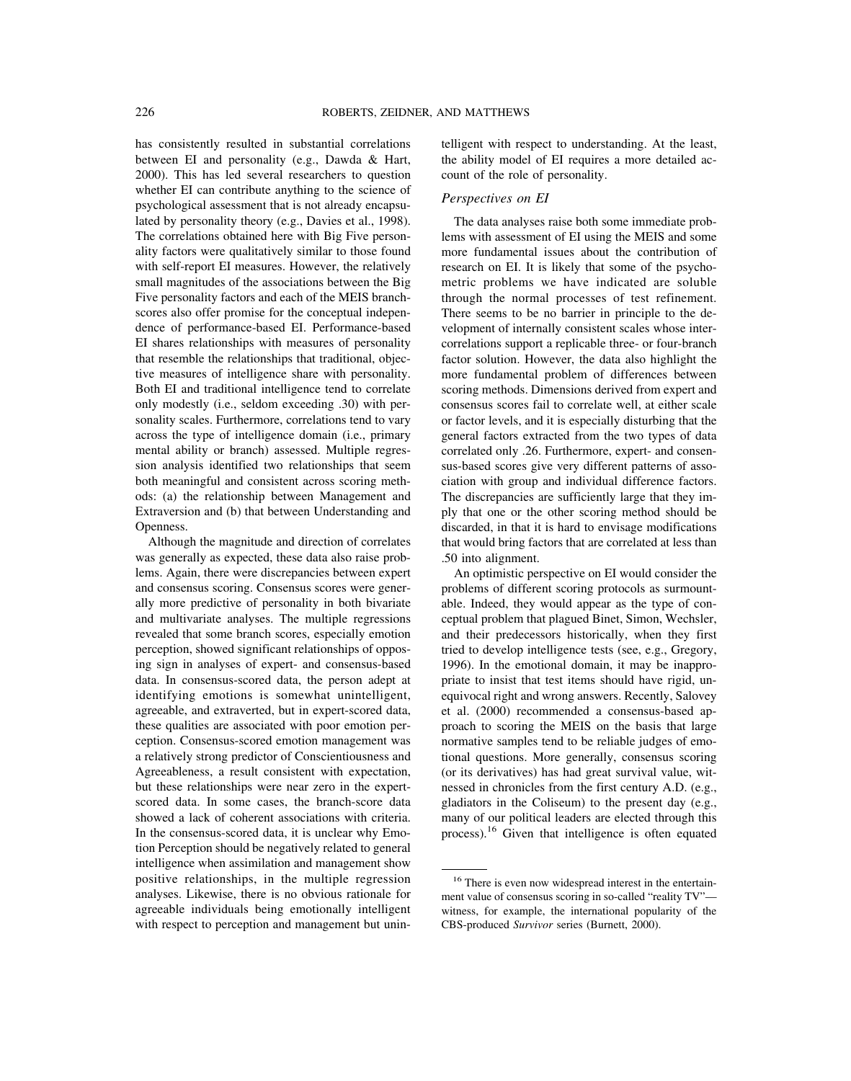has consistently resulted in substantial correlations between EI and personality (e.g., Dawda & Hart, 2000). This has led several researchers to question whether EI can contribute anything to the science of psychological assessment that is not already encapsulated by personality theory (e.g., Davies et al., 1998). The correlations obtained here with Big Five personality factors were qualitatively similar to those found with self-report EI measures. However, the relatively small magnitudes of the associations between the Big Five personality factors and each of the MEIS branchscores also offer promise for the conceptual independence of performance-based EI. Performance-based EI shares relationships with measures of personality that resemble the relationships that traditional, objective measures of intelligence share with personality. Both EI and traditional intelligence tend to correlate only modestly (i.e., seldom exceeding .30) with personality scales. Furthermore, correlations tend to vary across the type of intelligence domain (i.e., primary mental ability or branch) assessed. Multiple regression analysis identified two relationships that seem both meaningful and consistent across scoring methods: (a) the relationship between Management and Extraversion and (b) that between Understanding and Openness.

Although the magnitude and direction of correlates was generally as expected, these data also raise problems. Again, there were discrepancies between expert and consensus scoring. Consensus scores were generally more predictive of personality in both bivariate and multivariate analyses. The multiple regressions revealed that some branch scores, especially emotion perception, showed significant relationships of opposing sign in analyses of expert- and consensus-based data. In consensus-scored data, the person adept at identifying emotions is somewhat unintelligent, agreeable, and extraverted, but in expert-scored data, these qualities are associated with poor emotion perception. Consensus-scored emotion management was a relatively strong predictor of Conscientiousness and Agreeableness, a result consistent with expectation, but these relationships were near zero in the expertscored data. In some cases, the branch-score data showed a lack of coherent associations with criteria. In the consensus-scored data, it is unclear why Emotion Perception should be negatively related to general intelligence when assimilation and management show positive relationships, in the multiple regression analyses. Likewise, there is no obvious rationale for agreeable individuals being emotionally intelligent with respect to perception and management but unintelligent with respect to understanding. At the least, the ability model of EI requires a more detailed account of the role of personality.

# *Perspectives on EI*

The data analyses raise both some immediate problems with assessment of EI using the MEIS and some more fundamental issues about the contribution of research on EI. It is likely that some of the psychometric problems we have indicated are soluble through the normal processes of test refinement. There seems to be no barrier in principle to the development of internally consistent scales whose intercorrelations support a replicable three- or four-branch factor solution. However, the data also highlight the more fundamental problem of differences between scoring methods. Dimensions derived from expert and consensus scores fail to correlate well, at either scale or factor levels, and it is especially disturbing that the general factors extracted from the two types of data correlated only .26. Furthermore, expert- and consensus-based scores give very different patterns of association with group and individual difference factors. The discrepancies are sufficiently large that they imply that one or the other scoring method should be discarded, in that it is hard to envisage modifications that would bring factors that are correlated at less than .50 into alignment.

An optimistic perspective on EI would consider the problems of different scoring protocols as surmountable. Indeed, they would appear as the type of conceptual problem that plagued Binet, Simon, Wechsler, and their predecessors historically, when they first tried to develop intelligence tests (see, e.g., Gregory, 1996). In the emotional domain, it may be inappropriate to insist that test items should have rigid, unequivocal right and wrong answers. Recently, Salovey et al. (2000) recommended a consensus-based approach to scoring the MEIS on the basis that large normative samples tend to be reliable judges of emotional questions. More generally, consensus scoring (or its derivatives) has had great survival value, witnessed in chronicles from the first century A.D. (e.g., gladiators in the Coliseum) to the present day (e.g., many of our political leaders are elected through this process).16 Given that intelligence is often equated

<sup>&</sup>lt;sup>16</sup> There is even now widespread interest in the entertainment value of consensus scoring in so-called "reality TV" witness, for example, the international popularity of the CBS-produced *Survivor* series (Burnett, 2000).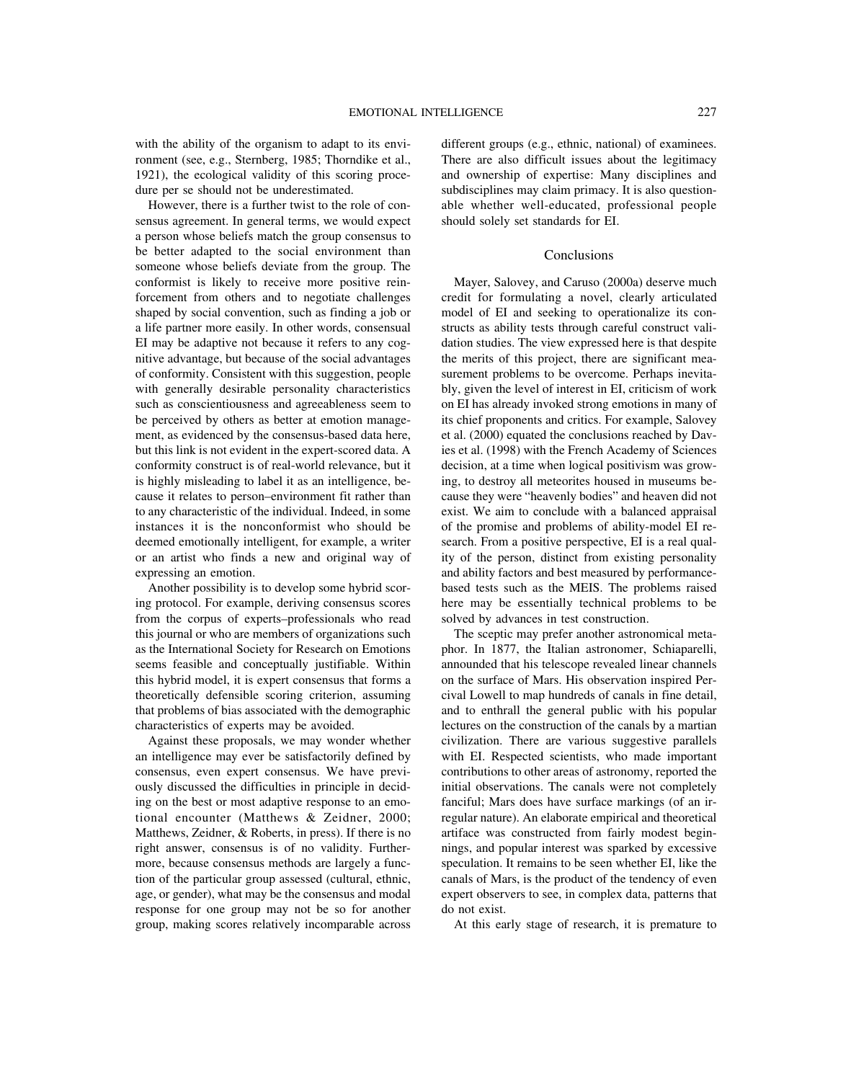with the ability of the organism to adapt to its environment (see, e.g., Sternberg, 1985; Thorndike et al., 1921), the ecological validity of this scoring procedure per se should not be underestimated.

However, there is a further twist to the role of consensus agreement. In general terms, we would expect a person whose beliefs match the group consensus to be better adapted to the social environment than someone whose beliefs deviate from the group. The conformist is likely to receive more positive reinforcement from others and to negotiate challenges shaped by social convention, such as finding a job or a life partner more easily. In other words, consensual EI may be adaptive not because it refers to any cognitive advantage, but because of the social advantages of conformity. Consistent with this suggestion, people with generally desirable personality characteristics such as conscientiousness and agreeableness seem to be perceived by others as better at emotion management, as evidenced by the consensus-based data here, but this link is not evident in the expert-scored data. A conformity construct is of real-world relevance, but it is highly misleading to label it as an intelligence, because it relates to person–environment fit rather than to any characteristic of the individual. Indeed, in some instances it is the nonconformist who should be deemed emotionally intelligent, for example, a writer or an artist who finds a new and original way of expressing an emotion.

Another possibility is to develop some hybrid scoring protocol. For example, deriving consensus scores from the corpus of experts–professionals who read this journal or who are members of organizations such as the International Society for Research on Emotions seems feasible and conceptually justifiable. Within this hybrid model, it is expert consensus that forms a theoretically defensible scoring criterion, assuming that problems of bias associated with the demographic characteristics of experts may be avoided.

Against these proposals, we may wonder whether an intelligence may ever be satisfactorily defined by consensus, even expert consensus. We have previously discussed the difficulties in principle in deciding on the best or most adaptive response to an emotional encounter (Matthews & Zeidner, 2000; Matthews, Zeidner, & Roberts, in press). If there is no right answer, consensus is of no validity. Furthermore, because consensus methods are largely a function of the particular group assessed (cultural, ethnic, age, or gender), what may be the consensus and modal response for one group may not be so for another group, making scores relatively incomparable across

different groups (e.g., ethnic, national) of examinees. There are also difficult issues about the legitimacy and ownership of expertise: Many disciplines and subdisciplines may claim primacy. It is also questionable whether well-educated, professional people should solely set standards for EI.

## Conclusions

Mayer, Salovey, and Caruso (2000a) deserve much credit for formulating a novel, clearly articulated model of EI and seeking to operationalize its constructs as ability tests through careful construct validation studies. The view expressed here is that despite the merits of this project, there are significant measurement problems to be overcome. Perhaps inevitably, given the level of interest in EI, criticism of work on EI has already invoked strong emotions in many of its chief proponents and critics. For example, Salovey et al. (2000) equated the conclusions reached by Davies et al. (1998) with the French Academy of Sciences decision, at a time when logical positivism was growing, to destroy all meteorites housed in museums because they were "heavenly bodies" and heaven did not exist. We aim to conclude with a balanced appraisal of the promise and problems of ability-model EI research. From a positive perspective, EI is a real quality of the person, distinct from existing personality and ability factors and best measured by performancebased tests such as the MEIS. The problems raised here may be essentially technical problems to be solved by advances in test construction.

The sceptic may prefer another astronomical metaphor. In 1877, the Italian astronomer, Schiaparelli, announded that his telescope revealed linear channels on the surface of Mars. His observation inspired Percival Lowell to map hundreds of canals in fine detail, and to enthrall the general public with his popular lectures on the construction of the canals by a martian civilization. There are various suggestive parallels with EI. Respected scientists, who made important contributions to other areas of astronomy, reported the initial observations. The canals were not completely fanciful; Mars does have surface markings (of an irregular nature). An elaborate empirical and theoretical artiface was constructed from fairly modest beginnings, and popular interest was sparked by excessive speculation. It remains to be seen whether EI, like the canals of Mars, is the product of the tendency of even expert observers to see, in complex data, patterns that do not exist.

At this early stage of research, it is premature to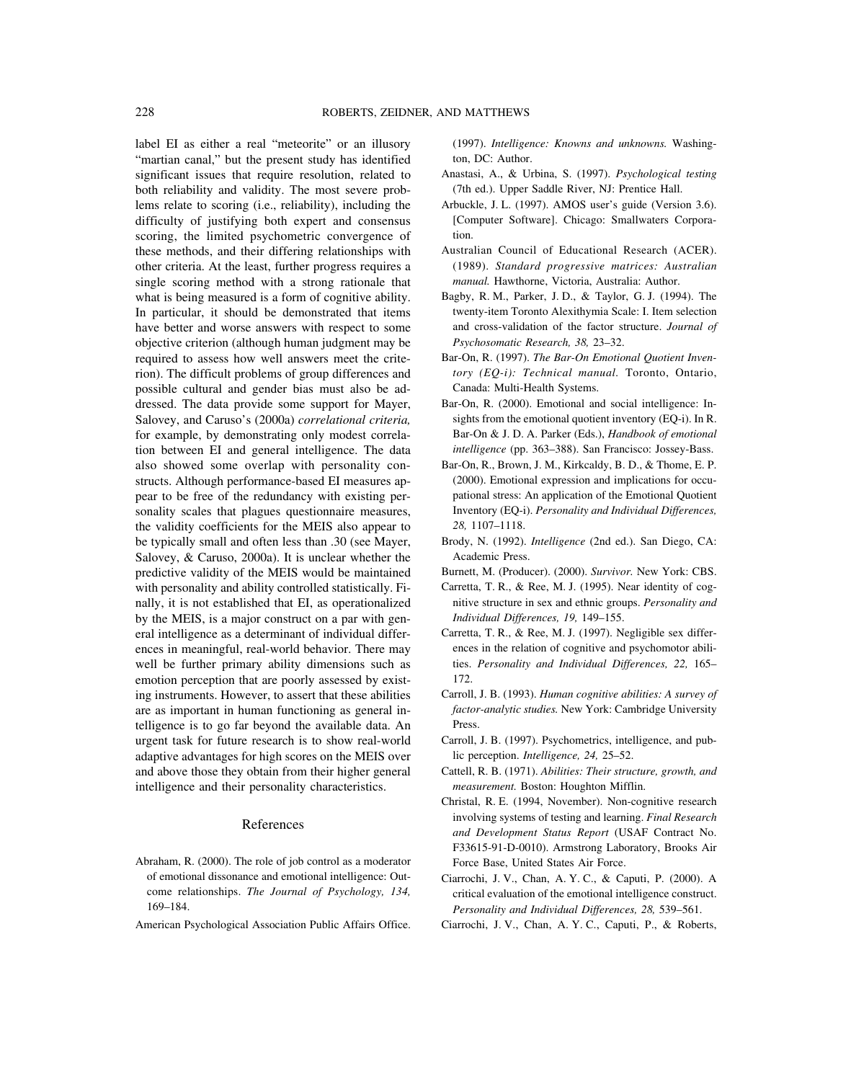label EI as either a real "meteorite" or an illusory "martian canal," but the present study has identified significant issues that require resolution, related to both reliability and validity. The most severe problems relate to scoring (i.e., reliability), including the difficulty of justifying both expert and consensus scoring, the limited psychometric convergence of these methods, and their differing relationships with other criteria. At the least, further progress requires a single scoring method with a strong rationale that what is being measured is a form of cognitive ability. In particular, it should be demonstrated that items have better and worse answers with respect to some objective criterion (although human judgment may be required to assess how well answers meet the criterion). The difficult problems of group differences and possible cultural and gender bias must also be addressed. The data provide some support for Mayer, Salovey, and Caruso's (2000a) *correlational criteria,* for example, by demonstrating only modest correlation between EI and general intelligence. The data also showed some overlap with personality constructs. Although performance-based EI measures appear to be free of the redundancy with existing personality scales that plagues questionnaire measures, the validity coefficients for the MEIS also appear to be typically small and often less than .30 (see Mayer, Salovey, & Caruso, 2000a). It is unclear whether the predictive validity of the MEIS would be maintained with personality and ability controlled statistically. Finally, it is not established that EI, as operationalized by the MEIS, is a major construct on a par with general intelligence as a determinant of individual differences in meaningful, real-world behavior. There may well be further primary ability dimensions such as emotion perception that are poorly assessed by existing instruments. However, to assert that these abilities are as important in human functioning as general intelligence is to go far beyond the available data. An urgent task for future research is to show real-world adaptive advantages for high scores on the MEIS over and above those they obtain from their higher general intelligence and their personality characteristics.

### References

- Abraham, R. (2000). The role of job control as a moderator of emotional dissonance and emotional intelligence: Outcome relationships. *The Journal of Psychology, 134,* 169–184.
- American Psychological Association Public Affairs Office.

(1997). *Intelligence: Knowns and unknowns.* Washington, DC: Author.

- Anastasi, A., & Urbina, S. (1997). *Psychological testing* (7th ed.). Upper Saddle River, NJ: Prentice Hall.
- Arbuckle, J. L. (1997). AMOS user's guide (Version 3.6). [Computer Software]. Chicago: Smallwaters Corporation.
- Australian Council of Educational Research (ACER). (1989). *Standard progressive matrices: Australian manual.* Hawthorne, Victoria, Australia: Author.
- Bagby, R. M., Parker, J. D., & Taylor, G. J. (1994). The twenty-item Toronto Alexithymia Scale: I. Item selection and cross-validation of the factor structure. *Journal of Psychosomatic Research, 38,* 23–32.
- Bar-On, R. (1997). *The Bar-On Emotional Quotient Inventory (EQ-i): Technical manual.* Toronto, Ontario, Canada: Multi-Health Systems.
- Bar-On, R. (2000). Emotional and social intelligence: Insights from the emotional quotient inventory (EQ-i). In R. Bar-On & J. D. A. Parker (Eds.), *Handbook of emotional intelligence* (pp. 363–388). San Francisco: Jossey-Bass.
- Bar-On, R., Brown, J. M., Kirkcaldy, B. D., & Thome, E. P. (2000). Emotional expression and implications for occupational stress: An application of the Emotional Quotient Inventory (EQ-i). *Personality and Individual Differences, 28,* 1107–1118.
- Brody, N. (1992). *Intelligence* (2nd ed.). San Diego, CA: Academic Press.
- Burnett, M. (Producer). (2000). *Survivor.* New York: CBS.
- Carretta, T. R., & Ree, M. J. (1995). Near identity of cognitive structure in sex and ethnic groups. *Personality and Individual Differences, 19,* 149–155.
- Carretta, T. R., & Ree, M. J. (1997). Negligible sex differences in the relation of cognitive and psychomotor abilities. *Personality and Individual Differences, 22,* 165– 172.
- Carroll, J. B. (1993). *Human cognitive abilities: A survey of factor-analytic studies.* New York: Cambridge University Press.
- Carroll, J. B. (1997). Psychometrics, intelligence, and public perception. *Intelligence, 24,* 25–52.
- Cattell, R. B. (1971). *Abilities: Their structure, growth, and measurement.* Boston: Houghton Mifflin.
- Christal, R. E. (1994, November). Non-cognitive research involving systems of testing and learning. *Final Research and Development Status Report* (USAF Contract No. F33615-91-D-0010). Armstrong Laboratory, Brooks Air Force Base, United States Air Force.
- Ciarrochi, J. V., Chan, A. Y. C., & Caputi, P. (2000). A critical evaluation of the emotional intelligence construct. *Personality and Individual Differences, 28,* 539–561.
- Ciarrochi, J. V., Chan, A. Y. C., Caputi, P., & Roberts,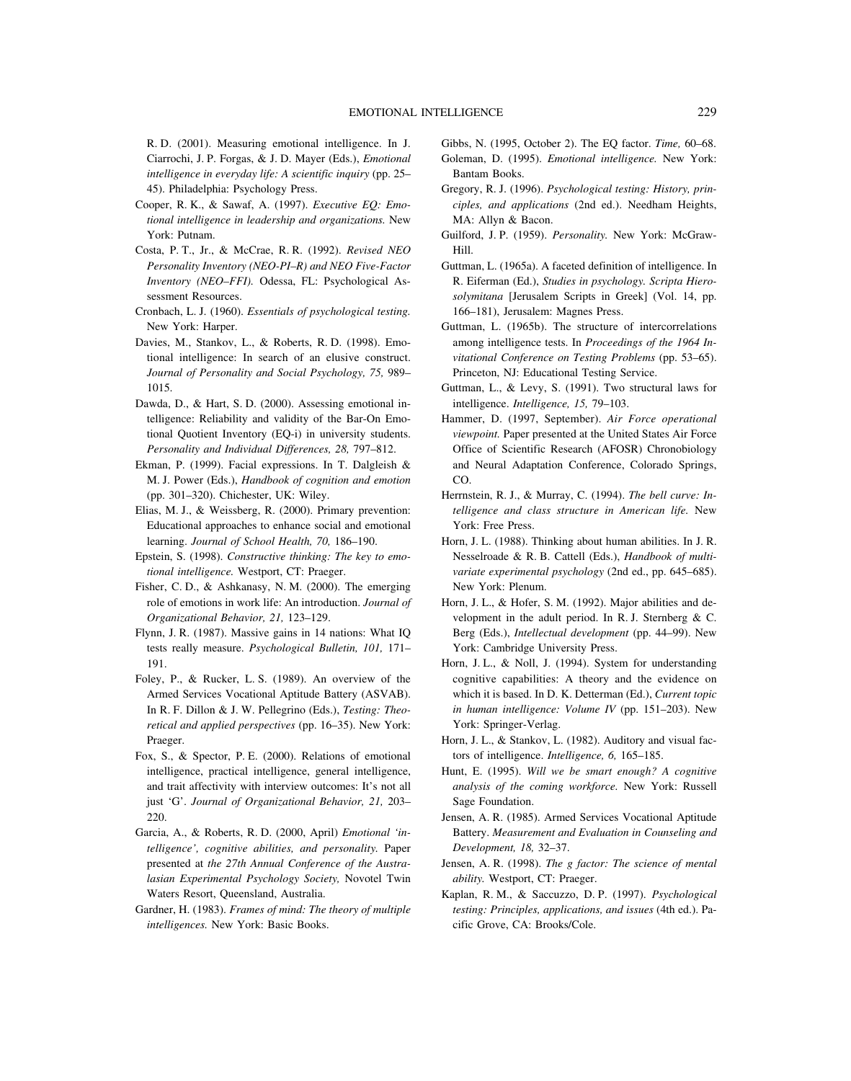R. D. (2001). Measuring emotional intelligence. In J. Ciarrochi, J. P. Forgas, & J. D. Mayer (Eds.), *Emotional intelligence in everyday life: A scientific inquiry* (pp. 25– 45). Philadelphia: Psychology Press.

- Cooper, R. K., & Sawaf, A. (1997). *Executive EQ: Emotional intelligence in leadership and organizations.* New York: Putnam.
- Costa, P. T., Jr., & McCrae, R. R. (1992). *Revised NEO Personality Inventory (NEO-PI–R) and NEO Five-Factor Inventory (NEO–FFI).* Odessa, FL: Psychological Assessment Resources.
- Cronbach, L. J. (1960). *Essentials of psychological testing.* New York: Harper.
- Davies, M., Stankov, L., & Roberts, R. D. (1998). Emotional intelligence: In search of an elusive construct. *Journal of Personality and Social Psychology, 75,* 989– 1015.
- Dawda, D., & Hart, S. D. (2000). Assessing emotional intelligence: Reliability and validity of the Bar-On Emotional Quotient Inventory (EQ-i) in university students. *Personality and Individual Differences, 28,* 797–812.
- Ekman, P. (1999). Facial expressions. In T. Dalgleish & M. J. Power (Eds.), *Handbook of cognition and emotion* (pp. 301–320). Chichester, UK: Wiley.
- Elias, M. J., & Weissberg, R. (2000). Primary prevention: Educational approaches to enhance social and emotional learning. *Journal of School Health, 70,* 186–190.
- Epstein, S. (1998). *Constructive thinking: The key to emotional intelligence.* Westport, CT: Praeger.
- Fisher, C. D., & Ashkanasy, N. M. (2000). The emerging role of emotions in work life: An introduction. *Journal of Organizational Behavior, 21,* 123–129.
- Flynn, J. R. (1987). Massive gains in 14 nations: What IQ tests really measure. *Psychological Bulletin, 101,* 171– 191.
- Foley, P., & Rucker, L. S. (1989). An overview of the Armed Services Vocational Aptitude Battery (ASVAB). In R. F. Dillon & J. W. Pellegrino (Eds.), *Testing: Theoretical and applied perspectives* (pp. 16–35). New York: Praeger.
- Fox, S., & Spector, P. E. (2000). Relations of emotional intelligence, practical intelligence, general intelligence, and trait affectivity with interview outcomes: It's not all just 'G'. *Journal of Organizational Behavior, 21,* 203– 220.
- Garcia, A., & Roberts, R. D. (2000, April) *Emotional 'intelligence', cognitive abilities, and personality.* Paper presented at *the 27th Annual Conference of the Australasian Experimental Psychology Society,* Novotel Twin Waters Resort, Queensland, Australia.
- Gardner, H. (1983). *Frames of mind: The theory of multiple intelligences.* New York: Basic Books.

Gibbs, N. (1995, October 2). The EQ factor. *Time,* 60–68.

- Goleman, D. (1995). *Emotional intelligence.* New York: Bantam Books.
- Gregory, R. J. (1996). *Psychological testing: History, principles, and applications* (2nd ed.). Needham Heights, MA: Allyn & Bacon.
- Guilford, J. P. (1959). *Personality.* New York: McGraw-Hill.
- Guttman, L. (1965a). A faceted definition of intelligence. In R. Eiferman (Ed.), *Studies in psychology. Scripta Hierosolymitana* [Jerusalem Scripts in Greek] (Vol. 14, pp. 166–181), Jerusalem: Magnes Press.
- Guttman, L. (1965b). The structure of intercorrelations among intelligence tests. In *Proceedings of the 1964 Invitational Conference on Testing Problems* (pp. 53–65). Princeton, NJ: Educational Testing Service.
- Guttman, L., & Levy, S. (1991). Two structural laws for intelligence. *Intelligence, 15,* 79–103.
- Hammer, D. (1997, September). *Air Force operational viewpoint.* Paper presented at the United States Air Force Office of Scientific Research (AFOSR) Chronobiology and Neural Adaptation Conference, Colorado Springs, CO.
- Herrnstein, R. J., & Murray, C. (1994). *The bell curve: Intelligence and class structure in American life.* New York: Free Press.
- Horn, J. L. (1988). Thinking about human abilities. In J. R. Nesselroade & R. B. Cattell (Eds.), *Handbook of multivariate experimental psychology* (2nd ed., pp. 645–685). New York: Plenum.
- Horn, J. L., & Hofer, S. M. (1992). Major abilities and development in the adult period. In R. J. Sternberg & C. Berg (Eds.), *Intellectual development* (pp. 44–99). New York: Cambridge University Press.
- Horn, J. L., & Noll, J. (1994). System for understanding cognitive capabilities: A theory and the evidence on which it is based. In D. K. Detterman (Ed.), *Current topic in human intelligence: Volume IV* (pp. 151–203). New York: Springer-Verlag.
- Horn, J. L., & Stankov, L. (1982). Auditory and visual factors of intelligence. *Intelligence, 6,* 165–185.
- Hunt, E. (1995). *Will we be smart enough? A cognitive analysis of the coming workforce.* New York: Russell Sage Foundation.
- Jensen, A. R. (1985). Armed Services Vocational Aptitude Battery. *Measurement and Evaluation in Counseling and Development, 18,* 32–37.
- Jensen, A. R. (1998). *The g factor: The science of mental ability.* Westport, CT: Praeger.
- Kaplan, R. M., & Saccuzzo, D. P. (1997). *Psychological testing: Principles, applications, and issues* (4th ed.). Pacific Grove, CA: Brooks/Cole.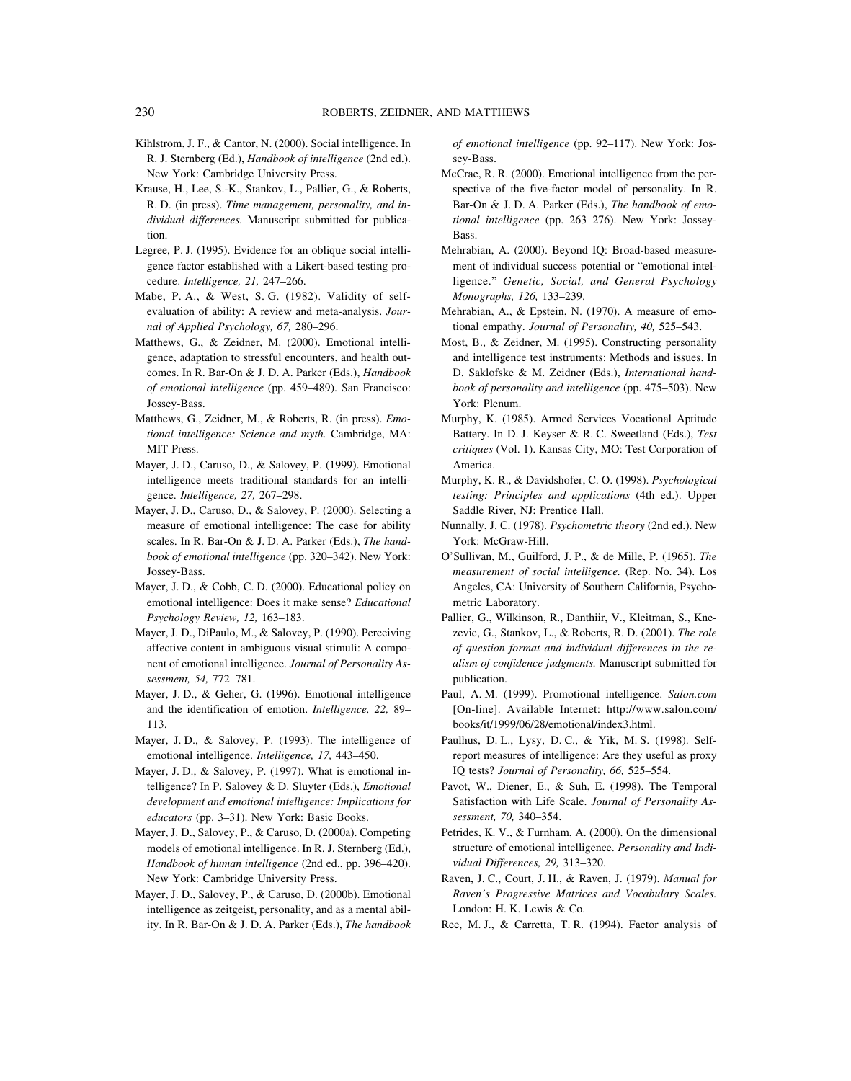- Kihlstrom, J. F., & Cantor, N. (2000). Social intelligence. In R. J. Sternberg (Ed.), *Handbook of intelligence* (2nd ed.). New York: Cambridge University Press.
- Krause, H., Lee, S.-K., Stankov, L., Pallier, G., & Roberts, R. D. (in press). *Time management, personality, and individual differences.* Manuscript submitted for publication.
- Legree, P. J. (1995). Evidence for an oblique social intelligence factor established with a Likert-based testing procedure. *Intelligence, 21,* 247–266.
- Mabe, P. A., & West, S. G. (1982). Validity of selfevaluation of ability: A review and meta-analysis. *Journal of Applied Psychology, 67,* 280–296.
- Matthews, G., & Zeidner, M. (2000). Emotional intelligence, adaptation to stressful encounters, and health outcomes. In R. Bar-On & J. D. A. Parker (Eds.), *Handbook of emotional intelligence* (pp. 459–489). San Francisco: Jossey-Bass.
- Matthews, G., Zeidner, M., & Roberts, R. (in press). *Emotional intelligence: Science and myth.* Cambridge, MA: MIT Press.
- Mayer, J. D., Caruso, D., & Salovey, P. (1999). Emotional intelligence meets traditional standards for an intelligence. *Intelligence, 27,* 267–298.
- Mayer, J. D., Caruso, D., & Salovey, P. (2000). Selecting a measure of emotional intelligence: The case for ability scales. In R. Bar-On & J. D. A. Parker (Eds.), *The handbook of emotional intelligence* (pp. 320–342). New York: Jossey-Bass.
- Mayer, J. D., & Cobb, C. D. (2000). Educational policy on emotional intelligence: Does it make sense? *Educational Psychology Review, 12,* 163–183.
- Mayer, J. D., DiPaulo, M., & Salovey, P. (1990). Perceiving affective content in ambiguous visual stimuli: A component of emotional intelligence. *Journal of Personality Assessment, 54,* 772–781.
- Mayer, J. D., & Geher, G. (1996). Emotional intelligence and the identification of emotion. *Intelligence, 22,* 89– 113.
- Mayer, J. D., & Salovey, P. (1993). The intelligence of emotional intelligence. *Intelligence, 17,* 443–450.
- Mayer, J. D., & Salovey, P. (1997). What is emotional intelligence? In P. Salovey & D. Sluyter (Eds.), *Emotional development and emotional intelligence: Implications for educators* (pp. 3–31). New York: Basic Books.
- Mayer, J. D., Salovey, P., & Caruso, D. (2000a). Competing models of emotional intelligence. In R. J. Sternberg (Ed.), *Handbook of human intelligence* (2nd ed., pp. 396–420). New York: Cambridge University Press.
- Mayer, J. D., Salovey, P., & Caruso, D. (2000b). Emotional intelligence as zeitgeist, personality, and as a mental ability. In R. Bar-On & J. D. A. Parker (Eds.), *The handbook*

*of emotional intelligence* (pp. 92–117). New York: Jossey-Bass.

- McCrae, R. R. (2000). Emotional intelligence from the perspective of the five-factor model of personality. In R. Bar-On & J. D. A. Parker (Eds.), *The handbook of emotional intelligence* (pp. 263–276). New York: Jossey-Bass.
- Mehrabian, A. (2000). Beyond IQ: Broad-based measurement of individual success potential or "emotional intelligence." *Genetic, Social, and General Psychology Monographs, 126,* 133–239.
- Mehrabian, A., & Epstein, N. (1970). A measure of emotional empathy. *Journal of Personality, 40,* 525–543.
- Most, B., & Zeidner, M. (1995). Constructing personality and intelligence test instruments: Methods and issues. In D. Saklofske & M. Zeidner (Eds.), *International handbook of personality and intelligence* (pp. 475–503). New York: Plenum.
- Murphy, K. (1985). Armed Services Vocational Aptitude Battery. In D. J. Keyser & R. C. Sweetland (Eds.), *Test critiques* (Vol. 1). Kansas City, MO: Test Corporation of America.
- Murphy, K. R., & Davidshofer, C. O. (1998). *Psychological testing: Principles and applications* (4th ed.). Upper Saddle River, NJ: Prentice Hall.
- Nunnally, J. C. (1978). *Psychometric theory* (2nd ed.). New York: McGraw-Hill.
- O'Sullivan, M., Guilford, J. P., & de Mille, P. (1965). *The measurement of social intelligence.* (Rep. No. 34). Los Angeles, CA: University of Southern California, Psychometric Laboratory.
- Pallier, G., Wilkinson, R., Danthiir, V., Kleitman, S., Knezevic, G., Stankov, L., & Roberts, R. D. (2001). *The role of question format and individual differences in the realism of confidence judgments.* Manuscript submitted for publication.
- Paul, A. M. (1999). Promotional intelligence. *Salon.com* [On-line]. Available Internet: http://www.salon.com/ books/it/1999/06/28/emotional/index3.html.
- Paulhus, D. L., Lysy, D. C., & Yik, M. S. (1998). Selfreport measures of intelligence: Are they useful as proxy IQ tests? *Journal of Personality, 66,* 525–554.
- Pavot, W., Diener, E., & Suh, E. (1998). The Temporal Satisfaction with Life Scale. *Journal of Personality Assessment, 70,* 340–354.
- Petrides, K. V., & Furnham, A. (2000). On the dimensional structure of emotional intelligence. *Personality and Individual Differences, 29,* 313–320.
- Raven, J. C., Court, J. H., & Raven, J. (1979). *Manual for Raven's Progressive Matrices and Vocabulary Scales.* London: H. K. Lewis & Co.
- Ree, M. J., & Carretta, T. R. (1994). Factor analysis of